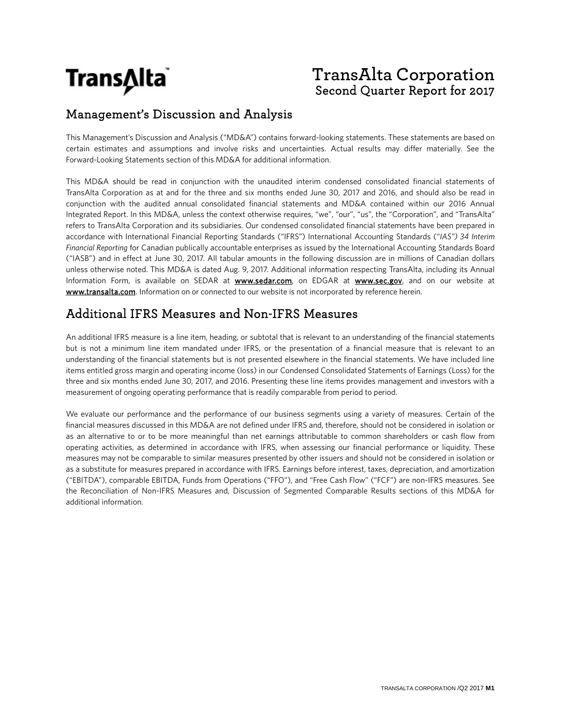

## **TransAlta Corporation** Second Quarter Report for 2017

## Management's Discussion and Analysis

This Management's Discussion and Analysis ("MD&A") contains forward-looking statements. These statements are based on certain estimates and assumptions and involve risks and uncertainties. Actual results may differ materially. See the Forward-Looking Statements section of this MD&A for additional information.

This MD&A should be read in conjunction with the unaudited interim condensed consolidated financial statements of TransAlta Corporation as at and for the three and six months ended June 30, 2017 and 2016, and should also be read in conjunction with the audited annual consolidated financial statements and MD&A contained within our 2016 Annual Integrated Report. In this MD&A, unless the context otherwise requires, "we", "our", "us", the "Corporation", and "TransAlta" refers to TransAlta Corporation and its subsidiaries. Our condensed consolidated financial statements have been prepared in accordance with International Financial Reporting Standards ("IFRS") International Accounting Standards ("*IAS") 34 Interim Financial Reporting* for Canadian publically accountable enterprises as issued by the International Accounting Standards Board ("IASB") and in effect at June 30, 2017. All tabular amounts in the following discussion are in millions of Canadian dollars unless otherwise noted. This MD&A is dated Aug. 9, 2017. Additional information respecting TransAlta, including its Annual Information Form, is available on SEDAR at **www.sedar.com**, on EDGAR at **www.sec.gov**, and on our website at www.transalta.com. Information on or connected to our website is not incorporated by reference herein.

## Additional IFRS Measures and Non-IFRS Measures

An additional IFRS measure is a line item, heading, or subtotal that is relevant to an understanding of the financial statements but is not a minimum line item mandated under IFRS, or the presentation of a financial measure that is relevant to an understanding of the financial statements but is not presented elsewhere in the financial statements. We have included line items entitled gross margin and operating income (loss) in our Condensed Consolidated Statements of Earnings (Loss) for the three and six months ended June 30, 2017, and 2016. Presenting these line items provides management and investors with a measurement of ongoing operating performance that is readily comparable from period to period.

We evaluate our performance and the performance of our business segments using a variety of measures. Certain of the financial measures discussed in this MD&A are not defined under IFRS and, therefore, should not be considered in isolation or as an alternative to or to be more meaningful than net earnings attributable to common shareholders or cash flow from operating activities, as determined in accordance with IFRS, when assessing our financial performance or liquidity. These measures may not be comparable to similar measures presented by other issuers and should not be considered in isolation or as a substitute for measures prepared in accordance with IFRS. Earnings before interest, taxes, depreciation, and amortization ("EBITDA"), comparable EBITDA, Funds from Operations ("FFO"), and "Free Cash Flow" ("FCF") are non-IFRS measures. See the Reconciliation of Non-IFRS Measures and, Discussion of Segmented Comparable Results sections of this MD&A for additional information.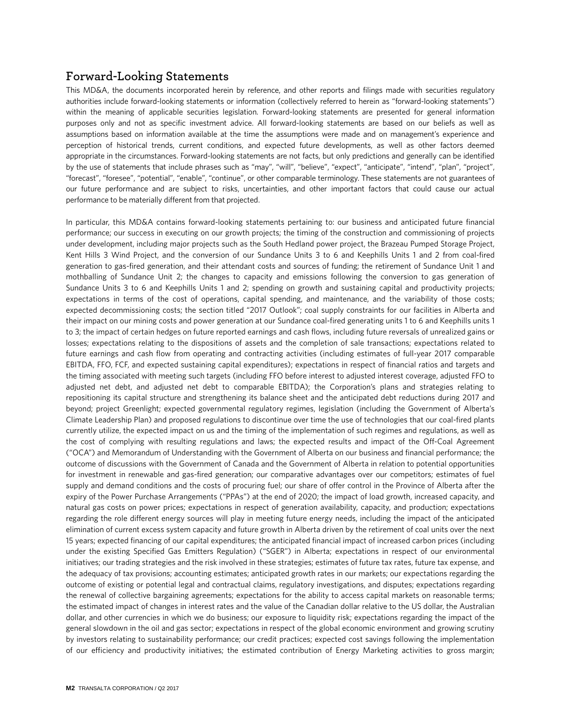## **Forward-Looking Statements**

This MD&A, the documents incorporated herein by reference, and other reports and filings made with securities regulatory authorities include forward-looking statements or information (collectively referred to herein as "forward-looking statements") within the meaning of applicable securities legislation. Forward-looking statements are presented for general information purposes only and not as specific investment advice. All forward-looking statements are based on our beliefs as well as assumptions based on information available at the time the assumptions were made and on management's experience and perception of historical trends, current conditions, and expected future developments, as well as other factors deemed appropriate in the circumstances. Forward-looking statements are not facts, but only predictions and generally can be identified by the use of statements that include phrases such as "may", "will", "believe", "expect", "anticipate", "intend", "plan", "project", "forecast", "foresee", "potential", "enable", "continue", or other comparable terminology. These statements are not guarantees of our future performance and are subject to risks, uncertainties, and other important factors that could cause our actual performance to be materially different from that projected.

In particular, this MD&A contains forward-looking statements pertaining to: our business and anticipated future financial performance; our success in executing on our growth projects; the timing of the construction and commissioning of projects under development, including major projects such as the South Hedland power project, the Brazeau Pumped Storage Project, Kent Hills 3 Wind Project, and the conversion of our Sundance Units 3 to 6 and Keephills Units 1 and 2 from coal-fired generation to gas-fired generation, and their attendant costs and sources of funding; the retirement of Sundance Unit 1 and mothballing of Sundance Unit 2; the changes to capacity and emissions following the conversion to gas generation of Sundance Units 3 to 6 and Keephills Units 1 and 2; spending on growth and sustaining capital and productivity projects; expectations in terms of the cost of operations, capital spending, and maintenance, and the variability of those costs; expected decommissioning costs; the section titled "2017 Outlook"; coal supply constraints for our facilities in Alberta and their impact on our mining costs and power generation at our Sundance coal-fired generating units 1 to 6 and Keephills units 1 to 3; the impact of certain hedges on future reported earnings and cash flows, including future reversals of unrealized gains or losses; expectations relating to the dispositions of assets and the completion of sale transactions; expectations related to future earnings and cash flow from operating and contracting activities (including estimates of full-year 2017 comparable EBITDA, FFO, FCF, and expected sustaining capital expenditures); expectations in respect of financial ratios and targets and the timing associated with meeting such targets (including FFO before interest to adjusted interest coverage, adjusted FFO to adjusted net debt, and adjusted net debt to comparable EBITDA); the Corporation's plans and strategies relating to repositioning its capital structure and strengthening its balance sheet and the anticipated debt reductions during 2017 and beyond; project Greenlight; expected governmental regulatory regimes, legislation (including the Government of Alberta's Climate Leadership Plan) and proposed regulations to discontinue over time the use of technologies that our coal-fired plants currently utilize, the expected impact on us and the timing of the implementation of such regimes and regulations, as well as the cost of complying with resulting regulations and laws; the expected results and impact of the Off-Coal Agreement ("OCA") and Memorandum of Understanding with the Government of Alberta on our business and financial performance; the outcome of discussions with the Government of Canada and the Government of Alberta in relation to potential opportunities for investment in renewable and gas-fired generation; our comparative advantages over our competitors; estimates of fuel supply and demand conditions and the costs of procuring fuel; our share of offer control in the Province of Alberta after the expiry of the Power Purchase Arrangements ("PPAs") at the end of 2020; the impact of load growth, increased capacity, and natural gas costs on power prices; expectations in respect of generation availability, capacity, and production; expectations regarding the role different energy sources will play in meeting future energy needs, including the impact of the anticipated elimination of current excess system capacity and future growth in Alberta driven by the retirement of coal units over the next 15 years; expected financing of our capital expenditures; the anticipated financial impact of increased carbon prices (including under the existing Specified Gas Emitters Regulation) ("SGER") in Alberta; expectations in respect of our environmental initiatives; our trading strategies and the risk involved in these strategies; estimates of future tax rates, future tax expense, and the adequacy of tax provisions; accounting estimates; anticipated growth rates in our markets; our expectations regarding the outcome of existing or potential legal and contractual claims, regulatory investigations, and disputes; expectations regarding the renewal of collective bargaining agreements; expectations for the ability to access capital markets on reasonable terms; the estimated impact of changes in interest rates and the value of the Canadian dollar relative to the US dollar, the Australian dollar, and other currencies in which we do business; our exposure to liquidity risk; expectations regarding the impact of the general slowdown in the oil and gas sector; expectations in respect of the global economic environment and growing scrutiny by investors relating to sustainability performance; our credit practices; expected cost savings following the implementation of our efficiency and productivity initiatives; the estimated contribution of Energy Marketing activities to gross margin;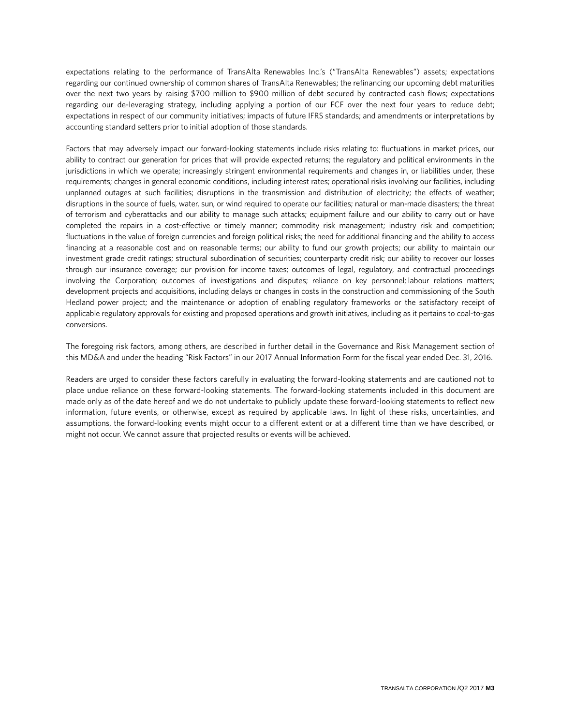expectations relating to the performance of TransAlta Renewables Inc.'s ("TransAlta Renewables") assets; expectations regarding our continued ownership of common shares of TransAlta Renewables; the refinancing our upcoming debt maturities over the next two years by raising \$700 million to \$900 million of debt secured by contracted cash flows; expectations regarding our de-leveraging strategy, including applying a portion of our FCF over the next four years to reduce debt; expectations in respect of our community initiatives; impacts of future IFRS standards; and amendments or interpretations by accounting standard setters prior to initial adoption of those standards.

Factors that may adversely impact our forward-looking statements include risks relating to: fluctuations in market prices, our ability to contract our generation for prices that will provide expected returns; the regulatory and political environments in the jurisdictions in which we operate; increasingly stringent environmental requirements and changes in, or liabilities under, these requirements; changes in general economic conditions, including interest rates; operational risks involving our facilities, including unplanned outages at such facilities; disruptions in the transmission and distribution of electricity; the effects of weather; disruptions in the source of fuels, water, sun, or wind required to operate our facilities; natural or man-made disasters; the threat of terrorism and cyberattacks and our ability to manage such attacks; equipment failure and our ability to carry out or have completed the repairs in a cost-effective or timely manner; commodity risk management; industry risk and competition; fluctuations in the value of foreign currencies and foreign political risks; the need for additional financing and the ability to access financing at a reasonable cost and on reasonable terms; our ability to fund our growth projects; our ability to maintain our investment grade credit ratings; structural subordination of securities; counterparty credit risk; our ability to recover our losses through our insurance coverage; our provision for income taxes; outcomes of legal, regulatory, and contractual proceedings involving the Corporation; outcomes of investigations and disputes; reliance on key personnel; labour relations matters; development projects and acquisitions, including delays or changes in costs in the construction and commissioning of the South Hedland power project; and the maintenance or adoption of enabling regulatory frameworks or the satisfactory receipt of applicable regulatory approvals for existing and proposed operations and growth initiatives, including as it pertains to coal-to-gas conversions.

The foregoing risk factors, among others, are described in further detail in the Governance and Risk Management section of this MD&A and under the heading "Risk Factors" in our 2017 Annual Information Form for the fiscal year ended Dec. 31, 2016.

Readers are urged to consider these factors carefully in evaluating the forward-looking statements and are cautioned not to place undue reliance on these forward-looking statements. The forward-looking statements included in this document are made only as of the date hereof and we do not undertake to publicly update these forward-looking statements to reflect new information, future events, or otherwise, except as required by applicable laws. In light of these risks, uncertainties, and assumptions, the forward-looking events might occur to a different extent or at a different time than we have described, or might not occur. We cannot assure that projected results or events will be achieved.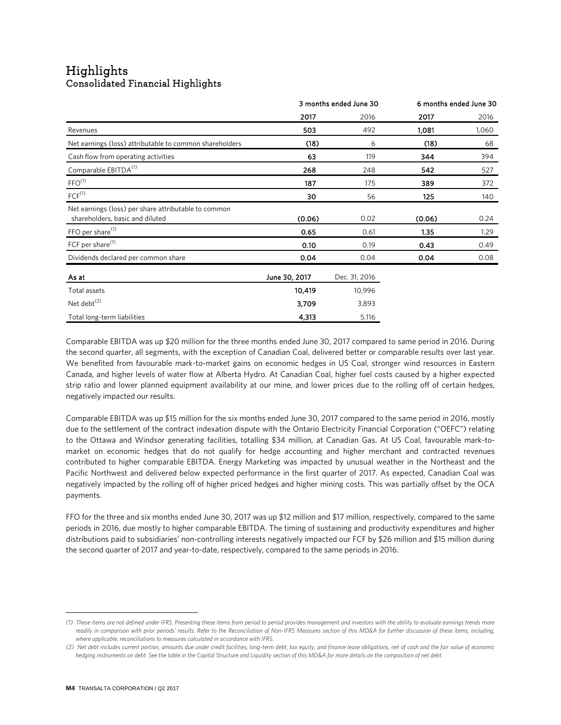# Highlights<br>Consolidated Financial Highlights

|                                                                                         | 3 months ended June 30 |               |        | 6 months ended June 30 |
|-----------------------------------------------------------------------------------------|------------------------|---------------|--------|------------------------|
|                                                                                         | 2017                   | 2016          | 2017   | 2016                   |
| Revenues                                                                                | 503                    | 492           | 1,081  | 1,060                  |
| Net earnings (loss) attributable to common shareholders                                 | (18)                   | 6             | (18)   | 68                     |
| Cash flow from operating activities                                                     | 63                     | 119           | 344    | 394                    |
| Comparable EBITDA <sup>(1)</sup>                                                        | 268                    | 248           | 542    | 527                    |
| $FFO^{(1)}$                                                                             | 187                    | 175           | 389    | 372                    |
| $FCF^{(1)}$                                                                             | 30                     | 56            | 125    | 140                    |
| Net earnings (loss) per share attributable to common<br>shareholders, basic and diluted | (0.06)                 | 0.02          | (0.06) | 0.24                   |
| FFO per share <sup>(1)</sup>                                                            | 0.65                   | 0.61          | 1.35   | 1.29                   |
| FCF per share <sup>(1)</sup>                                                            | 0.10                   | 0.19          | 0.43   | 0.49                   |
| Dividends declared per common share                                                     | 0.04                   | 0.04          | 0.04   | 0.08                   |
| As at                                                                                   | June 30, 2017          | Dec. 31, 2016 |        |                        |
| Total assets                                                                            | 10,419                 | 10,996        |        |                        |
| Net debt <sup>(2)</sup>                                                                 | 3,709                  | 3,893         |        |                        |
| Total long-term liabilities                                                             | 4,313                  | 5,116         |        |                        |

Comparable EBITDA was up \$20 million for the three months ended June 30, 2017 compared to same period in 2016. During the second quarter, all segments, with the exception of Canadian Coal, delivered better or comparable results over last year. We benefited from favourable mark-to-market gains on economic hedges in US Coal, stronger wind resources in Eastern Canada, and higher levels of water flow at Alberta Hydro. At Canadian Coal, higher fuel costs caused by a higher expected strip ratio and lower planned equipment availability at our mine, and lower prices due to the rolling off of certain hedges, negatively impacted our results.

Comparable EBITDA was up \$15 million for the six months ended June 30, 2017 compared to the same period in 2016, mostly due to the settlement of the contract indexation dispute with the Ontario Electricity Financial Corporation ("OEFC") relating to the Ottawa and Windsor generating facilities, totalling \$34 million, at Canadian Gas. At US Coal, favourable mark-tomarket on economic hedges that do not qualify for hedge accounting and higher merchant and contracted revenues contributed to higher comparable EBITDA. Energy Marketing was impacted by unusual weather in the Northeast and the Pacific Northwest and delivered below expected performance in the first quarter of 2017. As expected, Canadian Coal was negatively impacted by the rolling off of higher priced hedges and higher mining costs. This was partially offset by the OCA payments.

FFO for the three and six months ended June 30, 2017 was up \$12 million and \$17 million, respectively, compared to the same periods in 2016, due mostly to higher comparable EBITDA. The timing of sustaining and productivity expenditures and higher distributions paid to subsidiaries' non-controlling interests negatively impacted our FCF by \$26 million and \$15 million during the second quarter of 2017 and year-to-date, respectively, compared to the same periods in 2016.

<span id="page-3-0"></span>*<sup>(1)</sup> These items are not defined under IFRS. Presenting these items from period to period provides management and investors with the ability to evaluate earnings trends more*  readily in comparison with prior periods' results. Refer to the Reconciliation of Non-IFRS Measures section of this MD&A for further discussion of these items, including, *where applicable, reconciliations to measures calculated in accordance with IFRS.*

<span id="page-3-1"></span>*<sup>(2)</sup> Net debt includes current portion, amounts due under credit facilities, long-term debt, tax equity, and finance lease obligations, net of cash and the fair value of economic hedging instruments on debt. See the table in the Capital Structure and Liquidity section of this MD&A for more details on the composition of net debt.*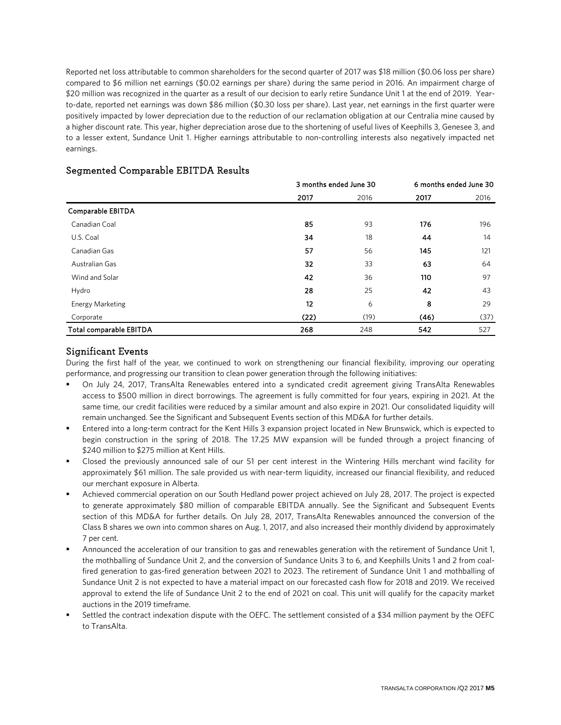Reported net loss attributable to common shareholders for the second quarter of 2017 was \$18 million (\$0.06 loss per share) compared to \$6 million net earnings (\$0.02 earnings per share) during the same period in 2016. An impairment charge of \$20 million was recognized in the quarter as a result of our decision to early retire Sundance Unit 1 at the end of 2019. Yearto-date, reported net earnings was down \$86 million (\$0.30 loss per share). Last year, net earnings in the first quarter were positively impacted by lower depreciation due to the reduction of our reclamation obligation at our Centralia mine caused by a higher discount rate. This year, higher depreciation arose due to the shortening of useful lives of Keephills 3, Genesee 3, and to a lesser extent, Sundance Unit 1. Higher earnings attributable to non-controlling interests also negatively impacted net earnings.

|                         |      | 3 months ended June 30 |      | 6 months ended June 30 |
|-------------------------|------|------------------------|------|------------------------|
|                         | 2017 | 2016                   | 2017 | 2016                   |
| Comparable EBITDA       |      |                        |      |                        |
| Canadian Coal           | 85   | 93                     | 176  | 196                    |
| U.S. Coal               | 34   | 18                     | 44   | 14                     |
| Canadian Gas            | 57   | 56                     | 145  | 121                    |
| Australian Gas          | 32   | 33                     | 63   | 64                     |
| Wind and Solar          | 42   | 36                     | 110  | 97                     |
| Hydro                   | 28   | 25                     | 42   | 43                     |
| <b>Energy Marketing</b> | 12   | 6                      | 8    | 29                     |
| Corporate               | (22) | (19)                   | (46) | (37)                   |
| Total comparable EBITDA | 268  | 248                    | 542  | 527                    |

## Segmented Comparable EBITDA Results

### Significant Events

During the first half of the year, we continued to work on strengthening our financial flexibility, improving our operating performance, and progressing our transition to clean power generation through the following initiatives:

- On July 24, 2017, TransAlta Renewables entered into a syndicated credit agreement giving TransAlta Renewables access to \$500 million in direct borrowings. The agreement is fully committed for four years, expiring in 2021. At the same time, our credit facilities were reduced by a similar amount and also expire in 2021. Our consolidated liquidity will remain unchanged. See the Significant and Subsequent Events section of this MD&A for further details.
- Entered into a long-term contract for the Kent Hills 3 expansion project located in New Brunswick, which is expected to begin construction in the spring of 2018. The 17.25 MW expansion will be funded through a project financing of \$240 million to \$275 million at Kent Hills.
- Closed the previously announced sale of our 51 per cent interest in the Wintering Hills merchant wind facility for approximately \$61 million. The sale provided us with near-term liquidity, increased our financial flexibility, and reduced our merchant exposure in Alberta.
- Achieved commercial operation on our South Hedland power project achieved on July 28, 2017. The project is expected to generate approximately \$80 million of comparable EBITDA annually. See the Significant and Subsequent Events section of this MD&A for further details. On July 28, 2017, TransAlta Renewables announced the conversion of the Class B shares we own into common shares on Aug. 1, 2017, and also increased their monthly dividend by approximately 7 per cent.
- Announced the acceleration of our transition to gas and renewables generation with the retirement of Sundance Unit 1, the mothballing of Sundance Unit 2, and the conversion of Sundance Units 3 to 6, and Keephills Units 1 and 2 from coalfired generation to gas-fired generation between 2021 to 2023. The retirement of Sundance Unit 1 and mothballing of Sundance Unit 2 is not expected to have a material impact on our forecasted cash flow for 2018 and 2019. We received approval to extend the life of Sundance Unit 2 to the end of 2021 on coal. This unit will qualify for the capacity market auctions in the 2019 timeframe.
- Settled the contract indexation dispute with the OEFC. The settlement consisted of a \$34 million payment by the OEFC to TransAlta.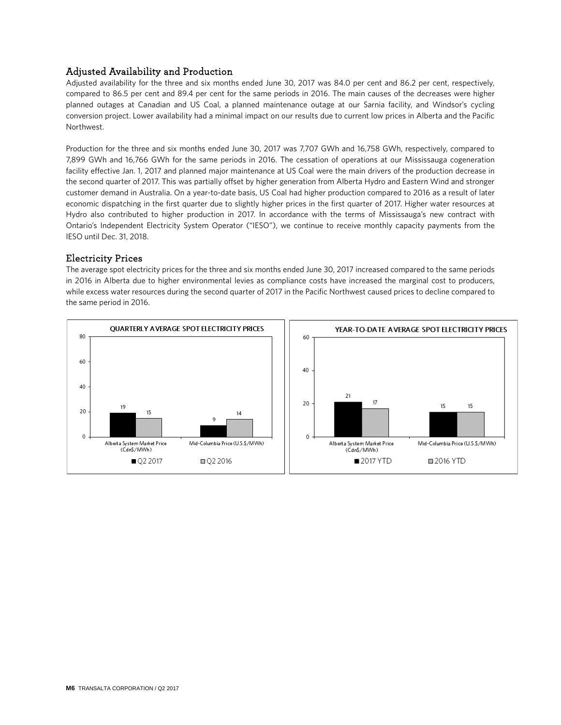## Adjusted Availability and Production

Adjusted availability for the three and six months ended June 30, 2017 was 84.0 per cent and 86.2 per cent, respectively, compared to 86.5 per cent and 89.4 per cent for the same periods in 2016. The main causes of the decreases were higher planned outages at Canadian and US Coal, a planned maintenance outage at our Sarnia facility, and Windsor's cycling conversion project. Lower availability had a minimal impact on our results due to current low prices in Alberta and the Pacific Northwest.

Production for the three and six months ended June 30, 2017 was 7,707 GWh and 16,758 GWh, respectively, compared to 7,899 GWh and 16,766 GWh for the same periods in 2016. The cessation of operations at our Mississauga cogeneration facility effective Jan. 1, 2017 and planned major maintenance at US Coal were the main drivers of the production decrease in the second quarter of 2017. This was partially offset by higher generation from Alberta Hydro and Eastern Wind and stronger customer demand in Australia. On a year-to-date basis, US Coal had higher production compared to 2016 as a result of later economic dispatching in the first quarter due to slightly higher prices in the first quarter of 2017. Higher water resources at Hydro also contributed to higher production in 2017. In accordance with the terms of Mississauga's new contract with Ontario's Independent Electricity System Operator ("IESO"), we continue to receive monthly capacity payments from the IESO until Dec. 31, 2018.

### Electricity Prices

The average spot electricity prices for the three and six months ended June 30, 2017 increased compared to the same periods in 2016 in Alberta due to higher environmental levies as compliance costs have increased the marginal cost to producers, while excess water resources during the second quarter of 2017 in the Pacific Northwest caused prices to decline compared to the same period in 2016.

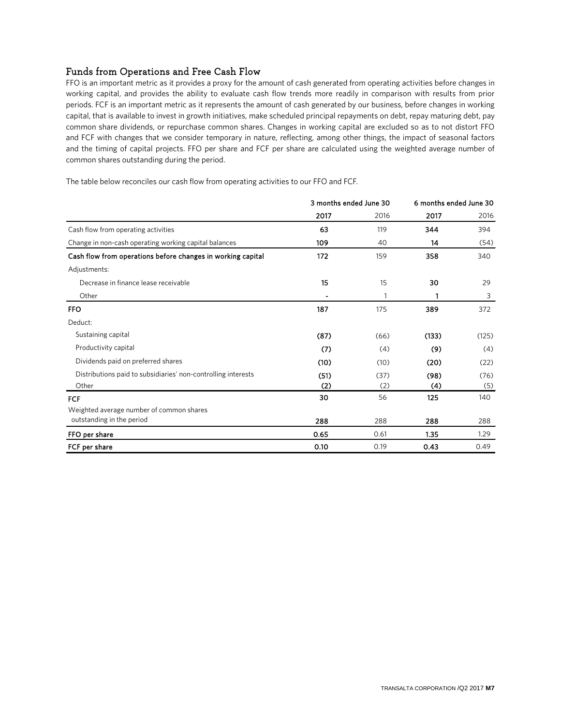## Funds from Operations and Free Cash Flow

FFO is an important metric as it provides a proxy for the amount of cash generated from operating activities before changes in working capital, and provides the ability to evaluate cash flow trends more readily in comparison with results from prior periods. FCF is an important metric as it represents the amount of cash generated by our business, before changes in working capital, that is available to invest in growth initiatives, make scheduled principal repayments on debt, repay maturing debt, pay common share dividends, or repurchase common shares. Changes in working capital are excluded so as to not distort FFO and FCF with changes that we consider temporary in nature, reflecting, among other things, the impact of seasonal factors and the timing of capital projects. FFO per share and FCF per share are calculated using the weighted average number of common shares outstanding during the period.

The table below reconciles our cash flow from operating activities to our FFO and FCF.

|                                                               | 3 months ended June 30 |      | 6 months ended June 30 |       |
|---------------------------------------------------------------|------------------------|------|------------------------|-------|
|                                                               | 2017                   | 2016 | 2017                   | 2016  |
| Cash flow from operating activities                           | 63                     | 119  | 344                    | 394   |
| Change in non-cash operating working capital balances         | 109                    | 40   | 14                     | (54)  |
| Cash flow from operations before changes in working capital   | 172                    | 159  | 358                    | 340   |
| Adjustments:                                                  |                        |      |                        |       |
| Decrease in finance lease receivable                          | 15                     | 15   | 30                     | 29    |
| Other                                                         |                        |      | 1                      | 3     |
| <b>FFO</b>                                                    | 187                    | 175  | 389                    | 372   |
| Deduct:                                                       |                        |      |                        |       |
| Sustaining capital                                            | (87)                   | (66) | (133)                  | (125) |
| Productivity capital                                          | (7)                    | (4)  | (9)                    | (4)   |
| Dividends paid on preferred shares                            | (10)                   | (10) | (20)                   | (22)  |
| Distributions paid to subsidiaries' non-controlling interests | (51)                   | (37) | (98)                   | (76)  |
| Other                                                         | (2)                    | (2)  | (4)                    | (5)   |
| FCF                                                           | 30                     | 56   | 125                    | 140   |
| Weighted average number of common shares                      |                        |      |                        |       |
| outstanding in the period                                     | 288                    | 288  | 288                    | 288   |
| FFO per share                                                 | 0.65                   | 0.61 | 1.35                   | 1.29  |
| FCF per share                                                 | 0.10                   | 0.19 | 0.43                   | 0.49  |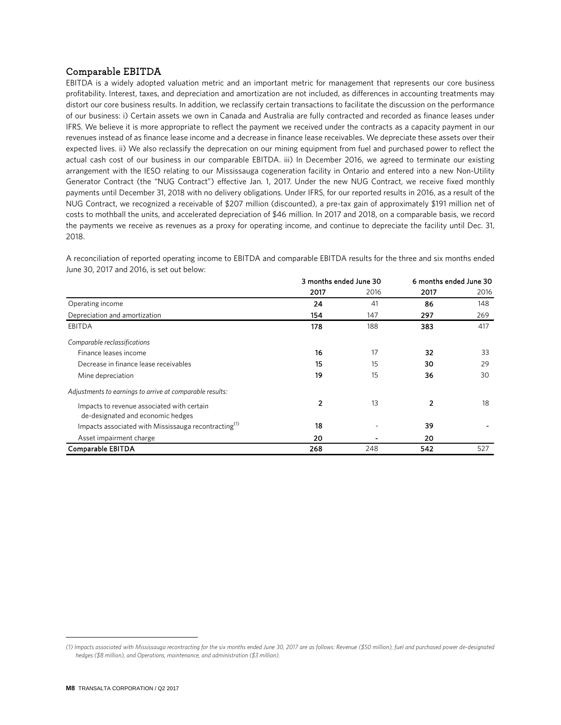### Comparable EBITDA**[1](#page-7-0)**

EBITDA is a widely adopted valuation metric and an important metric for management that represents our core business profitability. Interest, taxes, and depreciation and amortization are not included, as differences in accounting treatments may distort our core business results. In addition, we reclassify certain transactions to facilitate the discussion on the performance of our business: i) Certain assets we own in Canada and Australia are fully contracted and recorded as finance leases under IFRS. We believe it is more appropriate to reflect the payment we received under the contracts as a capacity payment in our revenues instead of as finance lease income and a decrease in finance lease receivables. We depreciate these assets over their expected lives. ii) We also reclassify the deprecation on our mining equipment from fuel and purchased power to reflect the actual cash cost of our business in our comparable EBITDA. iii) In December 2016, we agreed to terminate our existing arrangement with the IESO relating to our Mississauga cogeneration facility in Ontario and entered into a new Non-Utility Generator Contract (the "NUG Contract") effective Jan. 1, 2017. Under the new NUG Contract, we receive fixed monthly payments until December 31, 2018 with no delivery obligations. Under IFRS, for our reported results in 2016, as a result of the NUG Contract, we recognized a receivable of \$207 million (discounted), a pre-tax gain of approximately \$191 million net of costs to mothball the units, and accelerated depreciation of \$46 million. In 2017 and 2018, on a comparable basis, we record the payments we receive as revenues as a proxy for operating income, and continue to depreciate the facility until Dec. 31, 2018.

A reconciliation of reported operating income to EBITDA and comparable EBITDA results for the three and six months ended June 30, 2017 and 2016, is set out below:

|                                                                  | 3 months ended June 30 |      | 6 months ended June 30 |      |
|------------------------------------------------------------------|------------------------|------|------------------------|------|
|                                                                  | 2017                   | 2016 | 2017                   | 2016 |
| Operating income                                                 | 24                     | 41   | 86                     | 148  |
| Depreciation and amortization                                    | 154                    | 147  | 297                    | 269  |
| <b>EBITDA</b>                                                    | 178                    | 188  | 383                    | 417  |
| Comparable reclassifications                                     |                        |      |                        |      |
| Finance leases income                                            | 16                     | 17   | 32                     | 33   |
| Decrease in finance lease receivables                            | 15                     | 15   | 30                     | 29   |
| Mine depreciation                                                | 19                     | 15   | 36                     | 30   |
| Adjustments to earnings to arrive at comparable results:         |                        |      |                        |      |
| Impacts to revenue associated with certain                       | 2                      | 13   | 2                      | 18   |
| de-designated and economic hedges                                |                        |      |                        |      |
| Impacts associated with Mississauga recontracting <sup>(1)</sup> | 18                     |      | 39                     |      |
| Asset impairment charge                                          | 20                     |      | 20                     |      |
| Comparable EBITDA                                                | 268                    | 248  | 542                    | 527  |

<span id="page-7-0"></span>*<sup>(1)</sup> Impacts associated with Mississauga recontracting for the six months ended June 30, 2017 are as follows: Revenue (\$50 million), fuel and purchased power de-designated hedges (\$8 million), and Operations, maintenance, and administration (\$3 million).*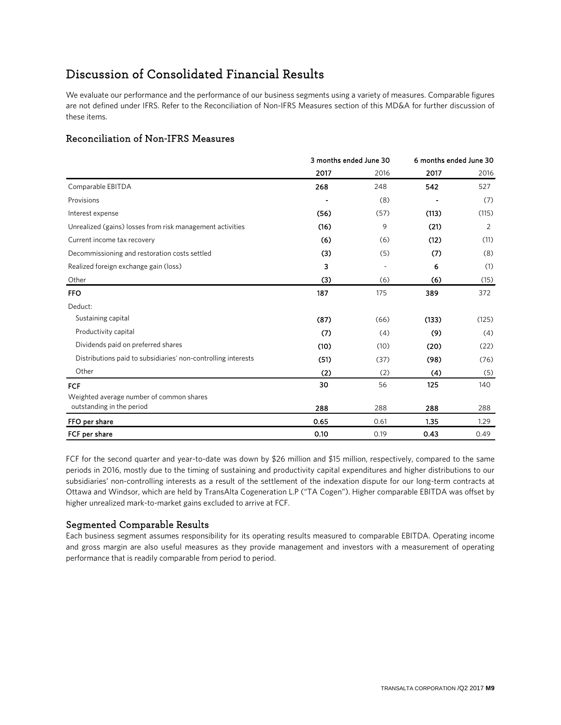## Discussion of Consolidated Financial Results

We evaluate our performance and the performance of our business segments using a variety of measures. Comparable figures are not defined under IFRS. Refer to the Reconciliation of Non-IFRS Measures section of this MD&A for further discussion of these items.

## Reconciliation of Non-IFRS Measures

|                                                               | 3 months ended June 30 |      | 6 months ended June 30 |       |
|---------------------------------------------------------------|------------------------|------|------------------------|-------|
|                                                               | 2017                   | 2016 | 2017                   | 2016  |
| Comparable EBITDA                                             | 268                    | 248  | 542                    | 527   |
| Provisions                                                    |                        | (8)  |                        | (7)   |
| Interest expense                                              | (56)                   | (57) | (113)                  | (115) |
| Unrealized (gains) losses from risk management activities     | (16)                   | 9    | (21)                   | 2     |
| Current income tax recovery                                   | (6)                    | (6)  | (12)                   | (11)  |
| Decommissioning and restoration costs settled                 | (3)                    | (5)  | (7)                    | (8)   |
| Realized foreign exchange gain (loss)                         | 3                      |      | 6                      | (1)   |
| Other                                                         | (3)                    | (6)  | (6)                    | (15)  |
| <b>FFO</b>                                                    | 187                    | 175  | 389                    | 372   |
| Deduct:                                                       |                        |      |                        |       |
| Sustaining capital                                            | (87)                   | (66) | (133)                  | (125) |
| Productivity capital                                          | (7)                    | (4)  | (9)                    | (4)   |
| Dividends paid on preferred shares                            | (10)                   | (10) | (20)                   | (22)  |
| Distributions paid to subsidiaries' non-controlling interests | (51)                   | (37) | (98)                   | (76)  |
| Other                                                         | (2)                    | (2)  | (4)                    | (5)   |
| FCF                                                           | 30                     | 56   | 125                    | 140   |
| Weighted average number of common shares                      |                        |      |                        |       |
| outstanding in the period                                     | 288                    | 288  | 288                    | 288   |
| FFO per share                                                 | 0.65                   | 0.61 | 1.35                   | 1.29  |
| FCF per share                                                 | 0.10                   | 0.19 | 0.43                   | 0.49  |

FCF for the second quarter and year-to-date was down by \$26 million and \$15 million, respectively, compared to the same periods in 2016, mostly due to the timing of sustaining and productivity capital expenditures and higher distributions to our subsidiaries' non-controlling interests as a result of the settlement of the indexation dispute for our long-term contracts at Ottawa and Windsor, which are held by TransAlta Cogeneration L.P ("TA Cogen"). Higher comparable EBITDA was offset by higher unrealized mark-to-market gains excluded to arrive at FCF.

## Segmented Comparable Results

Each business segment assumes responsibility for its operating results measured to comparable EBITDA. Operating income and gross margin are also useful measures as they provide management and investors with a measurement of operating performance that is readily comparable from period to period.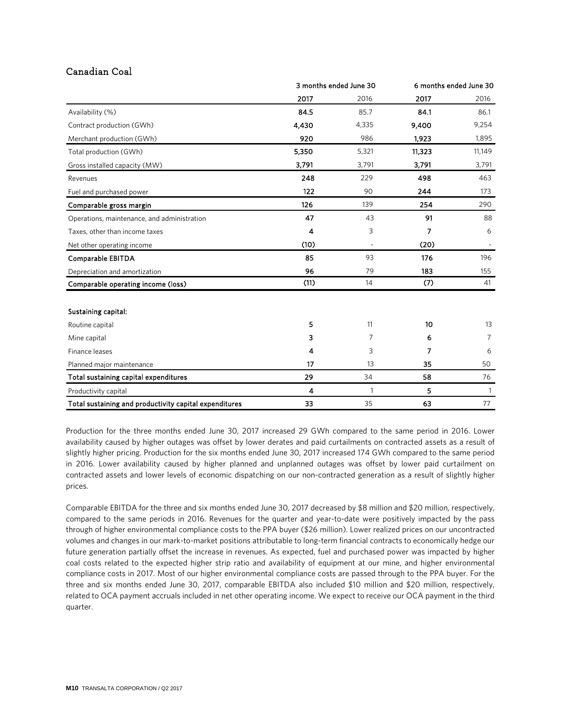## Canadian Coal

|                                                        | 3 months ended June 30 |       | 6 months ended June 30 |              |
|--------------------------------------------------------|------------------------|-------|------------------------|--------------|
|                                                        | 2017                   | 2016  | 2017                   | 2016         |
| Availability (%)                                       | 84.5                   | 85.7  | 84.1                   | 86.1         |
| Contract production (GWh)                              | 4,430                  | 4,335 | 9,400                  | 9,254        |
| Merchant production (GWh)                              | 920                    | 986   | 1,923                  | 1,895        |
| Total production (GWh)                                 | 5,350                  | 5,321 | 11,323                 | 11,149       |
| Gross installed capacity (MW)                          | 3,791                  | 3,791 | 3,791                  | 3,791        |
| Revenues                                               | 248                    | 229   | 498                    | 463          |
| Fuel and purchased power                               | 122                    | 90    | 244                    | 173          |
| Comparable gross margin                                | 126                    | 139   | 254                    | 290          |
| Operations, maintenance, and administration            | 47                     | 43    | 91                     | 88           |
| Taxes, other than income taxes                         | 4                      | 3     | 7                      | 6            |
| Net other operating income                             | (10)                   |       | (20)                   |              |
| Comparable EBITDA                                      | 85                     | 93    | 176                    | 196          |
| Depreciation and amortization                          | 96                     | 79    | 183                    | 155          |
| Comparable operating income (loss)                     | (11)                   | 14    | (7)                    | 41           |
| Sustaining capital:                                    |                        |       |                        |              |
| Routine capital                                        | 5                      | 11    | 10                     | 13           |
| Mine capital                                           | 3                      | 7     | 6                      | 7            |
| Finance leases                                         | 4                      | 3     | 7                      | 6            |
| Planned major maintenance                              | 17                     | 13    | 35                     | 50           |
| Total sustaining capital expenditures                  | 29                     | 34    | 58                     | 76           |
| Productivity capital                                   | 4                      | 1     | 5                      | $\mathbf{1}$ |
| Total sustaining and productivity capital expenditures | 33                     | 35    | 63                     | 77           |

Production for the three months ended June 30, 2017 increased 29 GWh compared to the same period in 2016. Lower availability caused by higher outages was offset by lower derates and paid curtailments on contracted assets as a result of slightly higher pricing. Production for the six months ended June 30, 2017 increased 174 GWh compared to the same period in 2016. Lower availability caused by higher planned and unplanned outages was offset by lower paid curtailment on contracted assets and lower levels of economic dispatching on our non-contracted generation as a result of slightly higher prices.

Comparable EBITDA for the three and six months ended June 30, 2017 decreased by \$8 million and \$20 million, respectively, compared to the same periods in 2016. Revenues for the quarter and year-to-date were positively impacted by the pass through of higher environmental compliance costs to the PPA buyer (\$26 million). Lower realized prices on our uncontracted volumes and changes in our mark-to-market positions attributable to long-term financial contracts to economically hedge our future generation partially offset the increase in revenues. As expected, fuel and purchased power was impacted by higher coal costs related to the expected higher strip ratio and availability of equipment at our mine, and higher environmental compliance costs in 2017. Most of our higher environmental compliance costs are passed through to the PPA buyer. For the three and six months ended June 30, 2017, comparable EBITDA also included \$10 million and \$20 million, respectively, related to OCA payment accruals included in net other operating income. We expect to receive our OCA payment in the third quarter.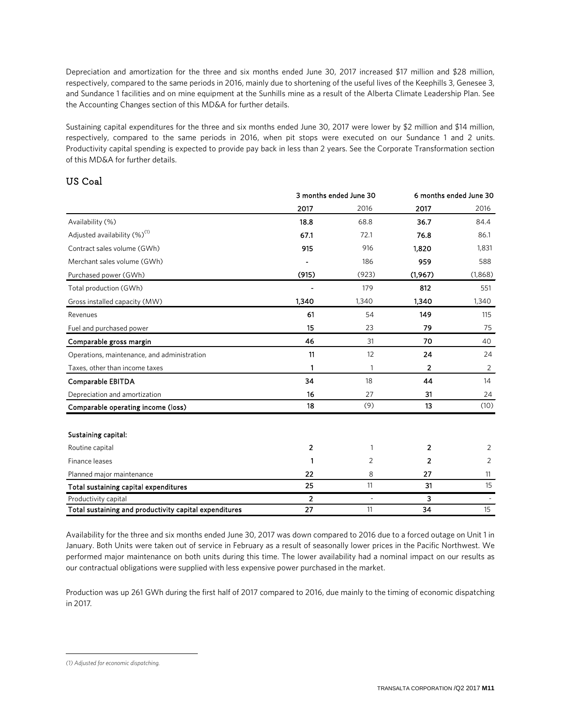Depreciation and amortization for the three and six months ended June 30, 2017 increased \$17 million and \$28 million, respectively, compared to the same periods in 2016, mainly due to shortening of the useful lives of the Keephills 3, Genesee 3, and Sundance 1 facilities and on mine equipment at the Sunhills mine as a result of the Alberta Climate Leadership Plan. See the Accounting Changes section of this MD&A for further details.

Sustaining capital expenditures for the three and six months ended June 30, 2017 were lower by \$2 million and \$14 million, respectively, compared to the same periods in 2016, when pit stops were executed on our Sundance 1 and 2 units. Productivity capital spending is expected to provide pay back in less than 2 years. See the Corporate Transformation section of this MD&A for further details.

## US Coal

|                                                        | 3 months ended June 30 |       | 6 months ended June 30 |         |
|--------------------------------------------------------|------------------------|-------|------------------------|---------|
|                                                        | 2017                   | 2016  | 2017                   | 2016    |
| Availability (%)                                       | 18.8                   | 68.8  | 36.7                   | 84.4    |
| Adjusted availability (%) <sup>(1)</sup>               | 67.1                   | 72.1  | 76.8                   | 86.1    |
| Contract sales volume (GWh)                            | 915                    | 916   | 1,820                  | 1,831   |
| Merchant sales volume (GWh)                            |                        | 186   | 959                    | 588     |
| Purchased power (GWh)                                  | (915)                  | (923) | (1,967)                | (1,868) |
| Total production (GWh)                                 |                        | 179   | 812                    | 551     |
| Gross installed capacity (MW)                          | 1,340                  | 1,340 | 1,340                  | 1,340   |
| Revenues                                               | 61                     | 54    | 149                    | 115     |
| Fuel and purchased power                               | 15                     | 23    | 79                     | 75      |
| Comparable gross margin                                | 46                     | 31    | 70                     | 40      |
| Operations, maintenance, and administration            | 11                     | 12    | 24                     | 24      |
| Taxes, other than income taxes                         | 1                      | 1     | 2                      | 2       |
| Comparable EBITDA                                      | 34                     | 18    | 44                     | 14      |
| Depreciation and amortization                          | 16                     | 27    | 31                     | 24      |
| Comparable operating income (loss)                     | 18                     | (9)   | 13                     | (10)    |
| Sustaining capital:                                    |                        |       |                        |         |
| Routine capital                                        | 2                      | 1     | 2                      | 2       |
| Finance leases                                         | 1                      | 2     | $\overline{2}$         | 2       |
| Planned major maintenance                              | 22                     | 8     | 27                     | 11      |
| Total sustaining capital expenditures                  | 25                     | 11    | 31                     | 15      |
| Productivity capital                                   | 2                      | ä,    | 3                      |         |
| Total sustaining and productivity capital expenditures | 27                     | 11    | 34                     | 15      |

Availability for the three and six months ended June 30, 2017 was down compared to 2016 due to a forced outage on Unit 1 in January. Both Units were taken out of service in February as a result of seasonally lower prices in the Pacific Northwest. We performed major maintenance on both units during this time. The lower availability had a nominal impact on our results as our contractual obligations were supplied with less expensive power purchased in the market.

Production was up 261 GWh during the first half of 2017 compared to 2016, due mainly to the timing of economic dispatching in 2017.

<span id="page-10-0"></span> $\overline{a}$ *(1) Adjusted for economic dispatching.*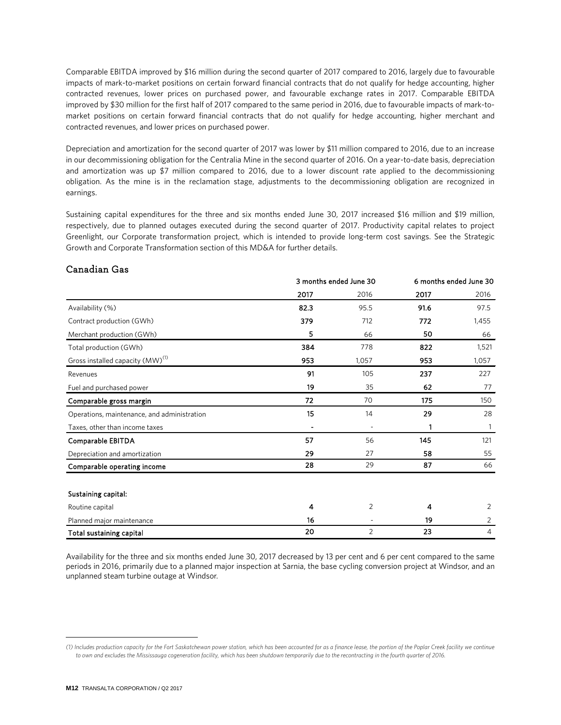Comparable EBITDA improved by \$16 million during the second quarter of 2017 compared to 2016, largely due to favourable impacts of mark-to-market positions on certain forward financial contracts that do not qualify for hedge accounting, higher contracted revenues, lower prices on purchased power, and favourable exchange rates in 2017. Comparable EBITDA improved by \$30 million for the first half of 2017 compared to the same period in 2016, due to favourable impacts of mark-tomarket positions on certain forward financial contracts that do not qualify for hedge accounting, higher merchant and contracted revenues, and lower prices on purchased power.

Depreciation and amortization for the second quarter of 2017 was lower by \$11 million compared to 2016, due to an increase in our decommissioning obligation for the Centralia Mine in the second quarter of 2016. On a year-to-date basis, depreciation and amortization was up \$7 million compared to 2016, due to a lower discount rate applied to the decommissioning obligation. As the mine is in the reclamation stage, adjustments to the decommissioning obligation are recognized in earnings.

Sustaining capital expenditures for the three and six months ended June 30, 2017 increased \$16 million and \$19 million, respectively, due to planned outages executed during the second quarter of 2017. Productivity capital relates to project Greenlight, our Corporate transformation project, which is intended to provide long-term cost savings. See the Strategic Growth and Corporate Transformation section of this MD&A for further details.

|                                              | 3 months ended June 30 |                | 6 months ended June 30 |       |
|----------------------------------------------|------------------------|----------------|------------------------|-------|
|                                              | 2017                   | 2016           | 2017                   | 2016  |
| Availability (%)                             | 82.3                   | 95.5           | 91.6                   | 97.5  |
| Contract production (GWh)                    | 379                    | 712            | 772                    | 1,455 |
| Merchant production (GWh)                    | 5                      | 66             | 50                     | 66    |
| Total production (GWh)                       | 384                    | 778            | 822                    | 1,521 |
| Gross installed capacity (MW) <sup>(1)</sup> | 953                    | 1,057          | 953                    | 1,057 |
| Revenues                                     | 91                     | 105            | 237                    | 227   |
| Fuel and purchased power                     | 19                     | 35             | 62                     | 77    |
| Comparable gross margin                      | 72                     | 70             | 175                    | 150   |
| Operations, maintenance, and administration  | 15                     | 14             | 29                     | 28    |
| Taxes, other than income taxes               |                        |                | 1                      | 1     |
| Comparable EBITDA                            | 57                     | 56             | 145                    | 121   |
| Depreciation and amortization                | 29                     | 27             | 58                     | 55    |
| Comparable operating income                  | 28                     | 29             | 87                     | 66    |
|                                              |                        |                |                        |       |
| Sustaining capital:                          |                        |                |                        |       |
| Routine capital                              | 4                      | $\overline{2}$ | 4                      | 2     |
| Planned major maintenance                    | 16                     |                | 19                     | 2     |
| Total sustaining capital                     | 20                     | 2              | 23                     | 4     |

### Canadian Gas

Availability for the three and six months ended June 30, 2017 decreased by 13 per cent and 6 per cent compared to the same periods in 2016, primarily due to a planned major inspection at Sarnia, the base cycling conversion project at Windsor, and an unplanned steam turbine outage at Windsor.

<span id="page-11-0"></span>*<sup>(1)</sup> Includes production capacity for the Fort Saskatchewan power station, which has been accounted for as a finance lease, the portion of the Poplar Creek facility we continue to own and excludes the Mississauga cogeneration facility, which has been shutdown temporarily due to the recontracting in the fourth quarter of 2016.*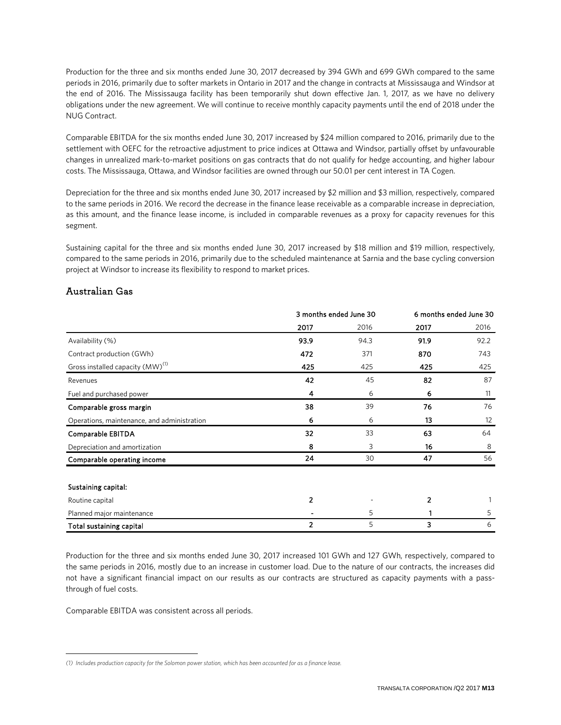Production for the three and six months ended June 30, 2017 decreased by 394 GWh and 699 GWh compared to the same periods in 2016, primarily due to softer markets in Ontario in 2017 and the change in contracts at Mississauga and Windsor at the end of 2016. The Mississauga facility has been temporarily shut down effective Jan. 1, 2017, as we have no delivery obligations under the new agreement. We will continue to receive monthly capacity payments until the end of 2018 under the NUG Contract.

Comparable EBITDA for the six months ended June 30, 2017 increased by \$24 million compared to 2016, primarily due to the settlement with OEFC for the retroactive adjustment to price indices at Ottawa and Windsor, partially offset by unfavourable changes in unrealized mark-to-market positions on gas contracts that do not qualify for hedge accounting, and higher labour costs. The Mississauga, Ottawa, and Windsor facilities are owned through our 50.01 per cent interest in TA Cogen.

Depreciation for the three and six months ended June 30, 2017 increased by \$2 million and \$3 million, respectively, compared to the same periods in 2016. We record the decrease in the finance lease receivable as a comparable increase in depreciation, as this amount, and the finance lease income, is included in comparable revenues as a proxy for capacity revenues for this segment.

Sustaining capital for the three and six months ended June 30, 2017 increased by \$18 million and \$19 million, respectively, compared to the same periods in 2016, primarily due to the scheduled maintenance at Sarnia and the base cycling conversion project at Windsor to increase its flexibility to respond to market prices.

### Australian Gas

|                                              | 3 months ended June 30 |      |      | 6 months ended June 30 |
|----------------------------------------------|------------------------|------|------|------------------------|
|                                              | 2017                   | 2016 | 2017 | 2016                   |
| Availability (%)                             | 93.9                   | 94.3 | 91.9 | 92.2                   |
| Contract production (GWh)                    | 472                    | 371  | 870  | 743                    |
| Gross installed capacity (MW) <sup>(1)</sup> | 425                    | 425  | 425  | 425                    |
| Revenues                                     | 42                     | 45   | 82   | 87                     |
| Fuel and purchased power                     | 4                      | 6    | 6    | 11                     |
| Comparable gross margin                      | 38                     | 39   | 76   | 76                     |
| Operations, maintenance, and administration  | 6                      | 6    | 13   | $12 \overline{ }$      |
| Comparable EBITDA                            | 32                     | 33   | 63   | 64                     |
| Depreciation and amortization                | 8                      | 3    | 16   | 8                      |
| Comparable operating income                  | 24                     | 30   | 47   | 56                     |
| Sustaining capital:                          |                        |      |      |                        |
| Routine capital                              | $\overline{2}$         |      | 2    |                        |
| Planned major maintenance                    |                        | 5    |      | 5                      |
| Total sustaining capital                     | 2                      | 5    | 3    | 6                      |

Production for the three and six months ended June 30, 2017 increased 101 GWh and 127 GWh, respectively, compared to the same periods in 2016, mostly due to an increase in customer load. Due to the nature of our contracts, the increases did not have a significant financial impact on our results as our contracts are structured as capacity payments with a passthrough of fuel costs.

Comparable EBITDA was consistent across all periods.

<span id="page-12-0"></span>*<sup>(1)</sup> Includes production capacity for the Solomon power station, which has been accounted for as a finance lease.*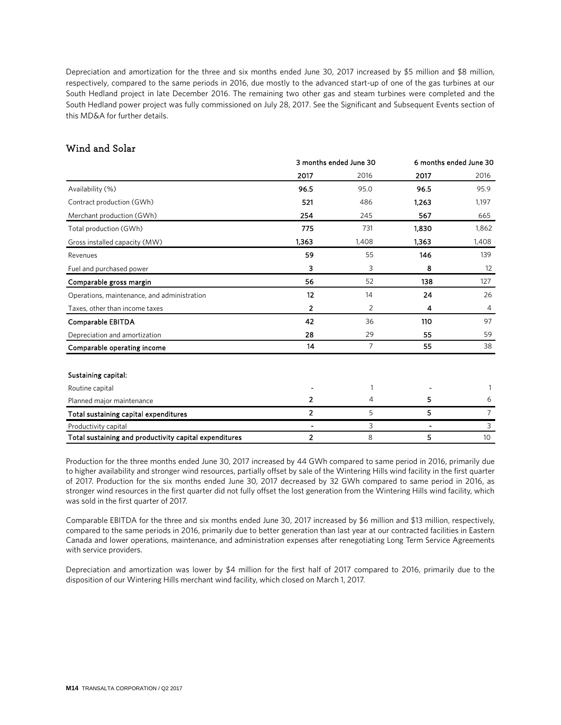Depreciation and amortization for the three and six months ended June 30, 2017 increased by \$5 million and \$8 million, respectively, compared to the same periods in 2016, due mostly to the advanced start-up of one of the gas turbines at our South Hedland project in late December 2016. The remaining two other gas and steam turbines were completed and the South Hedland power project was fully commissioned on July 28, 2017. See the Significant and Subsequent Events section of this MD&A for further details.

## Wind and Solar

|                                                        | 3 months ended June 30       |       | 6 months ended June 30 |                |
|--------------------------------------------------------|------------------------------|-------|------------------------|----------------|
|                                                        | 2017                         | 2016  | 2017                   | 2016           |
| Availability (%)                                       | 96.5                         | 95.0  | 96.5                   | 95.9           |
| Contract production (GWh)                              | 521                          | 486   | 1,263                  | 1,197          |
| Merchant production (GWh)                              | 254                          | 245   | 567                    | 665            |
| Total production (GWh)                                 | 775                          | 731   | 1.830                  | 1,862          |
| Gross installed capacity (MW)                          | 1,363                        | 1,408 | 1.363                  | 1,408          |
| Revenues                                               | 59                           | 55    | 146                    | 139            |
| Fuel and purchased power                               | 3                            | 3     | 8                      | 12             |
| Comparable gross margin                                | 56                           | 52    | 138                    | 127            |
| Operations, maintenance, and administration            | 12                           | 14    | 24                     | 26             |
| Taxes, other than income taxes                         | 2                            | 2     | 4                      | $\overline{4}$ |
| Comparable EBITDA                                      | 42                           | 36    | 110                    | 97             |
| Depreciation and amortization                          | 28                           | 29    | 55                     | 59             |
| Comparable operating income                            | 14                           | 7     | 55                     | 38             |
| Sustaining capital:                                    |                              |       |                        |                |
| Routine capital                                        |                              |       |                        | 1              |
| Planned major maintenance                              | 2                            | 4     | 5                      | 6              |
| Total sustaining capital expenditures                  | $\overline{2}$               | 5     | 5                      | $\overline{7}$ |
| Productivity capital                                   | $\qquad \qquad \blacksquare$ | 3     | $\blacksquare$         | 3              |
| Total sustaining and productivity capital expenditures | $\overline{2}$               | 8     | 5                      | 10             |

Production for the three months ended June 30, 2017 increased by 44 GWh compared to same period in 2016, primarily due to higher availability and stronger wind resources, partially offset by sale of the Wintering Hills wind facility in the first quarter of 2017. Production for the six months ended June 30, 2017 decreased by 32 GWh compared to same period in 2016, as stronger wind resources in the first quarter did not fully offset the lost generation from the Wintering Hills wind facility, which was sold in the first quarter of 2017.

Comparable EBITDA for the three and six months ended June 30, 2017 increased by \$6 million and \$13 million, respectively, compared to the same periods in 2016, primarily due to better generation than last year at our contracted facilities in Eastern Canada and lower operations, maintenance, and administration expenses after renegotiating Long Term Service Agreements with service providers.

Depreciation and amortization was lower by \$4 million for the first half of 2017 compared to 2016, primarily due to the disposition of our Wintering Hills merchant wind facility, which closed on March 1, 2017.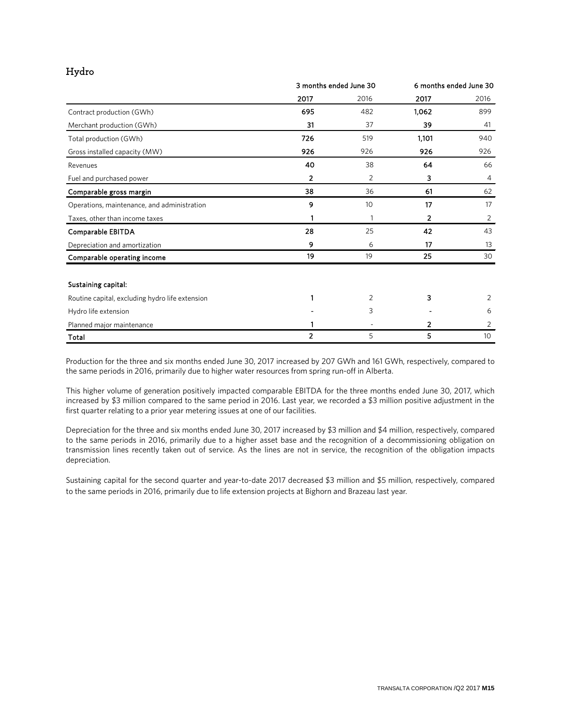## Hydro

|                                                 | 3 months ended June 30 |      | 6 months ended June 30 |      |
|-------------------------------------------------|------------------------|------|------------------------|------|
|                                                 | 2017                   | 2016 | 2017                   | 2016 |
| Contract production (GWh)                       | 695                    | 482  | 1.062                  | 899  |
| Merchant production (GWh)                       | 31                     | 37   | 39                     | 41   |
| Total production (GWh)                          | 726                    | 519  | 1,101                  | 940  |
| Gross installed capacity (MW)                   | 926                    | 926  | 926                    | 926  |
| Revenues                                        | 40                     | 38   | 64                     | 66   |
| Fuel and purchased power                        | 2                      | 2    | 3                      | 4    |
| Comparable gross margin                         | 38                     | 36   | 61                     | 62   |
| Operations, maintenance, and administration     | 9                      | 10   | 17                     | 17   |
| Taxes, other than income taxes                  |                        |      | 2                      | 2    |
| Comparable EBITDA                               | 28                     | 25   | 42                     | 43   |
| Depreciation and amortization                   | 9                      | 6    | 17                     | 13   |
| Comparable operating income                     | 19                     | 19   | 25                     | 30   |
| Sustaining capital:                             |                        |      |                        |      |
| Routine capital, excluding hydro life extension |                        | 2    | 3                      | 2    |
| Hydro life extension                            |                        | 3    |                        | 6    |
| Planned major maintenance                       |                        |      | 2                      | 2    |
| Total                                           | 2                      | 5    | 5                      | 10   |

Production for the three and six months ended June 30, 2017 increased by 207 GWh and 161 GWh, respectively, compared to the same periods in 2016, primarily due to higher water resources from spring run-off in Alberta.

This higher volume of generation positively impacted comparable EBITDA for the three months ended June 30, 2017, which increased by \$3 million compared to the same period in 2016. Last year, we recorded a \$3 million positive adjustment in the first quarter relating to a prior year metering issues at one of our facilities.

Depreciation for the three and six months ended June 30, 2017 increased by \$3 million and \$4 million, respectively, compared to the same periods in 2016, primarily due to a higher asset base and the recognition of a decommissioning obligation on transmission lines recently taken out of service. As the lines are not in service, the recognition of the obligation impacts depreciation.

Sustaining capital for the second quarter and year-to-date 2017 decreased \$3 million and \$5 million, respectively, compared to the same periods in 2016, primarily due to life extension projects at Bighorn and Brazeau last year.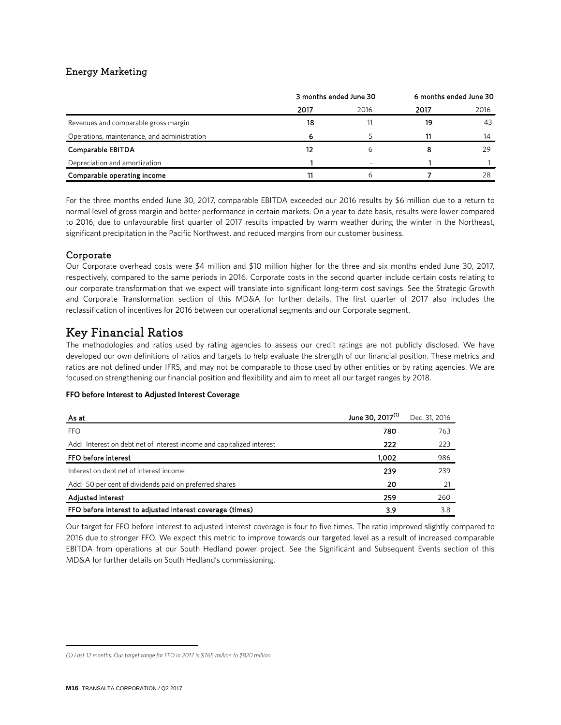## Energy Marketing

|                                             | 3 months ended June 30 |      | 6 months ended June 30 |      |
|---------------------------------------------|------------------------|------|------------------------|------|
|                                             | 2017                   | 2016 | 2017                   | 2016 |
| Revenues and comparable gross margin        | 18                     |      | 19                     | 43   |
| Operations, maintenance, and administration | 6                      |      |                        | 14   |
| Comparable EBITDA                           | 12                     |      |                        | 29   |
| Depreciation and amortization               |                        |      |                        |      |
| Comparable operating income                 |                        |      |                        | 28   |

For the three months ended June 30, 2017, comparable EBITDA exceeded our 2016 results by \$6 million due to a return to normal level of gross margin and better performance in certain markets. On a year to date basis, results were lower compared to 2016, due to unfavourable first quarter of 2017 results impacted by warm weather during the winter in the Northeast, significant precipitation in the Pacific Northwest, and reduced margins from our customer business.

### Corporate

Our Corporate overhead costs were \$4 million and \$10 million higher for the three and six months ended June 30, 2017, respectively, compared to the same periods in 2016. Corporate costs in the second quarter include certain costs relating to our corporate transformation that we expect will translate into significant long-term cost savings. See the Strategic Growth and Corporate Transformation section of this MD&A for further details. The first quarter of 2017 also includes the reclassification of incentives for 2016 between our operational segments and our Corporate segment.

## Key Financial Ratios

The methodologies and ratios used by rating agencies to assess our credit ratings are not publicly disclosed. We have developed our own definitions of ratios and targets to help evaluate the strength of our financial position. These metrics and ratios are not defined under IFRS, and may not be comparable to those used by other entities or by rating agencies. We are focused on strengthening our financial position and flexibility and aim to meet all our target ranges by 2018.

#### **FFO** before Interest to Adjusted Interest Coverage

| As at                                                                 | June 30, 2017 <sup>(1)</sup> | Dec. 31, 2016 |
|-----------------------------------------------------------------------|------------------------------|---------------|
| <b>FFO</b>                                                            | 780                          | 763           |
| Add: Interest on debt net of interest income and capitalized interest | 222                          | 223           |
| FFO before interest                                                   | 1,002                        | 986           |
| Interest on debt net of interest income                               | 239                          | 239           |
| Add: 50 per cent of dividends paid on preferred shares                | 20                           | 21            |
| <b>Adjusted interest</b>                                              | 259                          | 260           |
| FFO before interest to adjusted interest coverage (times)             | 3.9                          | 3.8           |

Our target for FFO before interest to adjusted interest coverage is four to five times. The ratio improved slightly compared to 2016 due to stronger FFO. We expect this metric to improve towards our targeted level as a result of increased comparable EBITDA from operations at our South Hedland power project. See the Significant and Subsequent Events section of this MD&A for further details on South Hedland's commissioning.

<span id="page-15-0"></span>*<sup>(1)</sup> Last 12 months. Our target range for FFO in 2017 is \$765 million to \$820 million.*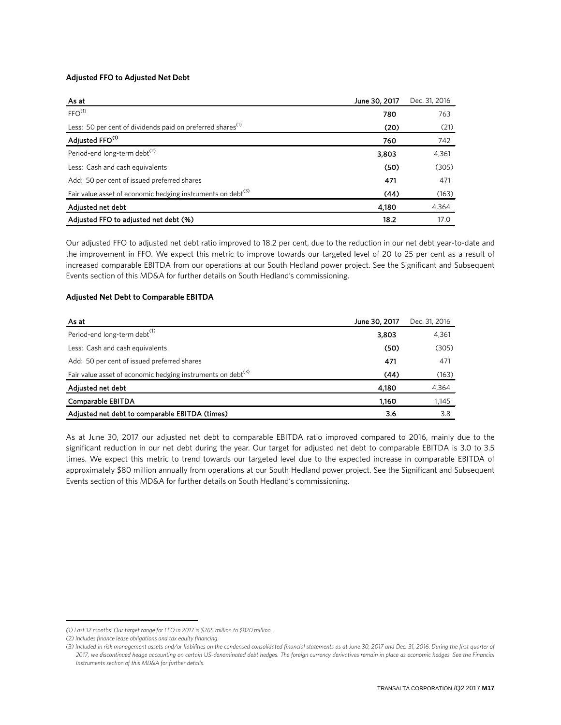#### **Adjusted FFO to Adjusted Net Debt**

| As at                                                                   | June 30, 2017 | Dec. 31, 2016 |
|-------------------------------------------------------------------------|---------------|---------------|
| FFO <sup>(1)</sup>                                                      | 780           | 763           |
| Less: 50 per cent of dividends paid on preferred shares <sup>(1)</sup>  | (20)          | (21)          |
| Adjusted FFO <sup>(1)</sup>                                             | 760           | 742           |
| Period-end long-term debt <sup>(2)</sup>                                | 3,803         | 4,361         |
| Less: Cash and cash equivalents                                         | (50)          | (305)         |
| Add: 50 per cent of issued preferred shares                             | 471           | 471           |
| Fair value asset of economic hedging instruments on debt <sup>(3)</sup> | (44)          | (163)         |
| Adjusted net debt                                                       | 4,180         | 4,364         |
| Adjusted FFO to adjusted net debt (%)                                   | 18.2          | 17.0          |

Our adjusted FFO to adjusted net debt ratio improved to 18.2 per cent, due to the reduction in our net debt year-to-date and the improvement in FFO. We expect this metric to improve towards our targeted level of 20 to 25 per cent as a result of increased comparable EBITDA from our operations at our South Hedland power project. See the Significant and Subsequent Events section of this MD&A for further details on South Hedland's commissioning.

#### **Adjusted Net Debt to Comparable EBITDA**

| As at                                                                   | June 30, 2017 | Dec. 31, 2016 |
|-------------------------------------------------------------------------|---------------|---------------|
| Period-end long-term debt <sup>(1)</sup>                                | 3,803         | 4,361         |
| Less: Cash and cash equivalents                                         | (50)          | (305)         |
| Add: 50 per cent of issued preferred shares                             | 471           | 471           |
| Fair value asset of economic hedging instruments on debt <sup>(3)</sup> | (44)          | (163)         |
| Adjusted net debt                                                       | 4,180         | 4,364         |
| Comparable EBITDA                                                       | 1.160         | 1,145         |
| Adjusted net debt to comparable EBITDA (times)                          | 3.6           | 3.8           |

As at June 30, 2017 our adjusted net debt to comparable EBITDA ratio improved compared to 2016, mainly due to the significant reduction in our net debt during the year. Our target for adjusted net debt to comparable EBITDA is 3.0 to 3.5 times. We expect this metric to trend towards our targeted level due to the expected increase in comparable EBITDA of approximately \$80 million annually from operations at our South Hedland power project. See the Significant and Subsequent Events section of this MD&A for further details on South Hedland's commissioning.

<span id="page-16-0"></span>*<sup>(1)</sup> Last 12 months. Our target range for FFO in 2017 is \$765 million to \$820 million.*

*<sup>(2)</sup> Includes finance lease obligations and tax equity financing.*

*<sup>(3)</sup> Included in risk management assets and/or liabilities on the condensed consolidated financial statements as at June 30, 2017 and Dec. 31, 2016. During the first quarter of 2017, we discontinued hedge accounting on certain US-denominated debt hedges. The foreign currency derivatives remain in place as economic hedges. See the Financial Instruments section of this MD&A for further details.*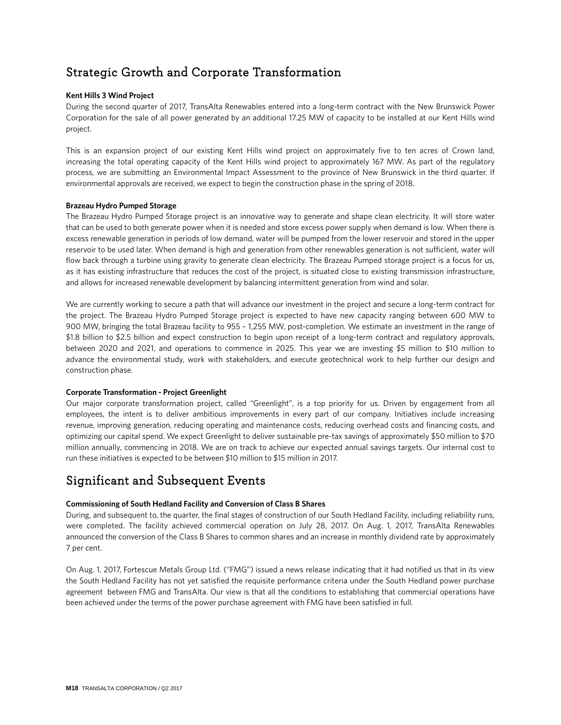## Strategic Growth and Corporate Transformation

### **Kent Hills 3 Wind Project**

During the second quarter of 2017, TransAlta Renewables entered into a long-term contract with the New Brunswick Power Corporation for the sale of all power generated by an additional 17.25 MW of capacity to be installed at our Kent Hills wind project.

This is an expansion project of our existing Kent Hills wind project on approximately five to ten acres of Crown land, increasing the total operating capacity of the Kent Hills wind project to approximately 167 MW. As part of the regulatory process, we are submitting an Environmental Impact Assessment to the province of New Brunswick in the third quarter. If environmental approvals are received, we expect to begin the construction phase in the spring of 2018.

#### **Brazeau Hydro Pumped Storage**

The Brazeau Hydro Pumped Storage project is an innovative way to generate and shape clean electricity. It will store water that can be used to both generate power when it is needed and store excess power supply when demand is low. When there is excess renewable generation in periods of low demand, water will be pumped from the lower reservoir and stored in the upper reservoir to be used later. When demand is high and generation from other renewables generation is not sufficient, water will flow back through a turbine using gravity to generate clean electricity. The Brazeau Pumped storage project is a focus for us, as it has existing infrastructure that reduces the cost of the project, is situated close to existing transmission infrastructure, and allows for increased renewable development by balancing intermittent generation from wind and solar.

We are currently working to secure a path that will advance our investment in the project and secure a long-term contract for the project. The Brazeau Hydro Pumped Storage project is expected to have new capacity ranging between 600 MW to 900 MW, bringing the total Brazeau facility to 955 – 1,255 MW, post-completion. We estimate an investment in the range of \$1.8 billion to \$2.5 billion and expect construction to begin upon receipt of a long-term contract and regulatory approvals, between 2020 and 2021, and operations to commence in 2025. This year we are investing \$5 million to \$10 million to advance the environmental study, work with stakeholders, and execute geotechnical work to help further our design and construction phase.

#### **Corporate Transformation - Project Greenlight**

Our major corporate transformation project, called "Greenlight", is a top priority for us. Driven by engagement from all employees, the intent is to deliver ambitious improvements in every part of our company. Initiatives include increasing revenue, improving generation, reducing operating and maintenance costs, reducing overhead costs and financing costs, and optimizing our capital spend. We expect Greenlight to deliver sustainable pre-tax savings of approximately \$50 million to \$70 million annually, commencing in 2018. We are on track to achieve our expected annual savings targets. Our internal cost to run these initiatives is expected to be between \$10 million to \$15 million in 2017.

## Significant and Subsequent Events

### **Commissioning of South Hedland Facility and Conversion of Class B Shares**

During, and subsequent to, the quarter, the final stages of construction of our South Hedland Facility, including reliability runs, were completed. The facility achieved commercial operation on July 28, 2017. On Aug. 1, 2017, TransAlta Renewables announced the conversion of the Class B Shares to common shares and an increase in monthly dividend rate by approximately 7 per cent.

On Aug. 1, 2017, Fortescue Metals Group Ltd. ("FMG") issued a news release indicating that it had notified us that in its view the South Hedland Facility has not yet satisfied the requisite performance criteria under the South Hedland power purchase agreement between FMG and TransAlta. Our view is that all the conditions to establishing that commercial operations have been achieved under the terms of the power purchase agreement with FMG have been satisfied in full.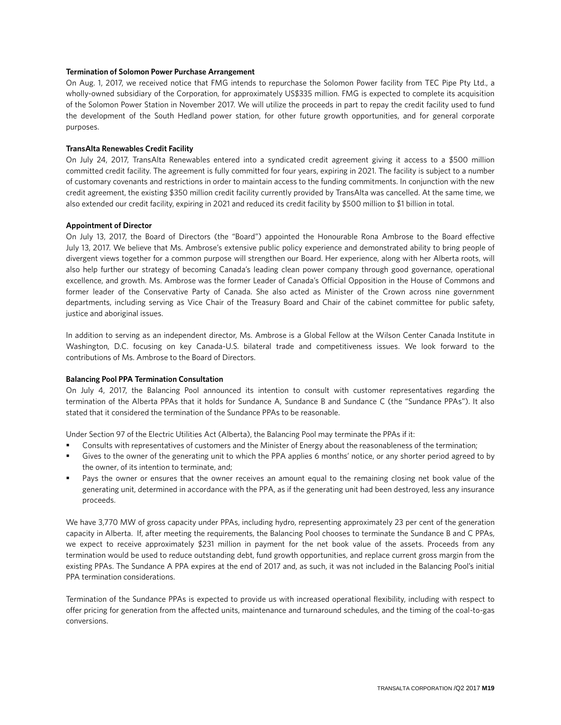#### **Termination of Solomon Power Purchase Arrangement**

On Aug. 1, 2017, we received notice that FMG intends to repurchase the Solomon Power facility from TEC Pipe Pty Ltd., a wholly-owned subsidiary of the Corporation, for approximately US\$335 million. FMG is expected to complete its acquisition of the Solomon Power Station in November 2017. We will utilize the proceeds in part to repay the credit facility used to fund the development of the South Hedland power station, for other future growth opportunities, and for general corporate purposes.

#### **TransAlta Renewables Credit Facility**

On July 24, 2017, TransAlta Renewables entered into a syndicated credit agreement giving it access to a \$500 million committed credit facility. The agreement is fully committed for four years, expiring in 2021. The facility is subject to a number of customary covenants and restrictions in order to maintain access to the funding commitments. In conjunction with the new credit agreement, the existing \$350 million credit facility currently provided by TransAlta was cancelled. At the same time, we also extended our credit facility, expiring in 2021 and reduced its credit facility by \$500 million to \$1 billion in total.

#### **Appointment of Director**

On July 13, 2017, the Board of Directors (the "Board") appointed the Honourable Rona Ambrose to the Board effective July 13, 2017. We believe that Ms. Ambrose's extensive public policy experience and demonstrated ability to bring people of divergent views together for a common purpose will strengthen our Board. Her experience, along with her Alberta roots, will also help further our strategy of becoming Canada's leading clean power company through good governance, operational excellence, and growth. Ms. Ambrose was the former Leader of Canada's Official Opposition in the House of Commons and former leader of the Conservative Party of Canada. She also acted as Minister of the Crown across nine government departments, including serving as Vice Chair of the Treasury Board and Chair of the cabinet committee for public safety, justice and aboriginal issues.

In addition to serving as an independent director, Ms. Ambrose is a Global Fellow at the Wilson Center Canada Institute in Washington, D.C. focusing on key Canada-U.S. bilateral trade and competitiveness issues. We look forward to the contributions of Ms. Ambrose to the Board of Directors.

#### **Balancing Pool PPA Termination Consultation**

On July 4, 2017, the Balancing Pool announced its intention to consult with customer representatives regarding the termination of the Alberta PPAs that it holds for Sundance A, Sundance B and Sundance C (the "Sundance PPAs"). It also stated that it considered the termination of the Sundance PPAs to be reasonable.

Under Section 97 of the Electric Utilities Act (Alberta), the Balancing Pool may terminate the PPAs if it:

- Consults with representatives of customers and the Minister of Energy about the reasonableness of the termination;
- Gives to the owner of the generating unit to which the PPA applies 6 months' notice, or any shorter period agreed to by the owner, of its intention to terminate, and;
- Pays the owner or ensures that the owner receives an amount equal to the remaining closing net book value of the generating unit, determined in accordance with the PPA, as if the generating unit had been destroyed, less any insurance proceeds.

We have 3,770 MW of gross capacity under PPAs, including hydro, representing approximately 23 per cent of the generation capacity in Alberta. If, after meeting the requirements, the Balancing Pool chooses to terminate the Sundance B and C PPAs, we expect to receive approximately \$231 million in payment for the net book value of the assets. Proceeds from any termination would be used to reduce outstanding debt, fund growth opportunities, and replace current gross margin from the existing PPAs. The Sundance A PPA expires at the end of 2017 and, as such, it was not included in the Balancing Pool's initial PPA termination considerations.

Termination of the Sundance PPAs is expected to provide us with increased operational flexibility, including with respect to offer pricing for generation from the affected units, maintenance and turnaround schedules, and the timing of the coal-to-gas conversions.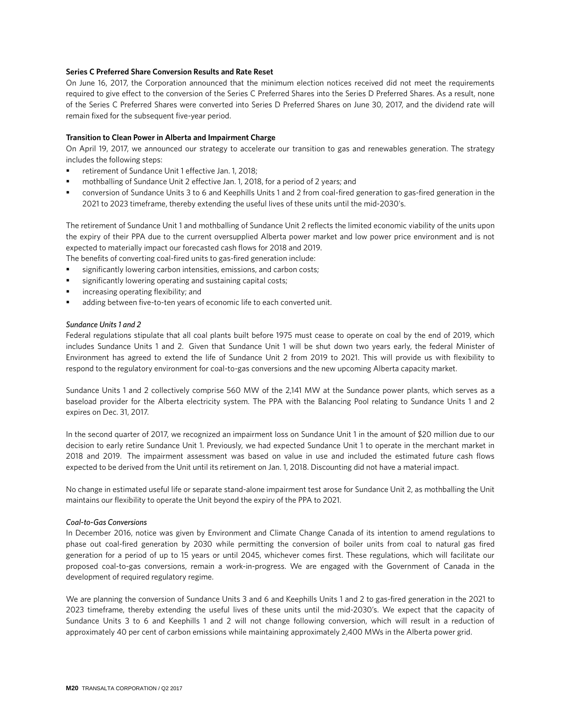#### **Series C Preferred Share Conversion Results and Rate Reset**

On June 16, 2017, the Corporation announced that the minimum election notices received did not meet the requirements required to give effect to the conversion of the Series C Preferred Shares into the Series D Preferred Shares. As a result, none of the Series C Preferred Shares were converted into Series D Preferred Shares on June 30, 2017, and the dividend rate will remain fixed for the subsequent five-year period.

#### **Transition to Clean Power in Alberta and Impairment Charge**

On April 19, 2017, we announced our strategy to accelerate our transition to gas and renewables generation. The strategy includes the following steps:

- retirement of Sundance Unit 1 effective Jan. 1, 2018;
- mothballing of Sundance Unit 2 effective Jan. 1, 2018, for a period of 2 years; and
- conversion of Sundance Units 3 to 6 and Keephills Units 1 and 2 from coal-fired generation to gas-fired generation in the 2021 to 2023 timeframe, thereby extending the useful lives of these units until the mid-2030's.

The retirement of Sundance Unit 1 and mothballing of Sundance Unit 2 reflects the limited economic viability of the units upon the expiry of their PPA due to the current oversupplied Alberta power market and low power price environment and is not expected to materially impact our forecasted cash flows for 2018 and 2019.

The benefits of converting coal-fired units to gas-fired generation include:

- significantly lowering carbon intensities, emissions, and carbon costs;
- significantly lowering operating and sustaining capital costs;
- increasing operating flexibility; and
- adding between five-to-ten years of economic life to each converted unit.

#### *Sundance Units 1 and 2*

Federal regulations stipulate that all coal plants built before 1975 must cease to operate on coal by the end of 2019, which includes Sundance Units 1 and 2. Given that Sundance Unit 1 will be shut down two years early, the federal Minister of Environment has agreed to extend the life of Sundance Unit 2 from 2019 to 2021. This will provide us with flexibility to respond to the regulatory environment for coal-to-gas conversions and the new upcoming Alberta capacity market.

Sundance Units 1 and 2 collectively comprise 560 MW of the 2,141 MW at the Sundance power plants, which serves as a baseload provider for the Alberta electricity system. The PPA with the Balancing Pool relating to Sundance Units 1 and 2 expires on Dec. 31, 2017.

In the second quarter of 2017, we recognized an impairment loss on Sundance Unit 1 in the amount of \$20 million due to our decision to early retire Sundance Unit 1. Previously, we had expected Sundance Unit 1 to operate in the merchant market in 2018 and 2019. The impairment assessment was based on value in use and included the estimated future cash flows expected to be derived from the Unit until its retirement on Jan. 1, 2018. Discounting did not have a material impact.

No change in estimated useful life or separate stand-alone impairment test arose for Sundance Unit 2, as mothballing the Unit maintains our flexibility to operate the Unit beyond the expiry of the PPA to 2021.

#### *Coal-to-Gas Conversions*

In December 2016, notice was given by Environment and Climate Change Canada of its intention to amend regulations to phase out coal-fired generation by 2030 while permitting the conversion of boiler units from coal to natural gas fired generation for a period of up to 15 years or until 2045, whichever comes first. These regulations, which will facilitate our proposed coal-to-gas conversions, remain a work-in-progress. We are engaged with the Government of Canada in the development of required regulatory regime.

We are planning the conversion of Sundance Units 3 and 6 and Keephills Units 1 and 2 to gas-fired generation in the 2021 to 2023 timeframe, thereby extending the useful lives of these units until the mid-2030's. We expect that the capacity of Sundance Units 3 to 6 and Keephills 1 and 2 will not change following conversion, which will result in a reduction of approximately 40 per cent of carbon emissions while maintaining approximately 2,400 MWs in the Alberta power grid.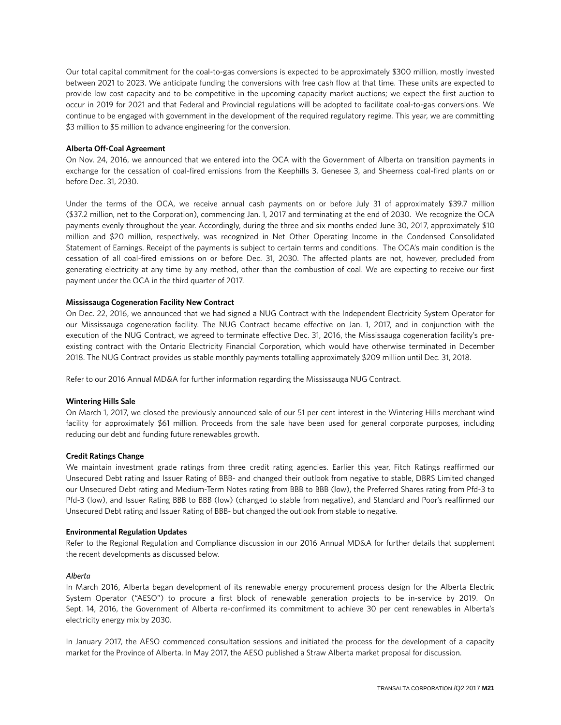Our total capital commitment for the coal-to-gas conversions is expected to be approximately \$300 million, mostly invested between 2021 to 2023. We anticipate funding the conversions with free cash flow at that time. These units are expected to provide low cost capacity and to be competitive in the upcoming capacity market auctions; we expect the first auction to occur in 2019 for 2021 and that Federal and Provincial regulations will be adopted to facilitate coal-to-gas conversions. We continue to be engaged with government in the development of the required regulatory regime. This year, we are committing \$3 million to \$5 million to advance engineering for the conversion.

#### **Alberta Off-Coal Agreement**

On Nov. 24, 2016, we announced that we entered into the OCA with the Government of Alberta on transition payments in exchange for the cessation of coal-fired emissions from the Keephills 3, Genesee 3, and Sheerness coal-fired plants on or before Dec. 31, 2030.

Under the terms of the OCA, we receive annual cash payments on or before July 31 of approximately \$39.7 million (\$37.2 million, net to the Corporation), commencing Jan. 1, 2017 and terminating at the end of 2030. We recognize the OCA payments evenly throughout the year. Accordingly, during the three and six months ended June 30, 2017, approximately \$10 million and \$20 million, respectively, was recognized in Net Other Operating Income in the Condensed Consolidated Statement of Earnings. Receipt of the payments is subject to certain terms and conditions. The OCA's main condition is the cessation of all coal-fired emissions on or before Dec. 31, 2030. The affected plants are not, however, precluded from generating electricity at any time by any method, other than the combustion of coal. We are expecting to receive our first payment under the OCA in the third quarter of 2017.

#### **Mississauga Cogeneration Facility New Contract**

On Dec. 22, 2016, we announced that we had signed a NUG Contract with the Independent Electricity System Operator for our Mississauga cogeneration facility. The NUG Contract became effective on Jan. 1, 2017, and in conjunction with the execution of the NUG Contract, we agreed to terminate effective Dec. 31, 2016, the Mississauga cogeneration facility's preexisting contract with the Ontario Electricity Financial Corporation, which would have otherwise terminated in December 2018. The NUG Contract provides us stable monthly payments totalling approximately \$209 million until Dec. 31, 2018.

Refer to our 2016 Annual MD&A for further information regarding the Mississauga NUG Contract.

#### **Wintering Hills Sale**

On March 1, 2017, we closed the previously announced sale of our 51 per cent interest in the Wintering Hills merchant wind facility for approximately \$61 million. Proceeds from the sale have been used for general corporate purposes, including reducing our debt and funding future renewables growth.

#### **Credit Ratings Change**

We maintain investment grade ratings from three credit rating agencies. Earlier this year, Fitch Ratings reaffirmed our Unsecured Debt rating and Issuer Rating of BBB- and changed their outlook from negative to stable, DBRS Limited changed our Unsecured Debt rating and Medium-Term Notes rating from BBB to BBB (low), the Preferred Shares rating from Pfd-3 to Pfd-3 (low), and Issuer Rating BBB to BBB (low) (changed to stable from negative), and Standard and Poor's reaffirmed our Unsecured Debt rating and Issuer Rating of BBB- but changed the outlook from stable to negative.

#### **Environmental Regulation Updates**

Refer to the Regional Regulation and Compliance discussion in our 2016 Annual MD&A for further details that supplement the recent developments as discussed below.

#### *Alberta*

In March 2016, Alberta began development of its renewable energy procurement process design for the Alberta Electric System Operator ("AESO") to procure a first block of renewable generation projects to be in-service by 2019. On Sept. 14, 2016, the Government of Alberta re-confirmed its commitment to achieve 30 per cent renewables in Alberta's electricity energy mix by 2030.

In January 2017, the AESO commenced consultation sessions and initiated the process for the development of a capacity market for the Province of Alberta. In May 2017, the AESO published a Straw Alberta market proposal for discussion.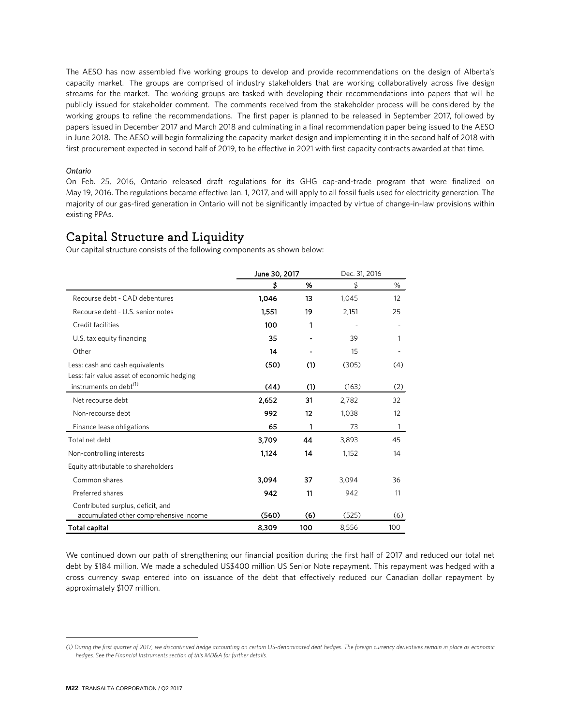The AESO has now assembled five working groups to develop and provide recommendations on the design of Alberta's capacity market. The groups are comprised of industry stakeholders that are working collaboratively across five design streams for the market. The working groups are tasked with developing their recommendations into papers that will be publicly issued for stakeholder comment. The comments received from the stakeholder process will be considered by the working groups to refine the recommendations. The first paper is planned to be released in September 2017, followed by papers issued in December 2017 and March 2018 and culminating in a final recommendation paper being issued to the AESO in June 2018. The AESO will begin formalizing the capacity market design and implementing it in the second half of 2018 with first procurement expected in second half of 2019, to be effective in 2021 with first capacity contracts awarded at that time.

#### *Ontario*

On Feb. 25, 2016, Ontario released draft regulations for its GHG cap-and-trade program that were finalized on May 19, 2016. The regulations became effective Jan. 1, 2017, and will apply to all fossil fuels used for electricity generation. The majority of our gas-fired generation in Ontario will not be significantly impacted by virtue of change-in-law provisions within existing PPAs.

## Capital Structure and Liquidity **[1](#page-21-0)**

Our capital structure consists of the following components as shown below:

|                                            | June 30, 2017 |     | Dec. 31, 2016 |     |
|--------------------------------------------|---------------|-----|---------------|-----|
|                                            | \$            | %   | \$            | %   |
| Recourse debt - CAD debentures             | 1,046         | 13  | 1,045         | 12  |
| Recourse debt - U.S. senior notes          | 1,551         | 19  | 2,151         | 25  |
| Credit facilities                          | 100           | 1   |               |     |
| U.S. tax equity financing                  | 35            |     | 39            |     |
| Other                                      | 14            |     | 15            |     |
| Less: cash and cash equivalents            | (50)          | (1) | (305)         | (4) |
| Less: fair value asset of economic hedging |               |     |               |     |
| instruments on debt <sup>(1)</sup>         | (44)          | (1) | (163)         | (2) |
| Net recourse debt                          | 2,652         | 31  | 2,782         | 32  |
| Non-recourse debt                          | 992           | 12  | 1,038         | 12  |
| Finance lease obligations                  | 65            | 1   | 73            | 1   |
| Total net debt                             | 3,709         | 44  | 3,893         | 45  |
| Non-controlling interests                  | 1,124         | 14  | 1,152         | 14  |
| Equity attributable to shareholders        |               |     |               |     |
| Common shares                              | 3.094         | 37  | 3,094         | 36  |
| Preferred shares                           | 942           | 11  | 942           | 11  |
| Contributed surplus, deficit, and          |               |     |               |     |
| accumulated other comprehensive income     | (560)         | (6) | (525)         | (6) |
| Total capital                              | 8,309         | 100 | 8,556         | 100 |

We continued down our path of strengthening our financial position during the first half of 2017 and reduced our total net debt by \$184 million. We made a scheduled US\$400 million US Senior Note repayment. This repayment was hedged with a cross currency swap entered into on issuance of the debt that effectively reduced our Canadian dollar repayment by approximately \$107 million.

<span id="page-21-0"></span>*<sup>(1)</sup> During the first quarter of 2017, we discontinued hedge accounting on certain US-denominated debt hedges. The foreign currency derivatives remain in place as economic hedges. See the Financial Instruments section of this MD&A for further details.*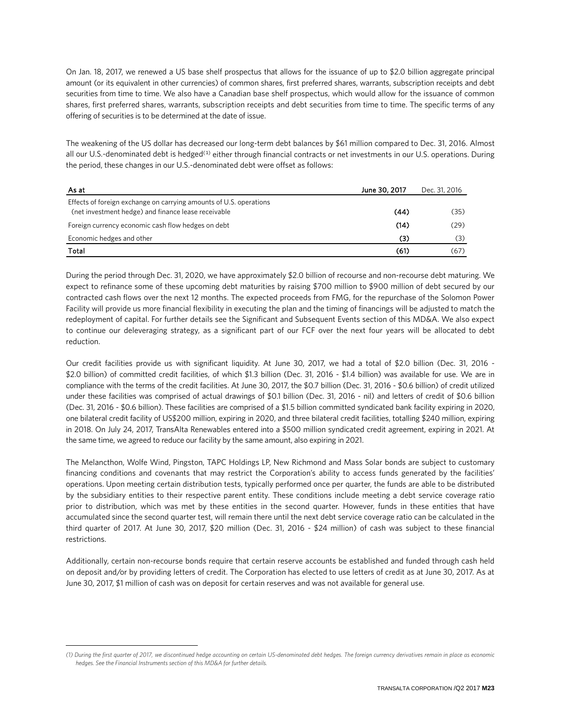On Jan. 18, 2017, we renewed a US base shelf prospectus that allows for the issuance of up to \$2.0 billion aggregate principal amount (or its equivalent in other currencies) of common shares, first preferred shares, warrants, subscription receipts and debt securities from time to time. We also have a Canadian base shelf prospectus, which would allow for the issuance of common shares, first preferred shares, warrants, subscription receipts and debt securities from time to time. The specific terms of any offering of securities is to be determined at the date of issue.

The weakening of the US dollar has decreased our long-term debt balances by \$61 million compared to Dec. 31, 2016. Almost all our U.S.-denominated debt is hedged<sup>([1](#page-22-0))</sup> either through financial contracts or net investments in our U.S. operations. During the period, these changes in our U.S.-denominated debt were offset as follows:

| As at                                                                                                                     | June 30, 2017 | Dec. 31, 2016 |
|---------------------------------------------------------------------------------------------------------------------------|---------------|---------------|
| Effects of foreign exchange on carrying amounts of U.S. operations<br>(net investment hedge) and finance lease receivable | (44)          | (35)          |
| Foreign currency economic cash flow hedges on debt                                                                        | (14)          | (29)          |
| Economic hedges and other                                                                                                 | (3)           |               |
| Total                                                                                                                     | (61)          | (67)          |

During the period through Dec. 31, 2020, we have approximately \$2.0 billion of recourse and non-recourse debt maturing. We expect to refinance some of these upcoming debt maturities by raising \$700 million to \$900 million of debt secured by our contracted cash flows over the next 12 months. The expected proceeds from FMG, for the repurchase of the Solomon Power Facility will provide us more financial flexibility in executing the plan and the timing of financings will be adjusted to match the redeployment of capital. For further details see the Significant and Subsequent Events section of this MD&A. We also expect to continue our deleveraging strategy, as a significant part of our FCF over the next four years will be allocated to debt reduction.

Our credit facilities provide us with significant liquidity. At June 30, 2017, we had a total of \$2.0 billion (Dec. 31, 2016 - \$2.0 billion) of committed credit facilities, of which \$1.3 billion (Dec. 31, 2016 - \$1.4 billion) was available for use. We are in compliance with the terms of the credit facilities. At June 30, 2017, the \$0.7 billion (Dec. 31, 2016 - \$0.6 billion) of credit utilized under these facilities was comprised of actual drawings of \$0.1 billion (Dec. 31, 2016 - nil) and letters of credit of \$0.6 billion (Dec. 31, 2016 - \$0.6 billion). These facilities are comprised of a \$1.5 billion committed syndicated bank facility expiring in 2020, one bilateral credit facility of US\$200 million, expiring in 2020, and three bilateral credit facilities, totalling \$240 million, expiring in 2018. On July 24, 2017, TransAlta Renewables entered into a \$500 million syndicated credit agreement, expiring in 2021. At the same time, we agreed to reduce our facility by the same amount, also expiring in 2021.

The Melancthon, Wolfe Wind, Pingston, TAPC Holdings LP, New Richmond and Mass Solar bonds are subject to customary financing conditions and covenants that may restrict the Corporation's ability to access funds generated by the facilities' operations. Upon meeting certain distribution tests, typically performed once per quarter, the funds are able to be distributed by the subsidiary entities to their respective parent entity. These conditions include meeting a debt service coverage ratio prior to distribution, which was met by these entities in the second quarter. However, funds in these entities that have accumulated since the second quarter test, will remain there until the next debt service coverage ratio can be calculated in the third quarter of 2017. At June 30, 2017, \$20 million (Dec. 31, 2016 - \$24 million) of cash was subject to these financial restrictions.

Additionally, certain non-recourse bonds require that certain reserve accounts be established and funded through cash held on deposit and/or by providing letters of credit. The Corporation has elected to use letters of credit as at June 30, 2017. As at June 30, 2017, \$1 million of cash was on deposit for certain reserves and was not available for general use.

<span id="page-22-0"></span>*<sup>(1)</sup> During the first quarter of 2017, we discontinued hedge accounting on certain US-denominated debt hedges. The foreign currency derivatives remain in place as economic hedges. See the Financial Instruments section of this MD&A for further details.*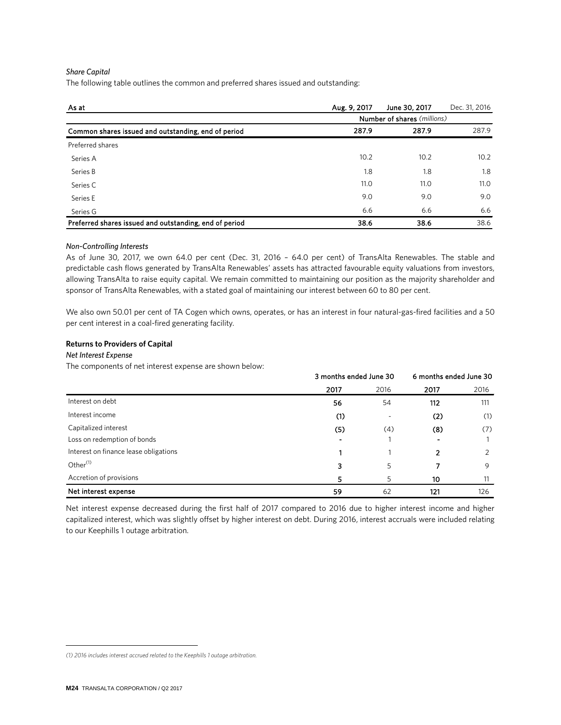#### *Share Capital*

The following table outlines the common and preferred shares issued and outstanding:

| As at                                                  | Aug. 9, 2017 | June 30, 2017               | Dec. 31, 2016 |
|--------------------------------------------------------|--------------|-----------------------------|---------------|
|                                                        |              | Number of shares (millions) |               |
| Common shares issued and outstanding, end of period    | 287.9        | 287.9                       | 287.9         |
| Preferred shares                                       |              |                             |               |
| Series A                                               | 10.2         | 10.2                        | 10.2          |
| Series B                                               | 1.8          | 1.8                         | 1.8           |
| Series C                                               | 11.0         | 11.0                        | 11.0          |
| Series E                                               | 9.0          | 9.0                         | 9.0           |
| Series G                                               | 6.6          | 6.6                         | 6.6           |
| Preferred shares issued and outstanding, end of period | 38.6         | 38.6                        | 38.6          |

#### *Non-Controlling Interests*

As of June 30, 2017, we own 64.0 per cent (Dec. 31, 2016 – 64.0 per cent) of TransAlta Renewables. The stable and predictable cash flows generated by TransAlta Renewables' assets has attracted favourable equity valuations from investors, allowing TransAlta to raise equity capital. We remain committed to maintaining our position as the majority shareholder and sponsor of TransAlta Renewables, with a stated goal of maintaining our interest between 60 to 80 per cent.

We also own 50.01 per cent of TA Cogen which owns, operates, or has an interest in four natural-gas-fired facilities and a 50 per cent interest in a coal-fired generating facility.

#### **Returns to Providers of Capital**

#### **Net Interest Expense**

The components of net interest expense are shown below:

|                                       | 3 months ended June 30 |                          | 6 months ended June 30 |      |
|---------------------------------------|------------------------|--------------------------|------------------------|------|
|                                       | 2017                   | 2016                     | 2017                   | 2016 |
| Interest on debt                      | 56                     | 54                       | 112                    | 111  |
| Interest income                       | (1)                    | $\overline{\phantom{a}}$ | (2)                    | (1)  |
| Capitalized interest                  | (5)                    | (4)                      | (8)                    | (7)  |
| Loss on redemption of bonds           |                        |                          |                        |      |
| Interest on finance lease obligations |                        |                          | 2                      | 2    |
| Other <sup>(1)</sup>                  | 3                      | 5                        |                        | 9    |
| Accretion of provisions               | 5                      | 5                        | 10                     | 11   |
| Net interest expense                  | 59                     | 62                       | 121                    | 126  |

Net interest expense decreased during the first half of 2017 compared to 2016 due to higher interest income and higher capitalized interest, which was slightly offset by higher interest on debt. During 2016, interest accruals were included relating to our Keephills 1 outage arbitration.

<span id="page-23-0"></span>*<sup>(1) 2016</sup> includes interest accrued related to the Keephills 1 outage arbitration.*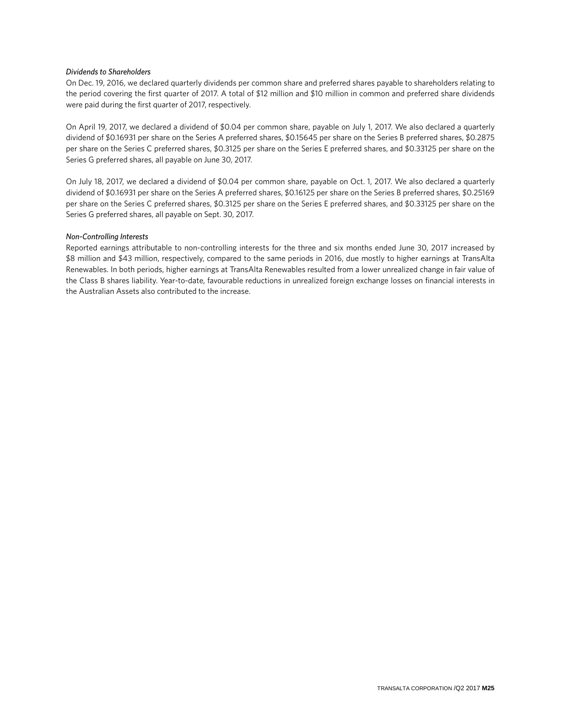#### *Dividends to Shareholders*

On Dec. 19, 2016, we declared quarterly dividends per common share and preferred shares payable to shareholders relating to the period covering the first quarter of 2017. A total of \$12 million and \$10 million in common and preferred share dividends were paid during the first quarter of 2017, respectively.

On April 19, 2017, we declared a dividend of \$0.04 per common share, payable on July 1, 2017. We also declared a quarterly dividend of \$0.16931 per share on the Series A preferred shares, \$0.15645 per share on the Series B preferred shares, \$0.2875 per share on the Series C preferred shares, \$0.3125 per share on the Series E preferred shares, and \$0.33125 per share on the Series G preferred shares, all payable on June 30, 2017.

On July 18, 2017, we declared a dividend of \$0.04 per common share, payable on Oct. 1, 2017. We also declared a quarterly dividend of \$0.16931 per share on the Series A preferred shares, \$0.16125 per share on the Series B preferred shares, \$0.25169 per share on the Series C preferred shares, \$0.3125 per share on the Series E preferred shares, and \$0.33125 per share on the Series G preferred shares, all payable on Sept. 30, 2017.

#### *Non-Controlling Interests*

Reported earnings attributable to non-controlling interests for the three and six months ended June 30, 2017 increased by \$8 million and \$43 million, respectively, compared to the same periods in 2016, due mostly to higher earnings at TransAlta Renewables. In both periods, higher earnings at TransAlta Renewables resulted from a lower unrealized change in fair value of the Class B shares liability. Year-to-date, favourable reductions in unrealized foreign exchange losses on financial interests in the Australian Assets also contributed to the increase.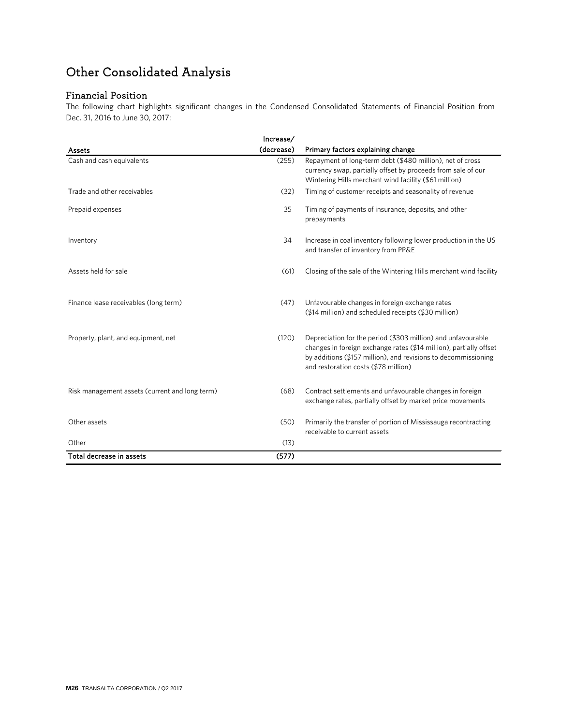## Other Consolidated Analysis

## Financial Position

The following chart highlights significant changes in the Condensed Consolidated Statements of Financial Position from Dec. 31, 2016 to June 30, 2017:

|                                                | Increase/  |                                                                                                                                                                                                                                              |
|------------------------------------------------|------------|----------------------------------------------------------------------------------------------------------------------------------------------------------------------------------------------------------------------------------------------|
| Assets                                         | (decrease) | Primary factors explaining change                                                                                                                                                                                                            |
| Cash and cash equivalents                      | (255)      | Repayment of long-term debt (\$480 million), net of cross<br>currency swap, partially offset by proceeds from sale of our<br>Wintering Hills merchant wind facility (\$61 million)                                                           |
| Trade and other receivables                    | (32)       | Timing of customer receipts and seasonality of revenue                                                                                                                                                                                       |
| Prepaid expenses                               | 35         | Timing of payments of insurance, deposits, and other<br>prepayments                                                                                                                                                                          |
| Inventory                                      | 34         | Increase in coal inventory following lower production in the US<br>and transfer of inventory from PP&E                                                                                                                                       |
| Assets held for sale                           | (61)       | Closing of the sale of the Wintering Hills merchant wind facility                                                                                                                                                                            |
| Finance lease receivables (long term)          | (47)       | Unfavourable changes in foreign exchange rates<br>(\$14 million) and scheduled receipts (\$30 million)                                                                                                                                       |
| Property, plant, and equipment, net            | (120)      | Depreciation for the period (\$303 million) and unfavourable<br>changes in foreign exchange rates (\$14 million), partially offset<br>by additions (\$157 million), and revisions to decommissioning<br>and restoration costs (\$78 million) |
| Risk management assets (current and long term) | (68)       | Contract settlements and unfavourable changes in foreign<br>exchange rates, partially offset by market price movements                                                                                                                       |
| Other assets                                   | (50)       | Primarily the transfer of portion of Mississauga recontracting<br>receivable to current assets                                                                                                                                               |
| Other                                          | (13)       |                                                                                                                                                                                                                                              |
| Total decrease in assets                       | (577)      |                                                                                                                                                                                                                                              |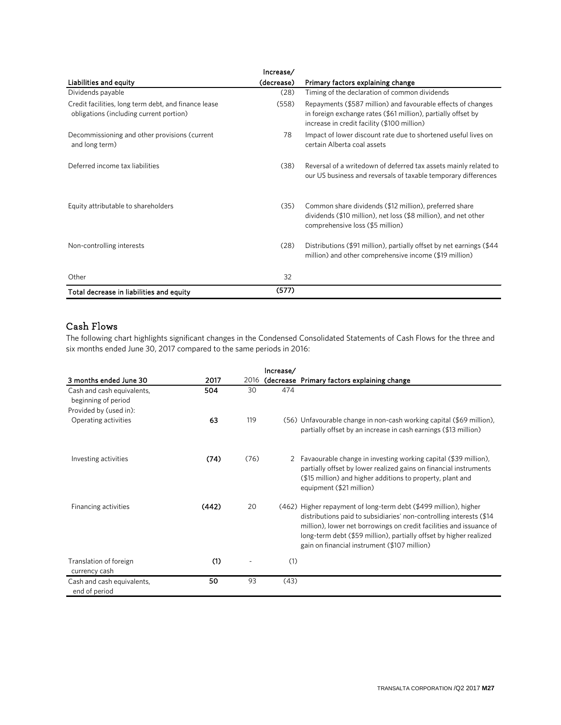|                                                                                                 | Increase/  |                                                                                                                                                                              |
|-------------------------------------------------------------------------------------------------|------------|------------------------------------------------------------------------------------------------------------------------------------------------------------------------------|
| Liabilities and equity                                                                          | (decrease) | Primary factors explaining change                                                                                                                                            |
| Dividends payable                                                                               | (28)       | Timing of the declaration of common dividends                                                                                                                                |
| Credit facilities, long term debt, and finance lease<br>obligations (including current portion) | (558)      | Repayments (\$587 million) and favourable effects of changes<br>in foreign exchange rates (\$61 million), partially offset by<br>increase in credit facility (\$100 million) |
| Decommissioning and other provisions (current<br>and long term)                                 | 78         | Impact of lower discount rate due to shortened useful lives on<br>certain Alberta coal assets                                                                                |
| Deferred income tax liabilities                                                                 | (38)       | Reversal of a writedown of deferred tax assets mainly related to<br>our US business and reversals of taxable temporary differences                                           |
| Equity attributable to shareholders                                                             | (35)       | Common share dividends (\$12 million), preferred share<br>dividends (\$10 million), net loss (\$8 million), and net other<br>comprehensive loss (\$5 million)                |
| Non-controlling interests                                                                       | (28)       | Distributions (\$91 million), partially offset by net earnings (\$44<br>million) and other comprehensive income (\$19 million)                                               |
| Other                                                                                           | 32         |                                                                                                                                                                              |
| Total decrease in liabilities and equity                                                        | (577)      |                                                                                                                                                                              |

## Cash Flows

The following chart highlights significant changes in the Condensed Consolidated Statements of Cash Flows for the three and six months ended June 30, 2017 compared to the same periods in 2016:

|                                                   |       |      | Increase/ |                                                                                                                                                                                                                                                                                                                                      |
|---------------------------------------------------|-------|------|-----------|--------------------------------------------------------------------------------------------------------------------------------------------------------------------------------------------------------------------------------------------------------------------------------------------------------------------------------------|
| 3 months ended June 30                            | 2017  |      |           | 2016 (decrease Primary factors explaining change                                                                                                                                                                                                                                                                                     |
| Cash and cash equivalents,<br>beginning of period | 504   | 30   | 474       |                                                                                                                                                                                                                                                                                                                                      |
| Provided by (used in):                            |       |      |           |                                                                                                                                                                                                                                                                                                                                      |
| Operating activities                              | 63    | 119  |           | (56) Unfavourable change in non-cash working capital (\$69 million),<br>partially offset by an increase in cash earnings (\$13 million)                                                                                                                                                                                              |
| Investing activities                              | (74)  | (76) | 2         | Favaourable change in investing working capital (\$39 million),<br>partially offset by lower realized gains on financial instruments<br>(\$15 million) and higher additions to property, plant and<br>equipment (\$21 million)                                                                                                       |
| Financing activities                              | (442) | 20   |           | (462) Higher repayment of long-term debt (\$499 million), higher<br>distributions paid to subsidiaries' non-controlling interests (\$14<br>million), lower net borrowings on credit facilities and issuance of<br>long-term debt (\$59 million), partially offset by higher realized<br>gain on financial instrument (\$107 million) |
| Translation of foreign<br>currency cash           | (1)   |      | (1)       |                                                                                                                                                                                                                                                                                                                                      |
| Cash and cash equivalents,<br>end of period       | 50    | 93   | (43)      |                                                                                                                                                                                                                                                                                                                                      |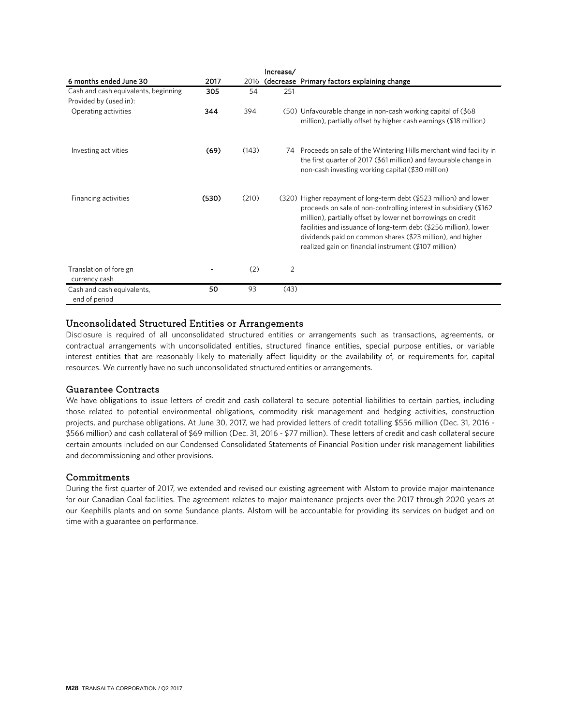|                                                                |       |       | Increase/ |                                                                                                                                                                                                                                                                                                                                                                                                     |
|----------------------------------------------------------------|-------|-------|-----------|-----------------------------------------------------------------------------------------------------------------------------------------------------------------------------------------------------------------------------------------------------------------------------------------------------------------------------------------------------------------------------------------------------|
| 6 months ended June 30                                         | 2017  |       |           | 2016 (decrease Primary factors explaining change                                                                                                                                                                                                                                                                                                                                                    |
| Cash and cash equivalents, beginning<br>Provided by (used in): | 305   | 54    | 251       |                                                                                                                                                                                                                                                                                                                                                                                                     |
| Operating activities                                           | 344   | 394   |           | (50) Unfavourable change in non-cash working capital of (\$68)<br>million), partially offset by higher cash earnings (\$18 million)                                                                                                                                                                                                                                                                 |
| Investing activities                                           | (69)  | (143) | 74        | Proceeds on sale of the Wintering Hills merchant wind facility in<br>the first quarter of 2017 (\$61 million) and favourable change in<br>non-cash investing working capital (\$30 million)                                                                                                                                                                                                         |
| Financing activities                                           | (530) | (210) |           | (320) Higher repayment of long-term debt (\$523 million) and lower<br>proceeds on sale of non-controlling interest in subsidiary (\$162)<br>million), partially offset by lower net borrowings on credit<br>facilities and issuance of long-term debt (\$256 million), lower<br>dividends paid on common shares (\$23 million), and higher<br>realized gain on financial instrument (\$107 million) |
| Translation of foreign<br>currency cash                        |       | (2)   | 2         |                                                                                                                                                                                                                                                                                                                                                                                                     |
| Cash and cash equivalents,<br>end of period                    | 50    | 93    | (43)      |                                                                                                                                                                                                                                                                                                                                                                                                     |

### Unconsolidated Structured Entities or Arrangements

Disclosure is required of all unconsolidated structured entities or arrangements such as transactions, agreements, or contractual arrangements with unconsolidated entities, structured finance entities, special purpose entities, or variable interest entities that are reasonably likely to materially affect liquidity or the availability of, or requirements for, capital resources. We currently have no such unconsolidated structured entities or arrangements.

### Guarantee Contracts

We have obligations to issue letters of credit and cash collateral to secure potential liabilities to certain parties, including those related to potential environmental obligations, commodity risk management and hedging activities, construction projects, and purchase obligations. At June 30, 2017, we had provided letters of credit totalling \$556 million (Dec. 31, 2016 - \$566 million) and cash collateral of \$69 million (Dec. 31, 2016 - \$77 million). These letters of credit and cash collateral secure certain amounts included on our Condensed Consolidated Statements of Financial Position under risk management liabilities and decommissioning and other provisions.

#### **Commitments**

During the first quarter of 2017, we extended and revised our existing agreement with Alstom to provide major maintenance for our Canadian Coal facilities. The agreement relates to major maintenance projects over the 2017 through 2020 years at our Keephills plants and on some Sundance plants. Alstom will be accountable for providing its services on budget and on time with a guarantee on performance.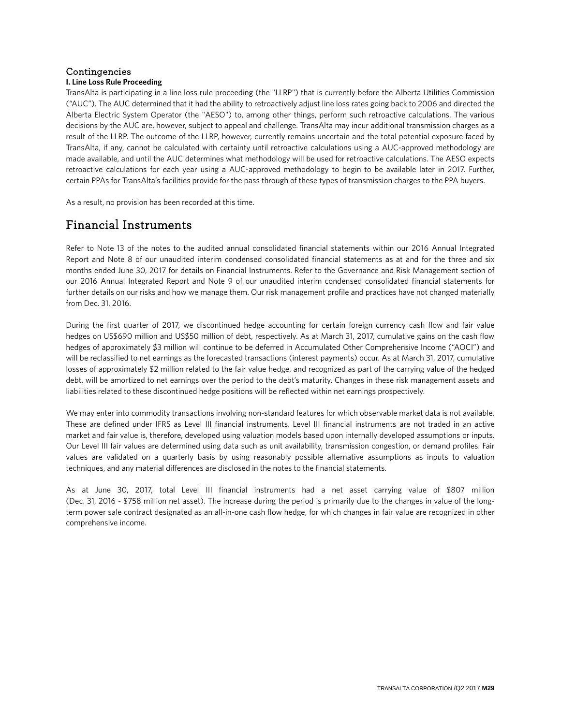## Contingencies

### **I. Line Loss Rule Proceeding**

TransAlta is participating in a line loss rule proceeding (the "LLRP") that is currently before the Alberta Utilities Commission ("AUC"). The AUC determined that it had the ability to retroactively adjust line loss rates going back to 2006 and directed the Alberta Electric System Operator (the "AESO") to, among other things, perform such retroactive calculations. The various decisions by the AUC are, however, subject to appeal and challenge. TransAlta may incur additional transmission charges as a result of the LLRP. The outcome of the LLRP, however, currently remains uncertain and the total potential exposure faced by TransAlta, if any, cannot be calculated with certainty until retroactive calculations using a AUC-approved methodology are made available, and until the AUC determines what methodology will be used for retroactive calculations. The AESO expects retroactive calculations for each year using a AUC-approved methodology to begin to be available later in 2017. Further, certain PPAs for TransAlta's facilities provide for the pass through of these types of transmission charges to the PPA buyers.

As a result, no provision has been recorded at this time.

## Financial Instruments

Refer to Note 13 of the notes to the audited annual consolidated financial statements within our 2016 Annual Integrated Report and Note 8 of our unaudited interim condensed consolidated financial statements as at and for the three and six months ended June 30, 2017 for details on Financial Instruments. Refer to the Governance and Risk Management section of our 2016 Annual Integrated Report and Note 9 of our unaudited interim condensed consolidated financial statements for further details on our risks and how we manage them. Our risk management profile and practices have not changed materially from Dec. 31, 2016.

During the first quarter of 2017, we discontinued hedge accounting for certain foreign currency cash flow and fair value hedges on US\$690 million and US\$50 million of debt, respectively. As at March 31, 2017, cumulative gains on the cash flow hedges of approximately \$3 million will continue to be deferred in Accumulated Other Comprehensive Income ("AOCI") and will be reclassified to net earnings as the forecasted transactions (interest payments) occur. As at March 31, 2017, cumulative losses of approximately \$2 million related to the fair value hedge, and recognized as part of the carrying value of the hedged debt, will be amortized to net earnings over the period to the debt's maturity. Changes in these risk management assets and liabilities related to these discontinued hedge positions will be reflected within net earnings prospectively.

We may enter into commodity transactions involving non-standard features for which observable market data is not available. These are defined under IFRS as Level III financial instruments. Level III financial instruments are not traded in an active market and fair value is, therefore, developed using valuation models based upon internally developed assumptions or inputs. Our Level III fair values are determined using data such as unit availability, transmission congestion, or demand profiles. Fair values are validated on a quarterly basis by using reasonably possible alternative assumptions as inputs to valuation techniques, and any material differences are disclosed in the notes to the financial statements.

As at June 30, 2017, total Level III financial instruments had a net asset carrying value of \$807 million (Dec. 31, 2016 - \$758 million net asset). The increase during the period is primarily due to the changes in value of the longterm power sale contract designated as an all-in-one cash flow hedge, for which changes in fair value are recognized in other comprehensive income.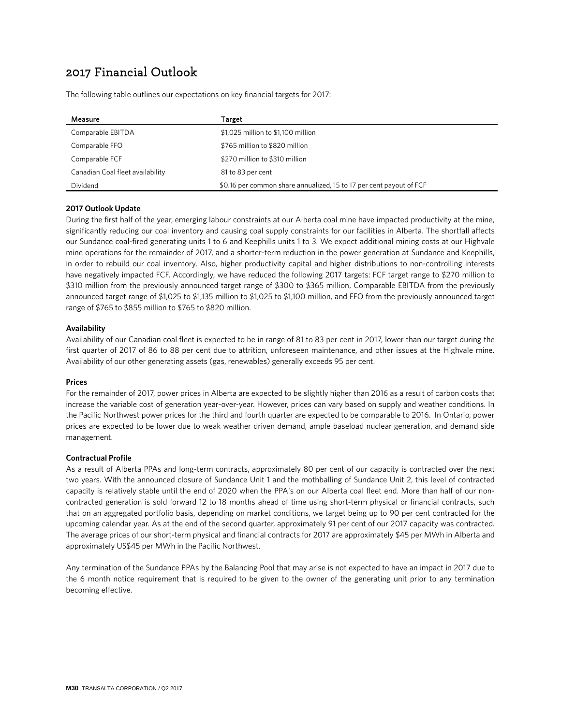## 2017 Financial Outlook

The following table outlines our expectations on key financial targets for 2017:

| Measure                          | Target                                                              |
|----------------------------------|---------------------------------------------------------------------|
| Comparable EBITDA                | \$1,025 million to \$1,100 million                                  |
| Comparable FFO                   | \$765 million to \$820 million                                      |
| Comparable FCF                   | \$270 million to \$310 million                                      |
| Canadian Coal fleet availability | 81 to 83 per cent                                                   |
| Dividend                         | \$0.16 per common share annualized, 15 to 17 per cent payout of FCF |

#### **2017 Outlook Update**

During the first half of the year, emerging labour constraints at our Alberta coal mine have impacted productivity at the mine, significantly reducing our coal inventory and causing coal supply constraints for our facilities in Alberta. The shortfall affects our Sundance coal-fired generating units 1 to 6 and Keephills units 1 to 3. We expect additional mining costs at our Highvale mine operations for the remainder of 2017, and a shorter-term reduction in the power generation at Sundance and Keephills, in order to rebuild our coal inventory. Also, higher productivity capital and higher distributions to non-controlling interests have negatively impacted FCF. Accordingly, we have reduced the following 2017 targets: FCF target range to \$270 million to \$310 million from the previously announced target range of \$300 to \$365 million, Comparable EBITDA from the previously announced target range of \$1,025 to \$1,135 million to \$1,025 to \$1,100 million, and FFO from the previously announced target range of \$765 to \$855 million to \$765 to \$820 million.

#### **Availability**

Availability of our Canadian coal fleet is expected to be in range of 81 to 83 per cent in 2017, lower than our target during the first quarter of 2017 of 86 to 88 per cent due to attrition, unforeseen maintenance, and other issues at the Highvale mine. Availability of our other generating assets (gas, renewables) generally exceeds 95 per cent.

#### **Prices**

For the remainder of 2017, power prices in Alberta are expected to be slightly higher than 2016 as a result of carbon costs that increase the variable cost of generation year-over-year. However, prices can vary based on supply and weather conditions. In the Pacific Northwest power prices for the third and fourth quarter are expected to be comparable to 2016. In Ontario, power prices are expected to be lower due to weak weather driven demand, ample baseload nuclear generation, and demand side management.

#### **Contractual Profile**

As a result of Alberta PPAs and long-term contracts, approximately 80 per cent of our capacity is contracted over the next two years. With the announced closure of Sundance Unit 1 and the mothballing of Sundance Unit 2, this level of contracted capacity is relatively stable until the end of 2020 when the PPA's on our Alberta coal fleet end. More than half of our noncontracted generation is sold forward 12 to 18 months ahead of time using short-term physical or financial contracts, such that on an aggregated portfolio basis, depending on market conditions, we target being up to 90 per cent contracted for the upcoming calendar year. As at the end of the second quarter, approximately 91 per cent of our 2017 capacity was contracted. The average prices of our short-term physical and financial contracts for 2017 are approximately \$45 per MWh in Alberta and approximately US\$45 per MWh in the Pacific Northwest.

Any termination of the Sundance PPAs by the Balancing Pool that may arise is not expected to have an impact in 2017 due to the 6 month notice requirement that is required to be given to the owner of the generating unit prior to any termination becoming effective.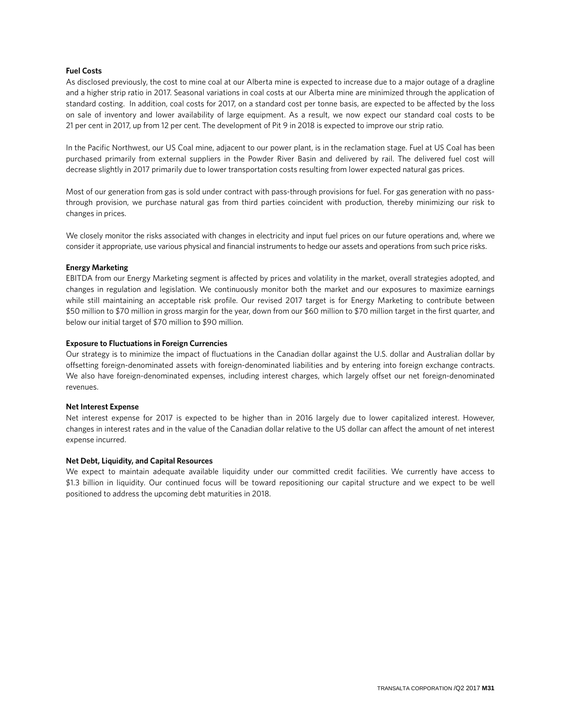#### **Fuel Costs**

As disclosed previously, the cost to mine coal at our Alberta mine is expected to increase due to a major outage of a dragline and a higher strip ratio in 2017. Seasonal variations in coal costs at our Alberta mine are minimized through the application of standard costing. In addition, coal costs for 2017, on a standard cost per tonne basis, are expected to be affected by the loss on sale of inventory and lower availability of large equipment. As a result, we now expect our standard coal costs to be 21 per cent in 2017, up from 12 per cent. The development of Pit 9 in 2018 is expected to improve our strip ratio.

In the Pacific Northwest, our US Coal mine, adjacent to our power plant, is in the reclamation stage. Fuel at US Coal has been purchased primarily from external suppliers in the Powder River Basin and delivered by rail. The delivered fuel cost will decrease slightly in 2017 primarily due to lower transportation costs resulting from lower expected natural gas prices.

Most of our generation from gas is sold under contract with pass-through provisions for fuel. For gas generation with no passthrough provision, we purchase natural gas from third parties coincident with production, thereby minimizing our risk to changes in prices.

We closely monitor the risks associated with changes in electricity and input fuel prices on our future operations and, where we consider it appropriate, use various physical and financial instruments to hedge our assets and operations from such price risks.

#### **Energy Marketing**

EBITDA from our Energy Marketing segment is affected by prices and volatility in the market, overall strategies adopted, and changes in regulation and legislation. We continuously monitor both the market and our exposures to maximize earnings while still maintaining an acceptable risk profile. Our revised 2017 target is for Energy Marketing to contribute between \$50 million to \$70 million in gross margin for the year, down from our \$60 million to \$70 million target in the first quarter, and below our initial target of \$70 million to \$90 million.

#### **Exposure to Fluctuations in Foreign Currencies**

Our strategy is to minimize the impact of fluctuations in the Canadian dollar against the U.S. dollar and Australian dollar by offsetting foreign-denominated assets with foreign-denominated liabilities and by entering into foreign exchange contracts. We also have foreign-denominated expenses, including interest charges, which largely offset our net foreign-denominated revenues.

#### **Net Interest Expense**

Net interest expense for 2017 is expected to be higher than in 2016 largely due to lower capitalized interest. However, changes in interest rates and in the value of the Canadian dollar relative to the US dollar can affect the amount of net interest expense incurred.

#### **Net Debt, Liquidity, and Capital Resources**

We expect to maintain adequate available liquidity under our committed credit facilities. We currently have access to \$1.3 billion in liquidity. Our continued focus will be toward repositioning our capital structure and we expect to be well positioned to address the upcoming debt maturities in 2018.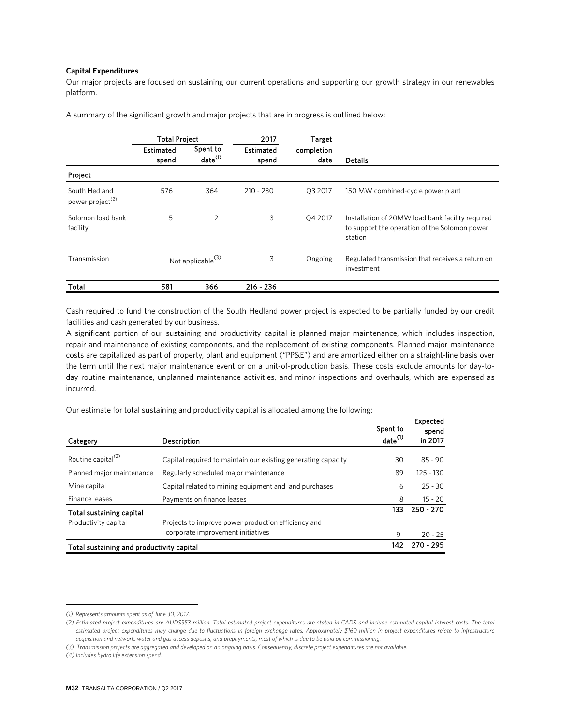#### **Capital Expenditures**

Our major projects are focused on sustaining our current operations and supporting our growth strategy in our renewables platform.

A summary of the significant growth and major projects that are in progress is outlined below: [1](#page-31-0)

|                                               | <b>Total Project</b>          |                                 | 2017                      | <b>Target</b>      |                                                                                                              |
|-----------------------------------------------|-------------------------------|---------------------------------|---------------------------|--------------------|--------------------------------------------------------------------------------------------------------------|
|                                               | Estimated<br>spend            | Spent to<br>date <sup>(1)</sup> | <b>Estimated</b><br>spend | completion<br>date | <b>Details</b>                                                                                               |
| Project                                       |                               |                                 |                           |                    |                                                                                                              |
| South Hedland<br>power project <sup>(2)</sup> | 576                           | 364                             | $210 - 230$               | Q3 2017            | 150 MW combined-cycle power plant                                                                            |
| Solomon load bank<br>facility                 | 5                             | 2                               | 3                         | Q4 2017            | Installation of 20MW load bank facility required<br>to support the operation of the Solomon power<br>station |
| Transmission                                  | Not applicable <sup>(3)</sup> |                                 | 3                         | Ongoing            | Regulated transmission that receives a return on<br>investment                                               |
| Total                                         | 581                           | 366                             | $216 - 236$               |                    |                                                                                                              |

Cash required to fund the construction of the South Hedland power project is expected to be partially funded by our credit facilities and cash generated by our business.

A significant portion of our sustaining and productivity capital is planned major maintenance, which includes inspection, repair and maintenance of existing components, and the replacement of existing components. Planned major maintenance costs are capitalized as part of property, plant and equipment ("PP&E") and are amortized either on a straight-line basis over the term until the next major maintenance event or on a unit-of-production basis. These costs exclude amounts for day-today routine maintenance, unplanned maintenance activities, and minor inspections and overhauls, which are expensed as incurred.

Our estimate for total sustaining and productivity capital is allocated among the following: [2](#page-31-1)

| Category                                  | Description                                                   | Spent to<br>date <sup>(1)</sup> | Expected<br>spend<br>in 2017 |
|-------------------------------------------|---------------------------------------------------------------|---------------------------------|------------------------------|
|                                           |                                                               |                                 |                              |
| Routine capital <sup>(2)</sup>            | Capital required to maintain our existing generating capacity | 30                              | $85 - 90$                    |
| Planned major maintenance                 | Regularly scheduled major maintenance                         | 89                              | $125 - 130$                  |
| Mine capital                              | Capital related to mining equipment and land purchases        | 6                               | $25 - 30$                    |
| Finance leases                            | Payments on finance leases                                    | 8                               | $15 - 20$                    |
| Total sustaining capital                  |                                                               | 133                             | $250 - 270$                  |
| Productivity capital                      | Projects to improve power production efficiency and           |                                 |                              |
|                                           | corporate improvement initiatives                             | 9                               | $20 - 25$                    |
| Total sustaining and productivity capital |                                                               | 142                             | $270 - 295$                  |

<span id="page-31-0"></span>*<sup>(1)</sup> Represents amounts spent as of June 30, 2017.*

*<sup>(2)</sup> Estimated project expenditures are AUD\$553 million. Total estimated project expenditures are stated in CAD\$ and include estimated capital interest costs. The total estimated project expenditures may change due to fluctuations in foreign exchange rates. Approximately \$160 million in project expenditures relate to infrastructure acquisition and network, water and gas access deposits, and prepayments, most of which is due to be paid on commissioning.*

*<sup>(3)</sup> Transmission projects are aggregated and developed on an ongoing basis. Consequently, discrete project expenditures are not available.*

<span id="page-31-1"></span>*<sup>(4)</sup> Includes hydro life extension spend.*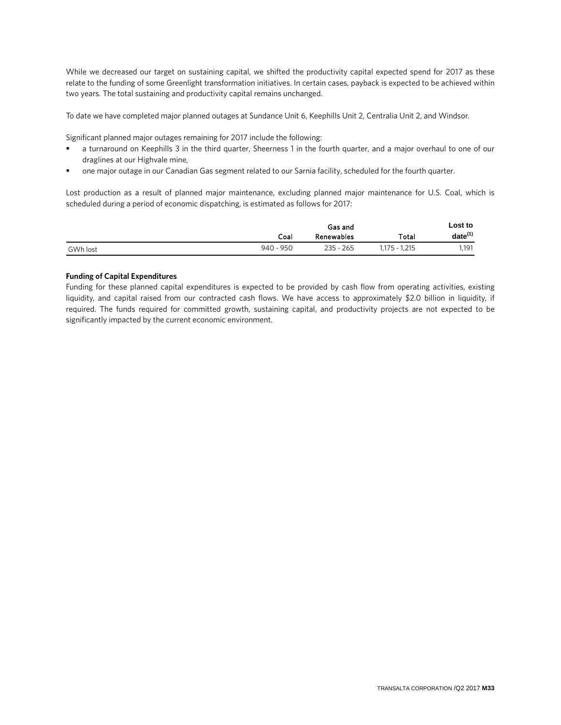While we decreased our target on sustaining capital, we shifted the productivity capital expected spend for 2017 as these relate to the funding of some Greenlight transformation initiatives. In certain cases, payback is expected to be achieved within two years. The total sustaining and productivity capital remains unchanged.

To date we have completed major planned outages at Sundance Unit 6, Keephills Unit 2, Centralia Unit 2, and Windsor.

Significant planned major outages remaining for 2017 include the following:

- a turnaround on Keephills 3 in the third quarter, Sheerness 1 in the fourth quarter, and a major overhaul to one of our draglines at our Highvale mine,
- one major outage in our Canadian Gas segment related to our Sarnia facility, scheduled for the fourth quarter.

Lost production as a result of planned major maintenance, excluding planned major maintenance for U.S. Coal, which is scheduled during a period of economic dispatching, is estimated as follows for 2017:

|          |           | Gas and           |               | Lost to      |
|----------|-----------|-------------------|---------------|--------------|
|          | Coal      | <b>Renewables</b> | Total         | $date^{(1)}$ |
| GWh lost | 940 - 950 | $235 - 265$       | 1.175 - 1.215 | 1.191        |

### **Funding of Capital Expenditures**

Funding for these planned capital expenditures is expected to be provided by cash flow from operating activities, existing liquidity, and capital raised from our contracted cash flows. We have access to approximately \$2.0 billion in liquidity, if required. The funds required for committed growth, sustaining capital, and productivity projects are not expected to be significantly impacted by the current economic environment.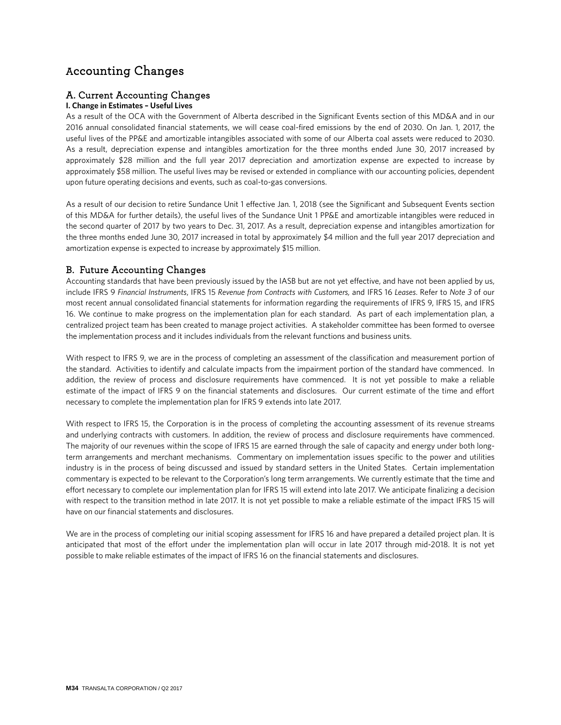## Accounting Changes

## A. Current Accounting Changes

### **I. Change in Estimates – Useful Lives**

As a result of the OCA with the Government of Alberta described in the Significant Events section of this MD&A and in our 2016 annual consolidated financial statements, we will cease coal-fired emissions by the end of 2030. On Jan. 1, 2017, the useful lives of the PP&E and amortizable intangibles associated with some of our Alberta coal assets were reduced to 2030. As a result, depreciation expense and intangibles amortization for the three months ended June 30, 2017 increased by approximately \$28 million and the full year 2017 depreciation and amortization expense are expected to increase by approximately \$58 million. The useful lives may be revised or extended in compliance with our accounting policies, dependent upon future operating decisions and events, such as coal-to-gas conversions.

As a result of our decision to retire Sundance Unit 1 effective Jan. 1, 2018 (see the Significant and Subsequent Events section of this MD&A for further details), the useful lives of the Sundance Unit 1 PP&E and amortizable intangibles were reduced in the second quarter of 2017 by two years to Dec. 31, 2017. As a result, depreciation expense and intangibles amortization for the three months ended June 30, 2017 increased in total by approximately \$4 million and the full year 2017 depreciation and amortization expense is expected to increase by approximately \$15 million.

## B. Future Accounting Changes

Accounting standards that have been previously issued by the IASB but are not yet effective, and have not been applied by us, include IFRS 9 *Financial Instruments*, IFRS 15 *Revenue from Contracts with Customers,* and IFRS 16 *Leases*. Refer to *Note 3* of our most recent annual consolidated financial statements for information regarding the requirements of IFRS 9, IFRS 15, and IFRS 16. We continue to make progress on the implementation plan for each standard. As part of each implementation plan, a centralized project team has been created to manage project activities. A stakeholder committee has been formed to oversee the implementation process and it includes individuals from the relevant functions and business units.

With respect to IFRS 9, we are in the process of completing an assessment of the classification and measurement portion of the standard. Activities to identify and calculate impacts from the impairment portion of the standard have commenced. In addition, the review of process and disclosure requirements have commenced. It is not yet possible to make a reliable estimate of the impact of IFRS 9 on the financial statements and disclosures. Our current estimate of the time and effort necessary to complete the implementation plan for IFRS 9 extends into late 2017.

With respect to IFRS 15, the Corporation is in the process of completing the accounting assessment of its revenue streams and underlying contracts with customers. In addition, the review of process and disclosure requirements have commenced. The majority of our revenues within the scope of IFRS 15 are earned through the sale of capacity and energy under both longterm arrangements and merchant mechanisms. Commentary on implementation issues specific to the power and utilities industry is in the process of being discussed and issued by standard setters in the United States. Certain implementation commentary is expected to be relevant to the Corporation's long term arrangements. We currently estimate that the time and effort necessary to complete our implementation plan for IFRS 15 will extend into late 2017. We anticipate finalizing a decision with respect to the transition method in late 2017. It is not yet possible to make a reliable estimate of the impact IFRS 15 will have on our financial statements and disclosures.

We are in the process of completing our initial scoping assessment for IFRS 16 and have prepared a detailed project plan. It is anticipated that most of the effort under the implementation plan will occur in late 2017 through mid-2018. It is not yet possible to make reliable estimates of the impact of IFRS 16 on the financial statements and disclosures.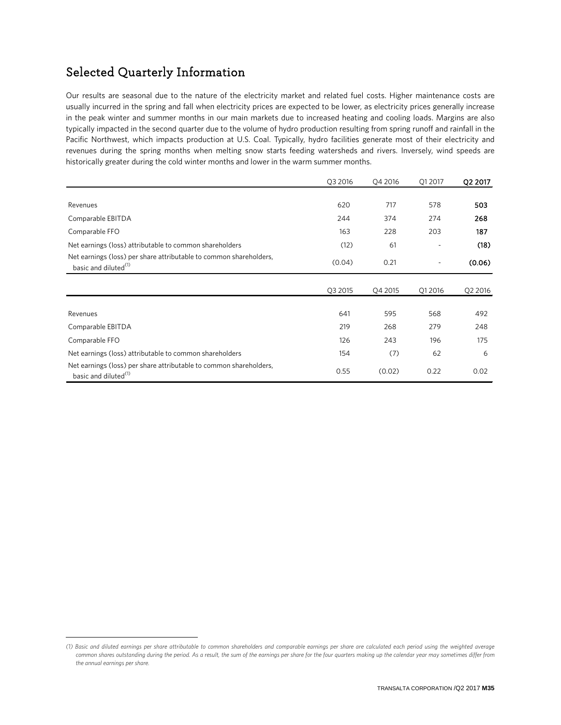## Selected Quarterly Information

 $\overline{a}$ 

Our results are seasonal due to the nature of the electricity market and related fuel costs. Higher maintenance costs are usually incurred in the spring and fall when electricity prices are expected to be lower, as electricity prices generally increase in the peak winter and summer months in our main markets due to increased heating and cooling loads. Margins are also typically impacted in the second quarter due to the volume of hydro production resulting from spring runoff and rainfall in the Pacific Northwest, which impacts production at U.S. Coal. Typically, hydro facilities generate most of their electricity and revenues during the spring months when melting snow starts feeding watersheds and rivers. Inversely, wind speeds are historically greater during the cold winter months and lower in the warm summer months.

|                                                                                                        | Q3 2016 | Q4 2016 | Q1 2017 | Q2 2017 |
|--------------------------------------------------------------------------------------------------------|---------|---------|---------|---------|
|                                                                                                        |         |         |         |         |
| Revenues                                                                                               | 620     | 717     | 578     | 503     |
| Comparable EBITDA                                                                                      | 244     | 374     | 274     | 268     |
| Comparable FFO                                                                                         | 163     | 228     | 203     | 187     |
| Net earnings (loss) attributable to common shareholders                                                | (12)    | 61      |         | (18)    |
| Net earnings (loss) per share attributable to common shareholders,<br>basic and diluted <sup>(1)</sup> | (0.04)  | 0.21    |         | (0.06)  |
|                                                                                                        | Q3 2015 | Q4 2015 | Q1 2016 | Q2 2016 |
|                                                                                                        |         |         |         |         |
| Revenues                                                                                               | 641     | 595     | 568     | 492     |
| Comparable EBITDA                                                                                      | 219     | 268     | 279     | 248     |
| Comparable FFO                                                                                         | 126     | 243     | 196     | 175     |
| Net earnings (loss) attributable to common shareholders                                                | 154     | (7)     | 62      | 6       |
| Net earnings (loss) per share attributable to common shareholders,<br>basic and diluted <sup>(1)</sup> | 0.55    | (0.02)  | 0.22    | 0.02    |

<span id="page-34-0"></span>*<sup>(1)</sup> Basic and diluted earnings per share attributable to common shareholders and comparable earnings per share are calculated each period using the weighted average common shares outstanding during the period. As a result, the sum of the earnings per share for the four quarters making up the calendar year may sometimes differ from the annual earnings per share.*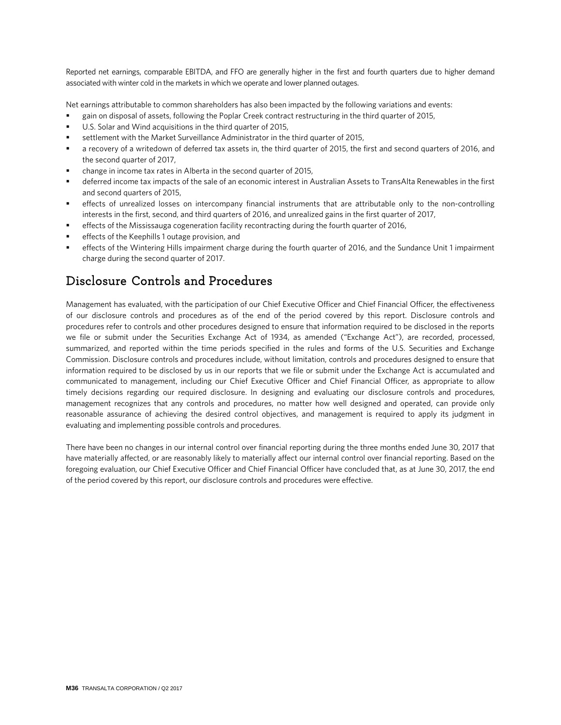Reported net earnings, comparable EBITDA, and FFO are generally higher in the first and fourth quarters due to higher demand associated with winter cold in the markets in which we operate and lower planned outages.

Net earnings attributable to common shareholders has also been impacted by the following variations and events:

- gain on disposal of assets, following the Poplar Creek contract restructuring in the third quarter of 2015,
- U.S. Solar and Wind acquisitions in the third quarter of 2015,
- settlement with the Market Surveillance Administrator in the third quarter of 2015,
- a recovery of a writedown of deferred tax assets in, the third quarter of 2015, the first and second quarters of 2016, and the second quarter of 2017,
- change in income tax rates in Alberta in the second quarter of 2015,
- deferred income tax impacts of the sale of an economic interest in Australian Assets to TransAlta Renewables in the first and second quarters of 2015,
- effects of unrealized losses on intercompany financial instruments that are attributable only to the non-controlling interests in the first, second, and third quarters of 2016, and unrealized gains in the first quarter of 2017,
- effects of the Mississauga cogeneration facility recontracting during the fourth quarter of 2016,
- effects of the Keephills 1 outage provision, and
- effects of the Wintering Hills impairment charge during the fourth quarter of 2016, and the Sundance Unit 1 impairment charge during the second quarter of 2017.

## Disclosure Controls and Procedures

Management has evaluated, with the participation of our Chief Executive Officer and Chief Financial Officer, the effectiveness of our disclosure controls and procedures as of the end of the period covered by this report. Disclosure controls and procedures refer to controls and other procedures designed to ensure that information required to be disclosed in the reports we file or submit under the Securities Exchange Act of 1934, as amended ("Exchange Act"), are recorded, processed, summarized, and reported within the time periods specified in the rules and forms of the U.S. Securities and Exchange Commission. Disclosure controls and procedures include, without limitation, controls and procedures designed to ensure that information required to be disclosed by us in our reports that we file or submit under the Exchange Act is accumulated and communicated to management, including our Chief Executive Officer and Chief Financial Officer, as appropriate to allow timely decisions regarding our required disclosure. In designing and evaluating our disclosure controls and procedures, management recognizes that any controls and procedures, no matter how well designed and operated, can provide only reasonable assurance of achieving the desired control objectives, and management is required to apply its judgment in evaluating and implementing possible controls and procedures.

There have been no changes in our internal control over financial reporting during the three months ended June 30, 2017 that have materially affected, or are reasonably likely to materially affect our internal control over financial reporting. Based on the foregoing evaluation, our Chief Executive Officer and Chief Financial Officer have concluded that, as at June 30, 2017, the end of the period covered by this report, our disclosure controls and procedures were effective.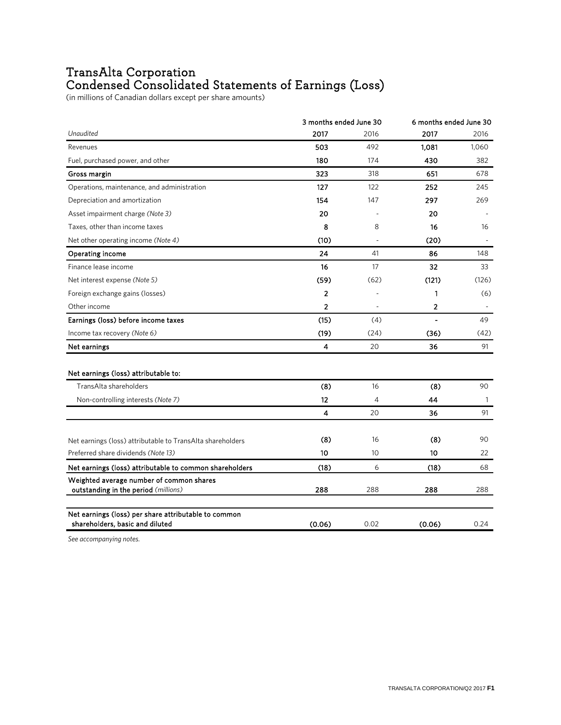## TransAlta Corporation Condensed Consolidated Statements of Earnings (Loss)

(in millions of Canadian dollars except per share amounts)

|                                                            | 3 months ended June 30 |      | 6 months ended June 30   |              |  |
|------------------------------------------------------------|------------------------|------|--------------------------|--------------|--|
| Unaudited                                                  | 2017                   | 2016 | 2017                     | 2016         |  |
| Revenues                                                   | 503                    | 492  | 1,081                    | 1.060        |  |
| Fuel, purchased power, and other                           | 180                    | 174  | 430                      | 382          |  |
| Gross margin                                               | 323                    | 318  | 651                      | 678          |  |
| Operations, maintenance, and administration                | 127                    | 122  | 252                      | 245          |  |
| Depreciation and amortization                              | 154                    | 147  | 297                      | 269          |  |
| Asset impairment charge (Note 3)                           | 20                     |      | 20                       |              |  |
| Taxes, other than income taxes                             | 8                      | 8    | 16                       | 16           |  |
| Net other operating income (Note 4)                        | (10)                   |      | (20)                     |              |  |
| <b>Operating income</b>                                    | 24                     | 41   | 86                       | 148          |  |
| Finance lease income                                       | 16                     | 17   | 32                       | 33           |  |
| Net interest expense (Note 5)                              | (59)                   | (62) | (121)                    | (126)        |  |
| Foreign exchange gains (losses)                            | 2                      |      | 1                        | (6)          |  |
| Other income                                               | $\overline{2}$         |      | 2                        |              |  |
| Earnings (loss) before income taxes                        | (15)                   | (4)  | $\overline{\phantom{a}}$ | 49           |  |
| Income tax recovery (Note 6)                               | (19)                   | (24) | (36)                     | (42)         |  |
| Net earnings                                               | 4                      | 20   | 36                       | 91           |  |
| Net earnings (loss) attributable to:                       |                        |      |                          |              |  |
| TransAlta shareholders                                     | (8)                    | 16   | (8)                      | 90           |  |
| Non-controlling interests (Note 7)                         | 12                     | 4    | 44                       | $\mathbf{1}$ |  |
|                                                            | 4                      | 20   | 36                       | 91           |  |
| Net earnings (loss) attributable to TransAlta shareholders | (8)                    | 16   | (8)                      | 90           |  |
| Preferred share dividends (Note 13)                        | 10                     | 10   | 10                       | 22           |  |
| Net earnings (loss) attributable to common shareholders    | (18)                   | 6    | (18)                     | 68           |  |
| Weighted average number of common shares                   |                        |      |                          |              |  |
| outstanding in the period (millions)                       | 288                    | 288  | 288                      | 288          |  |
| Net earnings (loss) per share attributable to common       |                        |      |                          |              |  |
| shareholders, basic and diluted                            | (0.06)                 | 0.02 | (0.06)                   | 0.24         |  |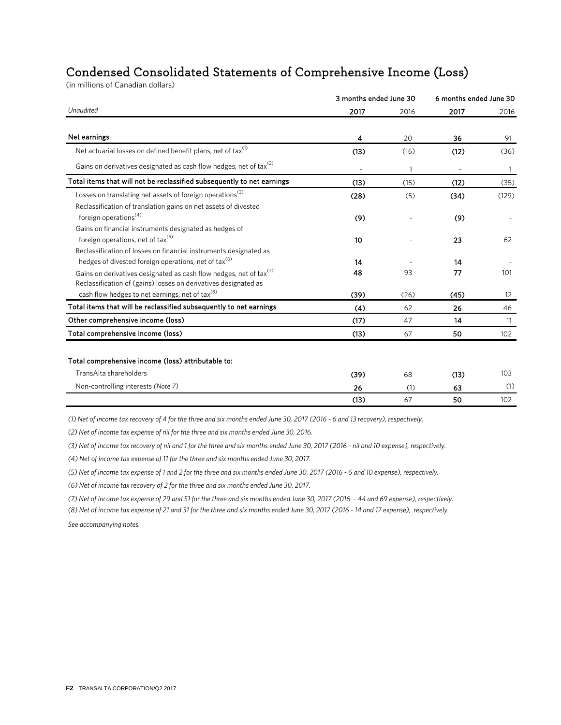## Condensed Consolidated Statements of Comprehensive Income (Loss)

(in millions of Canadian dollars)

|                                                                                                                                                   | 3 months ended June 30 |              | 6 months ended June 30   |                   |
|---------------------------------------------------------------------------------------------------------------------------------------------------|------------------------|--------------|--------------------------|-------------------|
| Unaudited                                                                                                                                         | 2017                   | 2016         | 2017                     | 2016              |
| Net earnings                                                                                                                                      | 4                      | 20           | 36                       | 91                |
| Net actuarial losses on defined benefit plans, net of tax <sup>(1)</sup>                                                                          | (13)                   | (16)         | (12)                     | (36)              |
| Gains on derivatives designated as cash flow hedges, net of tax <sup>(2)</sup>                                                                    | ٠                      | $\mathbf{1}$ | $\overline{\phantom{a}}$ | 1                 |
| Total items that will not be reclassified subsequently to net earnings                                                                            | (13)                   | (15)         | (12)                     | (35)              |
| Losses on translating net assets of foreign operations <sup>(3)</sup><br>Reclassification of translation gains on net assets of divested          | (28)                   | (5)          | (34)                     | (129)             |
| foreign operations <sup>(4)</sup>                                                                                                                 | (9)                    |              | (9)                      |                   |
| Gains on financial instruments designated as hedges of<br>foreign operations, net of tax <sup>(5)</sup>                                           | 10                     |              | 23                       | 62                |
| Reclassification of losses on financial instruments designated as<br>hedges of divested foreign operations, net of tax <sup>(6)</sup>             | 14                     |              | 14                       |                   |
| Gains on derivatives designated as cash flow hedges, net of tax <sup>(7)</sup><br>Reclassification of (gains) losses on derivatives designated as | 48                     | 93           | 77                       | 101               |
| cash flow hedges to net earnings, net of tax <sup>(8)</sup>                                                                                       | (39)                   | (26)         | (45)                     | $12 \overline{ }$ |
| Total items that will be reclassified subsequently to net earnings                                                                                | (4)                    | 62           | 26                       | 46                |
| Other comprehensive income (loss)                                                                                                                 | (17)                   | 47           | 14                       | 11                |
| Total comprehensive income (loss)                                                                                                                 | (13)                   | 67           | 50                       | 102               |
| Total comprehensive income (loss) attributable to:                                                                                                |                        |              |                          |                   |
| TransAlta shareholders                                                                                                                            | (39)                   | 68           | (13)                     | 103               |
| Non-controlling interests (Note 7)                                                                                                                | 26                     | (1)          | 63                       | (1)               |
|                                                                                                                                                   | (13)                   | 67           | 50                       | 102               |

*(1) Net of income tax recovery of 4 for the three and six months ended June 30, 2017 (2016 - 6 and 13 recovery), respectively.*

*(2) Net of income tax expense of nil for the three and six months ended June 30, 2016.* 

*(3) Net of income tax recovery of nil and 1 for the three and six months ended June 30, 2017 (2016 - nil and 10 expense), respectively.*

*(4) Net of income tax expense of 11 for the three and six months ended June 30, 2017.*

*(5) Net of income tax expense of 1 and 2 for the three and six months ended June 30, 2017 (2016 - 6 and 10 expense), respectively.*

*(6) Net of income tax recovery of 2 for the three and six months ended June 30, 2017.*

*(7) Net of income tax expense of 29 and 51 for the three and six months ended June 30, 2017 (2016 - 44 and 69 expense), respectively.*

*(8) Net of income tax expense of 21 and 31 for the three and six months ended June 30, 2017 (2016 - 14 and 17 expense), respectively. See accompanying notes.*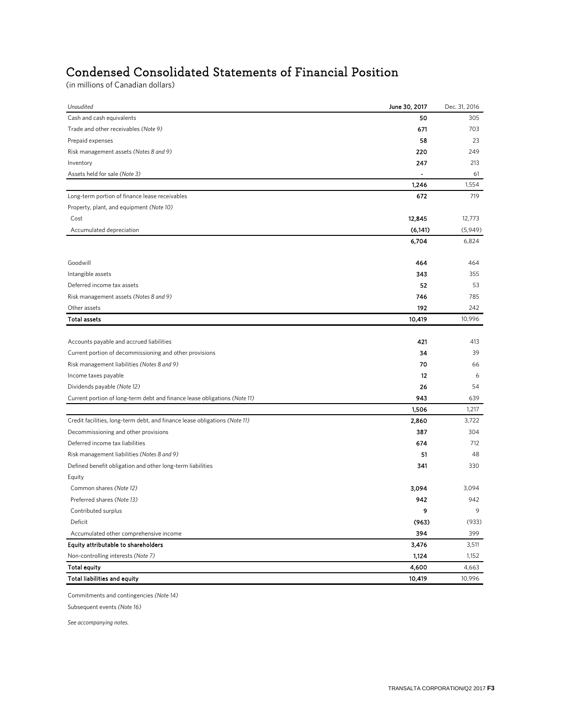## Condensed Consolidated Statements of Financial Position

(in millions of Canadian dollars)

| Cash and cash equivalents<br>50<br>305<br>Trade and other receivables (Note 9)<br>671<br>703<br>58<br>23<br>Prepaid expenses |
|------------------------------------------------------------------------------------------------------------------------------|
|                                                                                                                              |
|                                                                                                                              |
|                                                                                                                              |
| Risk management assets (Notes 8 and 9)<br>220<br>249                                                                         |
| Inventory<br>247<br>213                                                                                                      |
| Assets held for sale (Note 3)<br>61<br>$\blacksquare$                                                                        |
| 1,246<br>1,554                                                                                                               |
| Long-term portion of finance lease receivables<br>672<br>719                                                                 |
| Property, plant, and equipment (Note 10)                                                                                     |
| Cost<br>12,845<br>12,773                                                                                                     |
| (6, 141)<br>Accumulated depreciation<br>(5,949)                                                                              |
| 6,704<br>6,824                                                                                                               |
| Goodwill<br>464<br>464                                                                                                       |
| 343<br>Intangible assets<br>355                                                                                              |
| 52<br>Deferred income tax assets<br>53                                                                                       |
| 746<br>785<br>Risk management assets (Notes 8 and 9)                                                                         |
| 192<br>Other assets<br>242                                                                                                   |
| 10,996<br><b>Total assets</b><br>10,419                                                                                      |
|                                                                                                                              |
| Accounts payable and accrued liabilities<br>421<br>413                                                                       |
| Current portion of decommissioning and other provisions<br>34<br>39                                                          |
| 70<br>Risk management liabilities (Notes 8 and 9)<br>66                                                                      |
| Income taxes payable<br>12                                                                                                   |
| Dividends payable (Note 12)<br>26<br>54                                                                                      |
| 943<br>Current portion of long-term debt and finance lease obligations (Note 11)<br>639                                      |
| 1,506<br>1,217                                                                                                               |
| Credit facilities, long-term debt, and finance lease obligations (Note 11)<br>2,860<br>3,722                                 |
| 387<br>Decommissioning and other provisions<br>304                                                                           |
| Deferred income tax liabilities<br>674<br>712                                                                                |
| Risk management liabilities (Notes 8 and 9)<br>51<br>48                                                                      |
| Defined benefit obligation and other long-term liabilities<br>341<br>330                                                     |
| Equity                                                                                                                       |
| Common shares (Note 12)<br>3,094<br>3,094                                                                                    |
| Preferred shares (Note 13)<br>942<br>942                                                                                     |
| 9<br>Contributed surplus                                                                                                     |
| Deficit<br>(963)<br>(933)                                                                                                    |
| 394<br>Accumulated other comprehensive income<br>399                                                                         |
| Equity attributable to shareholders<br>3,476<br>3,511                                                                        |
| 1,124<br>Non-controlling interests (Note 7)<br>1,152                                                                         |
| 4,600<br><b>Total equity</b><br>4,663                                                                                        |
| Total liabilities and equity<br>10,419<br>10,996                                                                             |

Commitments and contingencies *(Note 14)*

Subsequent events *(Note 16)*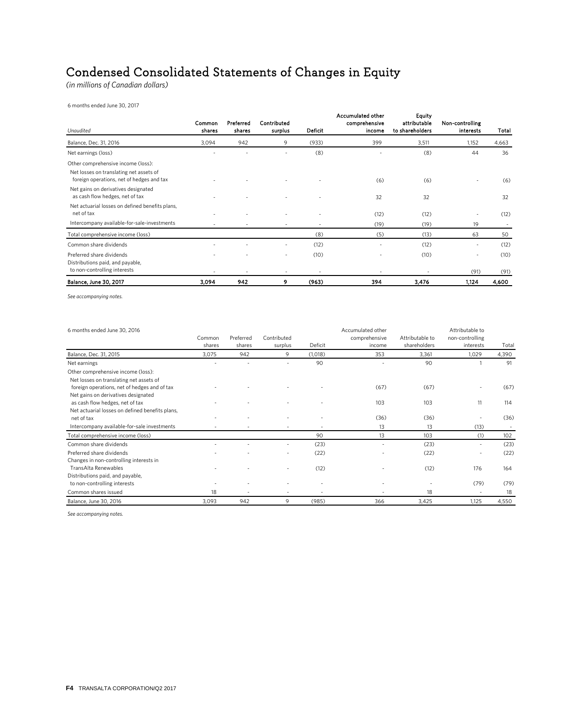## Condensed Consolidated Statements of Changes in Equity

*(in millions of Canadian dollars)*

6 months ended June 30, 2017

| Common<br>shares | Preferred<br>shares               | Contributed<br>surplus | Deficit | Accumulated other<br>comprehensive<br>income | <b>Equity</b><br>attributable<br>to shareholders | Non-controlling<br>interests | Total         |
|------------------|-----------------------------------|------------------------|---------|----------------------------------------------|--------------------------------------------------|------------------------------|---------------|
| 3,094            | 942                               | 9                      | (933)   | 399                                          | 3,511                                            | 1,152                        | 4,663         |
|                  |                                   | -                      | (8)     |                                              | (8)                                              | 44                           | 36            |
|                  |                                   |                        |         |                                              |                                                  |                              |               |
|                  |                                   |                        |         | (6)                                          | (6)                                              |                              | (6)           |
|                  |                                   |                        |         | 32                                           | 32                                               |                              | 32            |
|                  |                                   |                        |         | (12)                                         | (12)                                             |                              | (12)          |
|                  |                                   |                        |         | (19)                                         | (19)                                             | 19                           |               |
|                  |                                   |                        | (8)     | (5)                                          | (13)                                             | 63                           | 50            |
|                  |                                   | ٠                      | (12)    | ٠                                            | (12)                                             | ۰                            | (12)          |
|                  |                                   |                        | (10)    |                                              | (10)                                             |                              | (10)          |
|                  |                                   |                        |         |                                              |                                                  |                              | (91)<br>4,600 |
|                  | $\overline{\phantom{a}}$<br>3,094 | 942                    | ٠<br>9  | (963)                                        | 394                                              | ٠<br>3,476                   | (91)<br>1,124 |

*See accompanying notes.*

| 6 months ended June 30, 2016                    |        |           |             |         | Accumulated other |                 | Attributable to |       |
|-------------------------------------------------|--------|-----------|-------------|---------|-------------------|-----------------|-----------------|-------|
|                                                 | Common | Preferred | Contributed |         | comprehensive     | Attributable to | non-controlling |       |
|                                                 | shares | shares    | surplus     | Deficit | income            | shareholders    | interests       | Total |
| Balance, Dec. 31, 2015                          | 3,075  | 942       | 9           | (1,018) | 353               | 3,361           | 1,029           | 4,390 |
| Net earnings                                    |        |           |             | 90      |                   | 90              |                 | 91    |
| Other comprehensive income (loss):              |        |           |             |         |                   |                 |                 |       |
| Net losses on translating net assets of         |        |           |             |         |                   |                 |                 |       |
| foreign operations, net of hedges and of tax    |        |           |             |         | (67)              | (67)            |                 | (67)  |
| Net gains on derivatives designated             |        |           |             |         |                   |                 |                 |       |
| as cash flow hedges, net of tax                 |        |           |             |         | 103               | 103             | 11              | 114   |
| Net actuarial losses on defined benefits plans, |        |           |             |         |                   |                 |                 |       |
| net of tax                                      |        |           |             |         | (36)              | (36)            |                 | (36)  |
| Intercompany available-for-sale investments     |        |           |             |         | 13                | 13              | (13)            |       |
| Total comprehensive income (loss)               |        |           |             | 90      | 13                | 103             | (1)             | 102   |
| Common share dividends                          |        |           |             | (23)    |                   | (23)            |                 | (23)  |
| Preferred share dividends                       |        |           |             | (22)    |                   | (22)            |                 | (22)  |
| Changes in non-controlling interests in         |        |           |             |         |                   |                 |                 |       |
| TransAlta Renewables                            |        |           |             | (12)    |                   | (12)            | 176             | 164   |
| Distributions paid, and payable,                |        |           |             |         |                   |                 |                 |       |
| to non-controlling interests                    |        |           |             |         |                   |                 | (79)            | (79)  |
| Common shares issued                            | 18     |           |             |         |                   | 18              |                 | 18    |
| Balance, June 30, 2016                          | 3,093  | 942       | 9           | (985)   | 366               | 3,425           | 1,125           | 4,550 |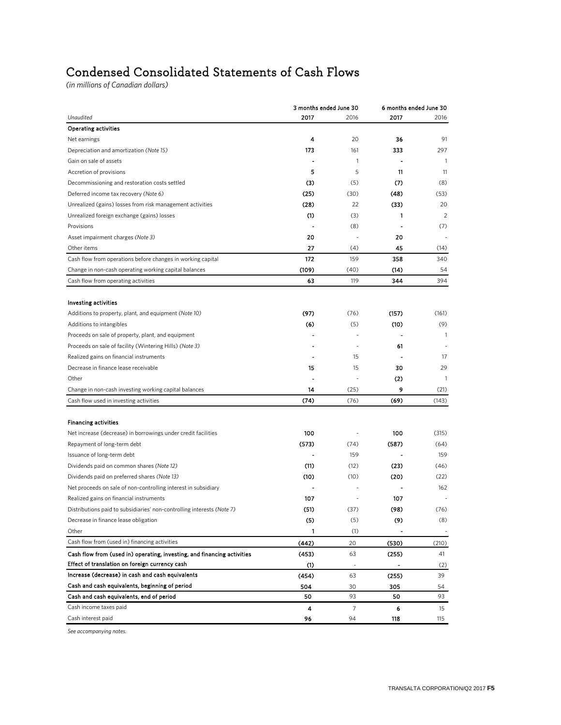## Condensed Consolidated Statements of Cash Flows

*(in millions of Canadian dollars)*

|                                                                         | 3 months ended June 30                     |      | 6 months ended June 30 |              |
|-------------------------------------------------------------------------|--------------------------------------------|------|------------------------|--------------|
| Unaudited                                                               | 2017                                       | 2016 | 2017                   | 2016         |
| <b>Operating activities</b>                                             |                                            |      |                        |              |
| Net earnings                                                            | 4                                          | 20   | 36                     | 91           |
| Depreciation and amortization (Note 15)                                 | 173                                        | 161  | 333                    | 297          |
| Gain on sale of assets                                                  |                                            | 1    |                        | 1            |
| Accretion of provisions                                                 | 5                                          | 5    | 11                     | 11           |
| Decommissioning and restoration costs settled                           | (3)                                        | (5)  | (7)                    | (8)          |
| Deferred income tax recovery (Note 6)                                   | (25)                                       | (30) | (48)                   | (53)         |
| Unrealized (gains) losses from risk management activities               | (28)                                       | 22   | (33)                   | 20           |
| Unrealized foreign exchange (gains) losses                              | $\scriptstyle\textcircled{\scriptsize{1}}$ | (3)  | 1                      | 2            |
| Provisions                                                              |                                            | (8)  |                        | (7)          |
| Asset impairment charges (Note 3)                                       | 20                                         |      | 20                     |              |
| Other items                                                             | 27                                         | (4)  | 45                     | (14)         |
| Cash flow from operations before changes in working capital             | 172                                        | 159  | 358                    | 340          |
| Change in non-cash operating working capital balances                   | (109)                                      | (40) | (14)                   | 54           |
| Cash flow from operating activities                                     | 63                                         | 119  | 344                    | 394          |
|                                                                         |                                            |      |                        |              |
| <b>Investing activities</b>                                             |                                            |      |                        |              |
| Additions to property, plant, and equipment (Note 10)                   | (97)                                       | (76) | (157)                  | (161)        |
| Additions to intangibles                                                | (6)                                        | (5)  | (10)                   | (9)          |
| Proceeds on sale of property, plant, and equipment                      |                                            |      |                        | $\mathbf{1}$ |
| Proceeds on sale of facility (Wintering Hills) (Note 3)                 |                                            |      | 61                     |              |
| Realized gains on financial instruments                                 |                                            | 15   |                        | 17           |
| Decrease in finance lease receivable                                    | 15                                         | 15   | 30                     | 29           |
| Other                                                                   |                                            |      | $2$                    | $\mathbf{1}$ |
| Change in non-cash investing working capital balances                   | 14                                         | (25) | 9                      | (21)         |
| Cash flow used in investing activities                                  | (74)                                       | (76) | (69)                   | (143)        |
|                                                                         |                                            |      |                        |              |
| <b>Financing activities</b>                                             |                                            |      |                        |              |
| Net increase (decrease) in borrowings under credit facilities           | 100                                        |      | 100                    | (315)        |
| Repayment of long-term debt                                             | (573)                                      | (74) | (587)                  | (64)         |
| Issuance of long-term debt                                              |                                            | 159  |                        | 159          |
| Dividends paid on common shares (Note 12)                               | (11)                                       | (12) | (23)                   | (46)         |
| Dividends paid on preferred shares (Note 13)                            | (10)                                       | (10) | (20)                   | (22)         |
| Net proceeds on sale of non-controlling interest in subsidiary          |                                            |      |                        | 162          |
| Realized gains on financial instruments                                 | 107                                        |      | 107                    |              |
| Distributions paid to subsidiaries' non-controlling interests (Note 7)  | (51)                                       | (37) | (98)                   | (76)         |
| Decrease in finance lease obligation                                    | (5)                                        | (5)  | (9)                    | (8)          |
| Other                                                                   | 1                                          | (1)  |                        |              |
| Cash flow from (used in) financing activities                           | (442)                                      | 20   | (530)                  | (210)        |
| Cash flow from (used in) operating, investing, and financing activities | (453)                                      | 63   | (255)                  | 41           |
| Effect of translation on foreign currency cash                          | (1)                                        |      |                        | (2)          |
| Increase (decrease) in cash and cash equivalents                        | (454)                                      | 63   | (255)                  | 39           |
| Cash and cash equivalents, beginning of period                          | 504                                        | 30   | 305                    | 54           |
| Cash and cash equivalents, end of period                                | 50                                         | 93   | 50                     | 93           |
| Cash income taxes paid                                                  | 4                                          | 7    | 6                      | 15           |
| Cash interest paid                                                      | 96                                         | 94   | 118                    | 115          |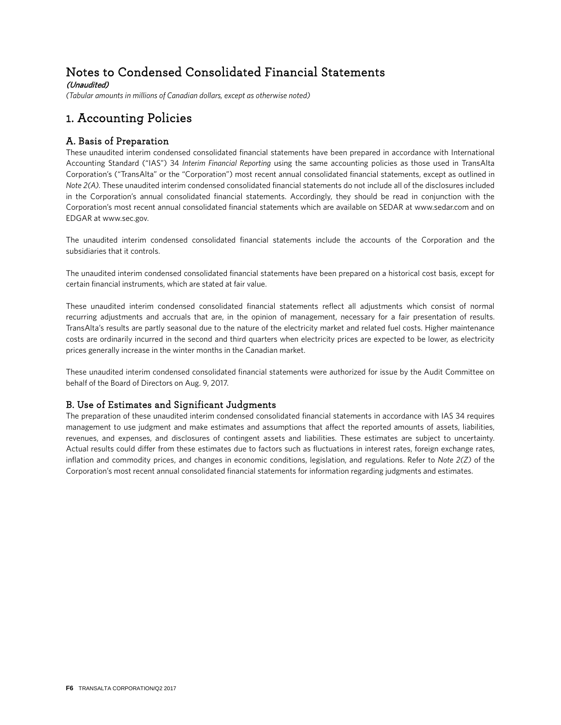## Notes to Condensed Consolidated Financial Statements

(Unaudited)

*(Tabular amounts in millions of Canadian dollars, except as otherwise noted)*

## 1. Accounting Policies

## A. Basis of Preparation

These unaudited interim condensed consolidated financial statements have been prepared in accordance with International Accounting Standard ("IAS") 34 *Interim Financial Reporting* using the same accounting policies as those used in TransAlta Corporation's ("TransAlta" or the "Corporation") most recent annual consolidated financial statements, except as outlined in *Note 2(A).* These unaudited interim condensed consolidated financial statements do not include all of the disclosures included in the Corporation's annual consolidated financial statements. Accordingly, they should be read in conjunction with the Corporation's most recent annual consolidated financial statements which are available on SEDAR at www.sedar.com and on EDGAR at www.sec.gov.

The unaudited interim condensed consolidated financial statements include the accounts of the Corporation and the subsidiaries that it controls.

The unaudited interim condensed consolidated financial statements have been prepared on a historical cost basis, except for certain financial instruments, which are stated at fair value.

These unaudited interim condensed consolidated financial statements reflect all adjustments which consist of normal recurring adjustments and accruals that are, in the opinion of management, necessary for a fair presentation of results. TransAlta's results are partly seasonal due to the nature of the electricity market and related fuel costs. Higher maintenance costs are ordinarily incurred in the second and third quarters when electricity prices are expected to be lower, as electricity prices generally increase in the winter months in the Canadian market.

These unaudited interim condensed consolidated financial statements were authorized for issue by the Audit Committee on behalf of the Board of Directors on Aug. 9, 2017.

## B. Use of Estimates and Significant Judgments

The preparation of these unaudited interim condensed consolidated financial statements in accordance with IAS 34 requires management to use judgment and make estimates and assumptions that affect the reported amounts of assets, liabilities, revenues, and expenses, and disclosures of contingent assets and liabilities. These estimates are subject to uncertainty. Actual results could differ from these estimates due to factors such as fluctuations in interest rates, foreign exchange rates, inflation and commodity prices, and changes in economic conditions, legislation, and regulations. Refer to *Note 2(Z)* of the Corporation's most recent annual consolidated financial statements for information regarding judgments and estimates.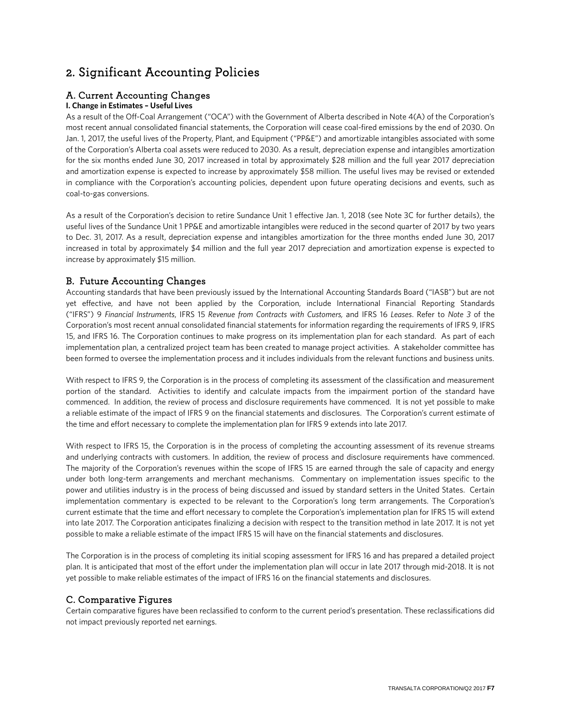## 2. Significant Accounting Policies

## A. Current Accounting Changes

### **I. Change in Estimates – Useful Lives**

As a result of the Off-Coal Arrangement ("OCA") with the Government of Alberta described in Note 4(A) of the Corporation's most recent annual consolidated financial statements, the Corporation will cease coal-fired emissions by the end of 2030. On Jan. 1, 2017, the useful lives of the Property, Plant, and Equipment ("PP&E") and amortizable intangibles associated with some of the Corporation's Alberta coal assets were reduced to 2030. As a result, depreciation expense and intangibles amortization for the six months ended June 30, 2017 increased in total by approximately \$28 million and the full year 2017 depreciation and amortization expense is expected to increase by approximately \$58 million. The useful lives may be revised or extended in compliance with the Corporation's accounting policies, dependent upon future operating decisions and events, such as coal-to-gas conversions.

As a result of the Corporation's decision to retire Sundance Unit 1 effective Jan. 1, 2018 (see Note 3C for further details), the useful lives of the Sundance Unit 1 PP&E and amortizable intangibles were reduced in the second quarter of 2017 by two years to Dec. 31, 2017. As a result, depreciation expense and intangibles amortization for the three months ended June 30, 2017 increased in total by approximately \$4 million and the full year 2017 depreciation and amortization expense is expected to increase by approximately \$15 million.

## B. Future Accounting Changes

Accounting standards that have been previously issued by the International Accounting Standards Board ("IASB") but are not yet effective, and have not been applied by the Corporation, include International Financial Reporting Standards ("IFRS") 9 *Financial Instruments*, IFRS 15 *Revenue from Contracts with Customers,* and IFRS 16 *Leases*. Refer to *Note 3* of the Corporation's most recent annual consolidated financial statements for information regarding the requirements of IFRS 9, IFRS 15, and IFRS 16. The Corporation continues to make progress on its implementation plan for each standard. As part of each implementation plan, a centralized project team has been created to manage project activities. A stakeholder committee has been formed to oversee the implementation process and it includes individuals from the relevant functions and business units.

With respect to IFRS 9, the Corporation is in the process of completing its assessment of the classification and measurement portion of the standard. Activities to identify and calculate impacts from the impairment portion of the standard have commenced. In addition, the review of process and disclosure requirements have commenced. It is not yet possible to make a reliable estimate of the impact of IFRS 9 on the financial statements and disclosures. The Corporation's current estimate of the time and effort necessary to complete the implementation plan for IFRS 9 extends into late 2017.

With respect to IFRS 15, the Corporation is in the process of completing the accounting assessment of its revenue streams and underlying contracts with customers. In addition, the review of process and disclosure requirements have commenced. The majority of the Corporation's revenues within the scope of IFRS 15 are earned through the sale of capacity and energy under both long-term arrangements and merchant mechanisms. Commentary on implementation issues specific to the power and utilities industry is in the process of being discussed and issued by standard setters in the United States. Certain implementation commentary is expected to be relevant to the Corporation's long term arrangements. The Corporation's current estimate that the time and effort necessary to complete the Corporation's implementation plan for IFRS 15 will extend into late 2017. The Corporation anticipates finalizing a decision with respect to the transition method in late 2017. It is not yet possible to make a reliable estimate of the impact IFRS 15 will have on the financial statements and disclosures.

The Corporation is in the process of completing its initial scoping assessment for IFRS 16 and has prepared a detailed project plan. It is anticipated that most of the effort under the implementation plan will occur in late 2017 through mid-2018. It is not yet possible to make reliable estimates of the impact of IFRS 16 on the financial statements and disclosures.

## C. Comparative Figures

Certain comparative figures have been reclassified to conform to the current period's presentation. These reclassifications did not impact previously reported net earnings.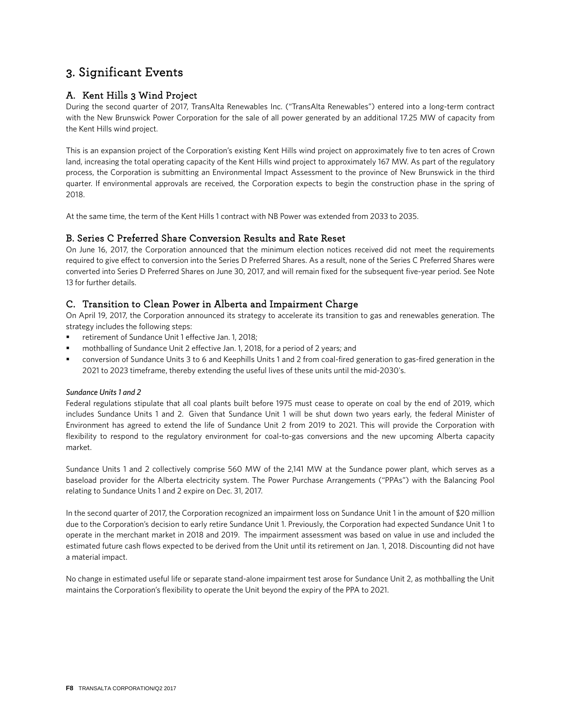## 3. Significant Events

## A. Kent Hills 3 Wind Project

During the second quarter of 2017, TransAlta Renewables Inc. ("TransAlta Renewables") entered into a long-term contract with the New Brunswick Power Corporation for the sale of all power generated by an additional 17.25 MW of capacity from the Kent Hills wind project.

This is an expansion project of the Corporation's existing Kent Hills wind project on approximately five to ten acres of Crown land, increasing the total operating capacity of the Kent Hills wind project to approximately 167 MW. As part of the regulatory process, the Corporation is submitting an Environmental Impact Assessment to the province of New Brunswick in the third quarter. If environmental approvals are received, the Corporation expects to begin the construction phase in the spring of 2018.

At the same time, the term of the Kent Hills 1 contract with NB Power was extended from 2033 to 2035.

### B. Series C Preferred Share Conversion Results and Rate Reset

On June 16, 2017, the Corporation announced that the minimum election notices received did not meet the requirements required to give effect to conversion into the Series D Preferred Shares. As a result, none of the Series C Preferred Shares were converted into Series D Preferred Shares on June 30, 2017, and will remain fixed for the subsequent five-year period. See Note 13 for further details.

## C. Transition to Clean Power in Alberta and Impairment Charge

On April 19, 2017, the Corporation announced its strategy to accelerate its transition to gas and renewables generation. The strategy includes the following steps:

- retirement of Sundance Unit 1 effective Jan. 1, 2018;
- mothballing of Sundance Unit 2 effective Jan. 1, 2018, for a period of 2 years; and
- conversion of Sundance Units 3 to 6 and Keephills Units 1 and 2 from coal-fired generation to gas-fired generation in the 2021 to 2023 timeframe, thereby extending the useful lives of these units until the mid-2030's.

### *Sundance Units 1 and 2*

Federal regulations stipulate that all coal plants built before 1975 must cease to operate on coal by the end of 2019, which includes Sundance Units 1 and 2. Given that Sundance Unit 1 will be shut down two years early, the federal Minister of Environment has agreed to extend the life of Sundance Unit 2 from 2019 to 2021. This will provide the Corporation with flexibility to respond to the regulatory environment for coal-to-gas conversions and the new upcoming Alberta capacity market.

Sundance Units 1 and 2 collectively comprise 560 MW of the 2,141 MW at the Sundance power plant, which serves as a baseload provider for the Alberta electricity system. The Power Purchase Arrangements ("PPAs") with the Balancing Pool relating to Sundance Units 1 and 2 expire on Dec. 31, 2017.

In the second quarter of 2017, the Corporation recognized an impairment loss on Sundance Unit 1 in the amount of \$20 million due to the Corporation's decision to early retire Sundance Unit 1. Previously, the Corporation had expected Sundance Unit 1 to operate in the merchant market in 2018 and 2019. The impairment assessment was based on value in use and included the estimated future cash flows expected to be derived from the Unit until its retirement on Jan. 1, 2018. Discounting did not have a material impact.

No change in estimated useful life or separate stand-alone impairment test arose for Sundance Unit 2, as mothballing the Unit maintains the Corporation's flexibility to operate the Unit beyond the expiry of the PPA to 2021.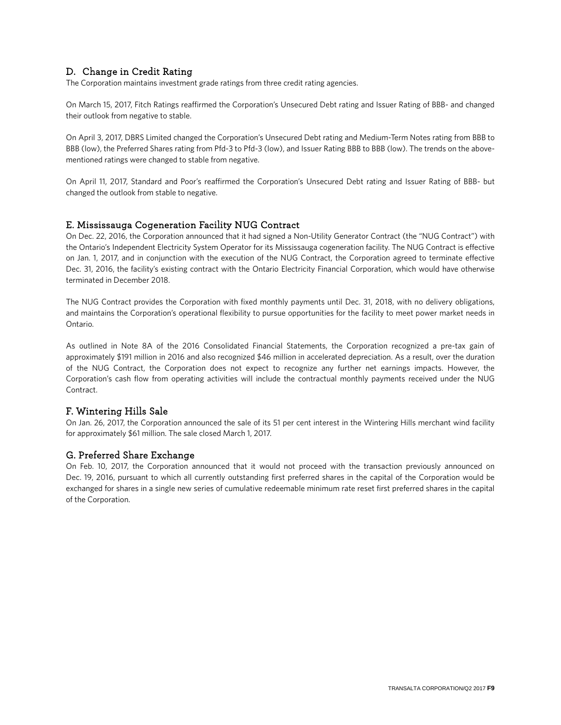## D. Change in Credit Rating

The Corporation maintains investment grade ratings from three credit rating agencies.

On March 15, 2017, Fitch Ratings reaffirmed the Corporation's Unsecured Debt rating and Issuer Rating of BBB- and changed their outlook from negative to stable.

On April 3, 2017, DBRS Limited changed the Corporation's Unsecured Debt rating and Medium-Term Notes rating from BBB to BBB (low), the Preferred Shares rating from Pfd-3 to Pfd-3 (low), and Issuer Rating BBB to BBB (low). The trends on the abovementioned ratings were changed to stable from negative.

On April 11, 2017, Standard and Poor's reaffirmed the Corporation's Unsecured Debt rating and Issuer Rating of BBB- but changed the outlook from stable to negative.

### E. Mississauga Cogeneration Facility NUG Contract

On Dec. 22, 2016, the Corporation announced that it had signed a Non-Utility Generator Contract (the "NUG Contract") with the Ontario's Independent Electricity System Operator for its Mississauga cogeneration facility. The NUG Contract is effective on Jan. 1, 2017, and in conjunction with the execution of the NUG Contract, the Corporation agreed to terminate effective Dec. 31, 2016, the facility's existing contract with the Ontario Electricity Financial Corporation, which would have otherwise terminated in December 2018.

The NUG Contract provides the Corporation with fixed monthly payments until Dec. 31, 2018, with no delivery obligations, and maintains the Corporation's operational flexibility to pursue opportunities for the facility to meet power market needs in Ontario.

As outlined in Note 8A of the 2016 Consolidated Financial Statements, the Corporation recognized a pre-tax gain of approximately \$191 million in 2016 and also recognized \$46 million in accelerated depreciation. As a result, over the duration of the NUG Contract, the Corporation does not expect to recognize any further net earnings impacts. However, the Corporation's cash flow from operating activities will include the contractual monthly payments received under the NUG Contract.

### F. Wintering Hills Sale

On Jan. 26, 2017, the Corporation announced the sale of its 51 per cent interest in the Wintering Hills merchant wind facility for approximately \$61 million. The sale closed March 1, 2017.

### G. Preferred Share Exchange

On Feb. 10, 2017, the Corporation announced that it would not proceed with the transaction previously announced on Dec. 19, 2016, pursuant to which all currently outstanding first preferred shares in the capital of the Corporation would be exchanged for shares in a single new series of cumulative redeemable minimum rate reset first preferred shares in the capital of the Corporation.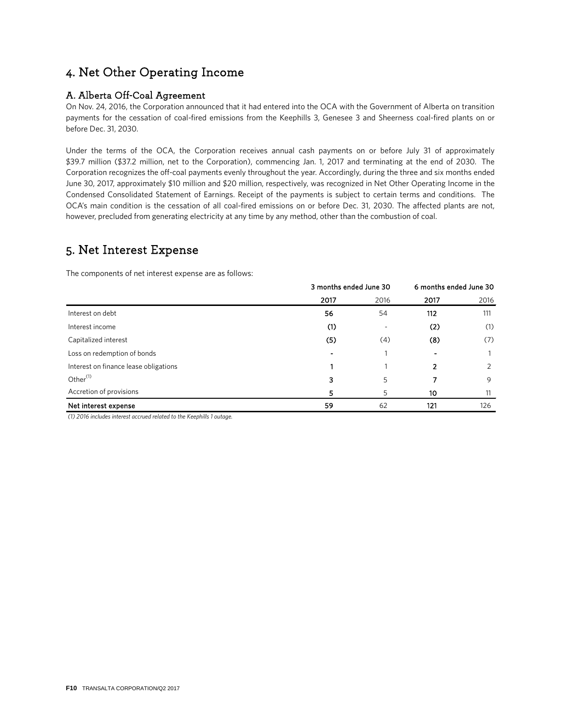## 4. Net Other Operating Income

## A. Alberta Off-Coal Agreement

On Nov. 24, 2016, the Corporation announced that it had entered into the OCA with the Government of Alberta on transition payments for the cessation of coal-fired emissions from the Keephills 3, Genesee 3 and Sheerness coal-fired plants on or before Dec. 31, 2030.

Under the terms of the OCA, the Corporation receives annual cash payments on or before July 31 of approximately \$39.7 million (\$37.2 million, net to the Corporation), commencing Jan. 1, 2017 and terminating at the end of 2030. The Corporation recognizes the off-coal payments evenly throughout the year. Accordingly, during the three and six months ended June 30, 2017, approximately \$10 million and \$20 million, respectively, was recognized in Net Other Operating Income in the Condensed Consolidated Statement of Earnings. Receipt of the payments is subject to certain terms and conditions. The OCA's main condition is the cessation of all coal-fired emissions on or before Dec. 31, 2030. The affected plants are not, however, precluded from generating electricity at any time by any method, other than the combustion of coal.

## 5. Net Interest Expense

The components of net interest expense are as follows:

|                                       | 3 months ended June 30 |      | 6 months ended June 30 |      |
|---------------------------------------|------------------------|------|------------------------|------|
|                                       | 2017                   | 2016 | 2017                   | 2016 |
| Interest on debt                      | 56                     | 54   | 112                    | 111  |
| Interest income                       | (1)                    |      | (2)                    | (1)  |
| Capitalized interest                  | (5)                    | (4)  | (8)                    | (7)  |
| Loss on redemption of bonds           |                        |      |                        |      |
| Interest on finance lease obligations |                        |      | 2                      | 2    |
| Other <sup>(1)</sup>                  | 3                      | 5    | 7                      | 9    |
| Accretion of provisions               | 5                      | 5    | 10                     | 11   |
| Net interest expense                  | 59                     | 62   | 121                    | 126  |

*(1) 2016 includes interest accrued related to the Keephills 1 outage.*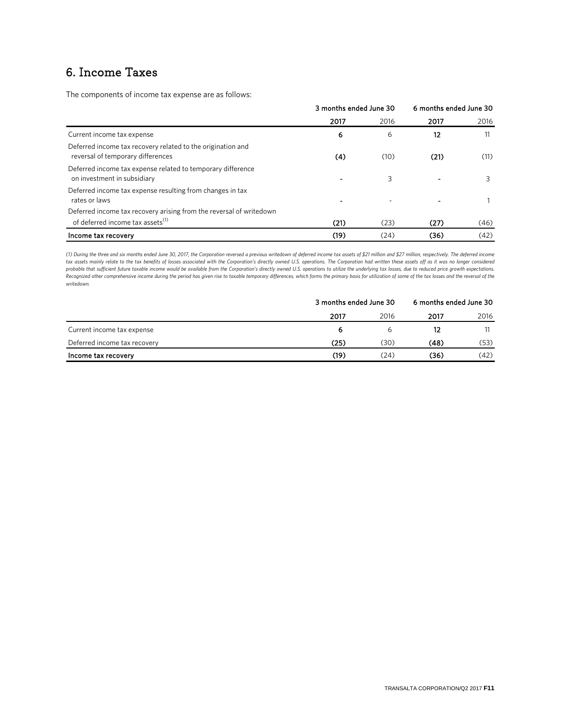## 6. Income Taxes

The components of income tax expense are as follows:

|                                                                                                                     | 3 months ended June 30 |      | 6 months ended June 30 |      |  |
|---------------------------------------------------------------------------------------------------------------------|------------------------|------|------------------------|------|--|
|                                                                                                                     | 2017                   | 2016 | 2017                   | 2016 |  |
| Current income tax expense                                                                                          | 6                      | 6    | 12                     | 11   |  |
| Deferred income tax recovery related to the origination and<br>reversal of temporary differences                    | (4)                    | (10) | (21)                   | (11) |  |
| Deferred income tax expense related to temporary difference<br>on investment in subsidiary                          |                        | 3    |                        |      |  |
| Deferred income tax expense resulting from changes in tax<br>rates or laws                                          |                        |      |                        |      |  |
| Deferred income tax recovery arising from the reversal of writedown<br>of deferred income tax assets <sup>(1)</sup> | (21)                   | (23) | (27)                   | (46) |  |
| Income tax recovery                                                                                                 | (19)                   | (24) | (36)                   | (42) |  |

(1) During the three and six months ended June 30, 2017, the Corporation reversed a previous writedown of deferred income tax assets of \$21 million and \$27 million, respectively. The deferred income *tax assets mainly relate to the tax benefits of losses associated with the Corporation's directly owned U.S. operations. The Corporation had written these assets off as it was no longer considered*  probable that sufficient future taxable income would be available from the Corporation's directly owned U.S. operations to utilize the underlying tax losses, due to reduced price growth expectations.<br>Recognized other compr *writedown.*

|                              | 3 months ended June 30 |      | 6 months ended June 30 |      |  |
|------------------------------|------------------------|------|------------------------|------|--|
|                              | 2017                   | 2016 | 2017                   | 2016 |  |
| Current income tax expense   | 6                      | ь    |                        |      |  |
| Deferred income tax recovery | (25)                   | (30) | (48)                   | (53) |  |
| Income tax recovery          | (19)                   | (24) | (36)                   | (42) |  |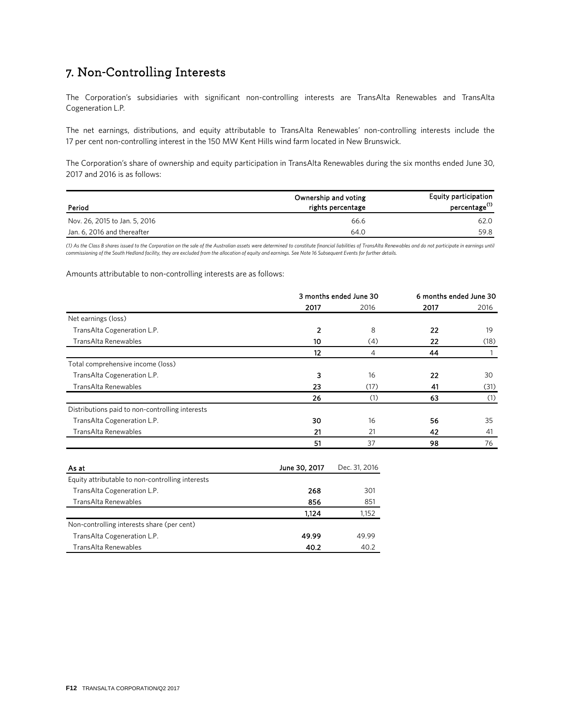## 7. Non-Controlling Interests

The Corporation's subsidiaries with significant non-controlling interests are TransAlta Renewables and TransAlta Cogeneration L.P.

The net earnings, distributions, and equity attributable to TransAlta Renewables' non-controlling interests include the 17 per cent non-controlling interest in the 150 MW Kent Hills wind farm located in New Brunswick.

The Corporation's share of ownership and equity participation in TransAlta Renewables during the six months ended June 30, 2017 and 2016 is as follows:

| Period                        | Ownership and voting<br>rights percentage | <b>Equity participation</b><br>percentage <sup>(1)</sup> |
|-------------------------------|-------------------------------------------|----------------------------------------------------------|
| Nov. 26, 2015 to Jan. 5, 2016 | 66.6                                      | 62.0                                                     |
| Jan. 6, 2016 and thereafter   | 64.0                                      | 59.8                                                     |

(1) As the Class B shares issued to the Corporation on the sale of the Australian assets were determined to constitute financial liabilities of TransAlta Renewables and do not participate in earnings until *commissioning of the South Hedland facility, they are excluded from the allocation of equity and earnings. See Note 16 Subsequent Events for further details.*

#### Amounts attributable to non-controlling interests are as follows:

|                                                  | 3 months ended June 30 |               | 6 months ended June 30 |              |
|--------------------------------------------------|------------------------|---------------|------------------------|--------------|
|                                                  | 2017                   | 2016          | 2017                   | 2016         |
| Net earnings (loss)                              |                        |               |                        |              |
| TransAlta Cogeneration L.P.                      | $\overline{2}$         | 8             | 22                     | 19           |
| TransAlta Renewables                             | 10                     | (4)           | 22                     | (18)         |
|                                                  | 12                     | 4             | 44                     | $\mathbf{1}$ |
| Total comprehensive income (loss)                |                        |               |                        |              |
| TransAlta Cogeneration L.P.                      | 3                      | 16            | 22                     | 30           |
| TransAlta Renewables                             | 23                     | (17)          | 41                     | (31)         |
|                                                  | 26                     | (1)           | 63                     | (1)          |
| Distributions paid to non-controlling interests  |                        |               |                        |              |
| TransAlta Cogeneration L.P.                      | 30                     | 16            | 56                     | 35           |
| TransAlta Renewables                             | 21                     | 21            | 42                     | 41           |
|                                                  | 51                     | 37            | 98                     | 76           |
| As at                                            | June 30, 2017          | Dec. 31, 2016 |                        |              |
| Equity attributable to non-controlling interests |                        |               |                        |              |
| TransAlta Cogeneration L.P.                      | 268                    | 301           |                        |              |
| TransAlta Renewables                             | 856                    | 851           |                        |              |
|                                                  | 1,124                  | 1,152         |                        |              |
| Non-controlling interests share (per cent)       |                        |               |                        |              |
| TransAlta Cogeneration L.P.                      | 49.99                  | 49.99         |                        |              |
| TransAlta Renewables                             | 40.2                   | 40.2          |                        |              |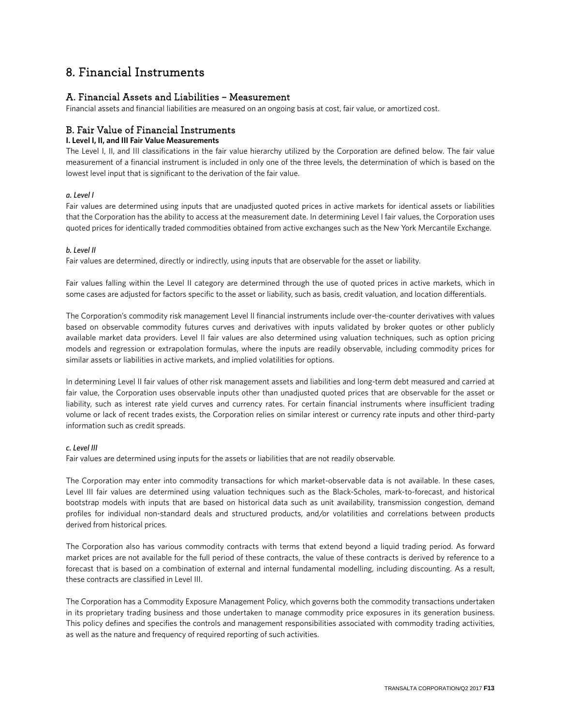## 8. Financial Instruments

## A. Financial Assets and Liabilities – Measurement

Financial assets and financial liabilities are measured on an ongoing basis at cost, fair value, or amortized cost.

## B. Fair Value of Financial Instruments

### **I. Level I, II, and III Fair Value Measurements**

The Level I, II, and III classifications in the fair value hierarchy utilized by the Corporation are defined below. The fair value measurement of a financial instrument is included in only one of the three levels, the determination of which is based on the lowest level input that is significant to the derivation of the fair value.

### *a. Level I*

Fair values are determined using inputs that are unadjusted quoted prices in active markets for identical assets or liabilities that the Corporation has the ability to access at the measurement date. In determining Level I fair values, the Corporation uses quoted prices for identically traded commodities obtained from active exchanges such as the New York Mercantile Exchange.

### *b. Level II*

Fair values are determined, directly or indirectly, using inputs that are observable for the asset or liability.

Fair values falling within the Level II category are determined through the use of quoted prices in active markets, which in some cases are adjusted for factors specific to the asset or liability, such as basis, credit valuation, and location differentials.

The Corporation's commodity risk management Level II financial instruments include over-the-counter derivatives with values based on observable commodity futures curves and derivatives with inputs validated by broker quotes or other publicly available market data providers. Level II fair values are also determined using valuation techniques, such as option pricing models and regression or extrapolation formulas, where the inputs are readily observable, including commodity prices for similar assets or liabilities in active markets, and implied volatilities for options.

In determining Level II fair values of other risk management assets and liabilities and long-term debt measured and carried at fair value, the Corporation uses observable inputs other than unadjusted quoted prices that are observable for the asset or liability, such as interest rate yield curves and currency rates. For certain financial instruments where insufficient trading volume or lack of recent trades exists, the Corporation relies on similar interest or currency rate inputs and other third-party information such as credit spreads.

#### *c. Level III*

Fair values are determined using inputs for the assets or liabilities that are not readily observable.

The Corporation may enter into commodity transactions for which market-observable data is not available. In these cases, Level III fair values are determined using valuation techniques such as the Black-Scholes, mark-to-forecast, and historical bootstrap models with inputs that are based on historical data such as unit availability, transmission congestion, demand profiles for individual non-standard deals and structured products, and/or volatilities and correlations between products derived from historical prices.

The Corporation also has various commodity contracts with terms that extend beyond a liquid trading period. As forward market prices are not available for the full period of these contracts, the value of these contracts is derived by reference to a forecast that is based on a combination of external and internal fundamental modelling, including discounting. As a result, these contracts are classified in Level III.

The Corporation has a Commodity Exposure Management Policy, which governs both the commodity transactions undertaken in its proprietary trading business and those undertaken to manage commodity price exposures in its generation business. This policy defines and specifies the controls and management responsibilities associated with commodity trading activities, as well as the nature and frequency of required reporting of such activities.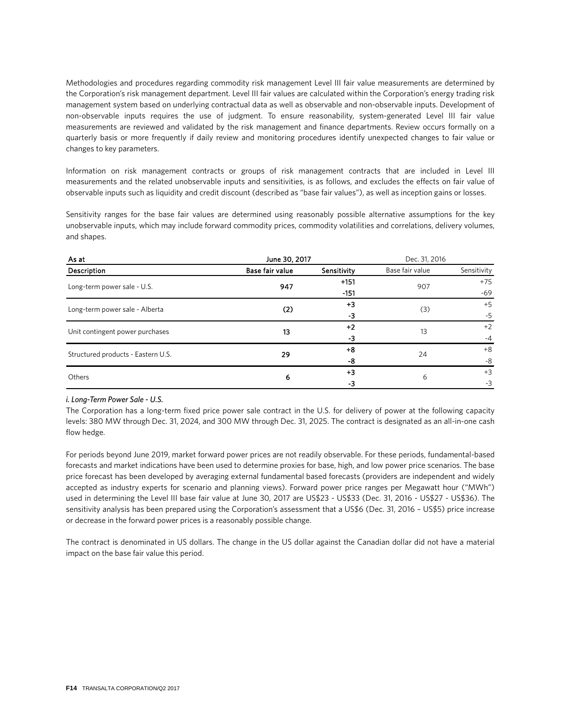Methodologies and procedures regarding commodity risk management Level III fair value measurements are determined by the Corporation's risk management department. Level III fair values are calculated within the Corporation's energy trading risk management system based on underlying contractual data as well as observable and non-observable inputs. Development of non-observable inputs requires the use of judgment. To ensure reasonability, system-generated Level III fair value measurements are reviewed and validated by the risk management and finance departments. Review occurs formally on a quarterly basis or more frequently if daily review and monitoring procedures identify unexpected changes to fair value or changes to key parameters.

Information on risk management contracts or groups of risk management contracts that are included in Level III measurements and the related unobservable inputs and sensitivities, is as follows, and excludes the effects on fair value of observable inputs such as liquidity and credit discount (described as "base fair values"), as well as inception gains or losses.

Sensitivity ranges for the base fair values are determined using reasonably possible alternative assumptions for the key unobservable inputs, which may include forward commodity prices, commodity volatilities and correlations, delivery volumes, and shapes.

| As at                              | June 30, 2017   | Dec. 31, 2016 |                 |             |
|------------------------------------|-----------------|---------------|-----------------|-------------|
| Description                        | Base fair value | Sensitivity   | Base fair value | Sensitivity |
| Long-term power sale - U.S.        | 947             | $+151$        | 907             | $+75$       |
|                                    |                 | $-151$        |                 | $-69$       |
| Long-term power sale - Alberta     | (2)             | $+3$          | (3)             | $+5$        |
|                                    |                 | -3            |                 | $-5$        |
| Unit contingent power purchases    | 13              | $+2$          | 13              | $+2$        |
|                                    |                 | -3            |                 | $-4$        |
| Structured products - Eastern U.S. | 29              | $+8$          | 24              | $+8$        |
|                                    |                 | -8            |                 | -8          |
| Others                             | 6               | $+3$          | 6               | $+3$        |
|                                    |                 | -3            |                 | $-3$        |

#### *i. Long-Term Power Sale - U.S.*

The Corporation has a long-term fixed price power sale contract in the U.S. for delivery of power at the following capacity levels: 380 MW through Dec. 31, 2024, and 300 MW through Dec. 31, 2025. The contract is designated as an all-in-one cash flow hedge.

For periods beyond June 2019, market forward power prices are not readily observable. For these periods, fundamental-based forecasts and market indications have been used to determine proxies for base, high, and low power price scenarios. The base price forecast has been developed by averaging external fundamental based forecasts (providers are independent and widely accepted as industry experts for scenario and planning views). Forward power price ranges per Megawatt hour ("MWh") used in determining the Level III base fair value at June 30, 2017 are US\$23 - US\$33 (Dec. 31, 2016 - US\$27 - US\$36). The sensitivity analysis has been prepared using the Corporation's assessment that a US\$6 (Dec. 31, 2016 – US\$5) price increase or decrease in the forward power prices is a reasonably possible change.

The contract is denominated in US dollars. The change in the US dollar against the Canadian dollar did not have a material impact on the base fair value this period.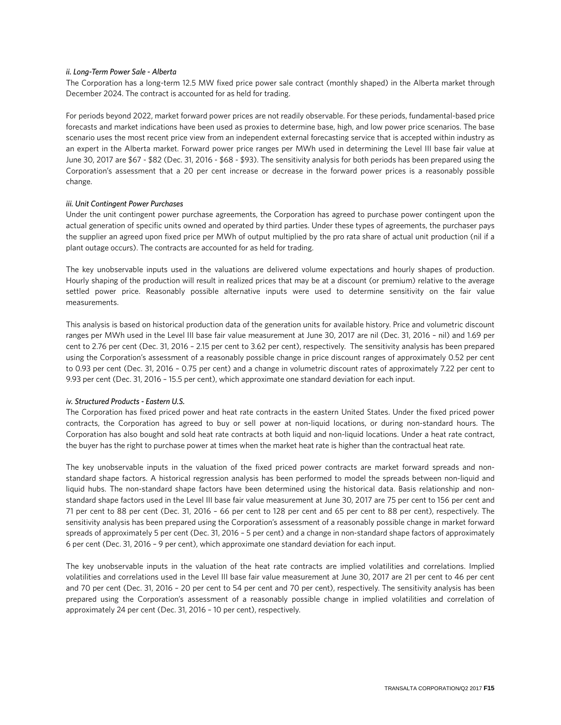#### *ii. Long-Term Power Sale - Alberta*

The Corporation has a long-term 12.5 MW fixed price power sale contract (monthly shaped) in the Alberta market through December 2024. The contract is accounted for as held for trading.

For periods beyond 2022, market forward power prices are not readily observable. For these periods, fundamental-based price forecasts and market indications have been used as proxies to determine base, high, and low power price scenarios. The base scenario uses the most recent price view from an independent external forecasting service that is accepted within industry as an expert in the Alberta market. Forward power price ranges per MWh used in determining the Level III base fair value at June 30, 2017 are \$67 - \$82 (Dec. 31, 2016 - \$68 - \$93). The sensitivity analysis for both periods has been prepared using the Corporation's assessment that a 20 per cent increase or decrease in the forward power prices is a reasonably possible change.

#### *iii. Unit Contingent Power Purchases*

Under the unit contingent power purchase agreements, the Corporation has agreed to purchase power contingent upon the actual generation of specific units owned and operated by third parties. Under these types of agreements, the purchaser pays the supplier an agreed upon fixed price per MWh of output multiplied by the pro rata share of actual unit production (nil if a plant outage occurs). The contracts are accounted for as held for trading.

The key unobservable inputs used in the valuations are delivered volume expectations and hourly shapes of production. Hourly shaping of the production will result in realized prices that may be at a discount (or premium) relative to the average settled power price. Reasonably possible alternative inputs were used to determine sensitivity on the fair value measurements.

This analysis is based on historical production data of the generation units for available history. Price and volumetric discount ranges per MWh used in the Level III base fair value measurement at June 30, 2017 are nil (Dec. 31, 2016 – nil) and 1.69 per cent to 2.76 per cent (Dec. 31, 2016 – 2.15 per cent to 3.62 per cent), respectively. The sensitivity analysis has been prepared using the Corporation's assessment of a reasonably possible change in price discount ranges of approximately 0.52 per cent to 0.93 per cent (Dec. 31, 2016 – 0.75 per cent) and a change in volumetric discount rates of approximately 7.22 per cent to 9.93 per cent (Dec. 31, 2016 – 15.5 per cent), which approximate one standard deviation for each input.

#### *iv. Structured Products - Eastern U.S.*

The Corporation has fixed priced power and heat rate contracts in the eastern United States. Under the fixed priced power contracts, the Corporation has agreed to buy or sell power at non-liquid locations, or during non-standard hours. The Corporation has also bought and sold heat rate contracts at both liquid and non-liquid locations. Under a heat rate contract, the buyer has the right to purchase power at times when the market heat rate is higher than the contractual heat rate.

The key unobservable inputs in the valuation of the fixed priced power contracts are market forward spreads and nonstandard shape factors. A historical regression analysis has been performed to model the spreads between non-liquid and liquid hubs. The non-standard shape factors have been determined using the historical data. Basis relationship and nonstandard shape factors used in the Level III base fair value measurement at June 30, 2017 are 75 per cent to 156 per cent and 71 per cent to 88 per cent (Dec. 31, 2016 – 66 per cent to 128 per cent and 65 per cent to 88 per cent), respectively. The sensitivity analysis has been prepared using the Corporation's assessment of a reasonably possible change in market forward spreads of approximately 5 per cent (Dec. 31, 2016 – 5 per cent) and a change in non-standard shape factors of approximately 6 per cent (Dec. 31, 2016 – 9 per cent), which approximate one standard deviation for each input.

The key unobservable inputs in the valuation of the heat rate contracts are implied volatilities and correlations. Implied volatilities and correlations used in the Level III base fair value measurement at June 30, 2017 are 21 per cent to 46 per cent and 70 per cent (Dec. 31, 2016 – 20 per cent to 54 per cent and 70 per cent), respectively. The sensitivity analysis has been prepared using the Corporation's assessment of a reasonably possible change in implied volatilities and correlation of approximately 24 per cent (Dec. 31, 2016 – 10 per cent), respectively.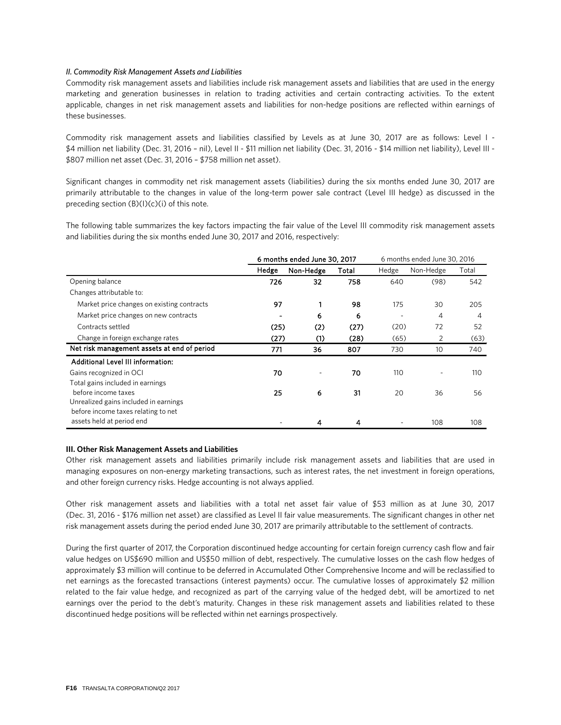#### *II. Commodity Risk Management Assets and Liabilities*

Commodity risk management assets and liabilities include risk management assets and liabilities that are used in the energy marketing and generation businesses in relation to trading activities and certain contracting activities. To the extent applicable, changes in net risk management assets and liabilities for non-hedge positions are reflected within earnings of these businesses.

Commodity risk management assets and liabilities classified by Levels as at June 30, 2017 are as follows: Level I - \$4 million net liability (Dec. 31, 2016 – nil), Level II - \$11 million net liability (Dec. 31, 2016 - \$14 million net liability), Level III - \$807 million net asset (Dec. 31, 2016 – \$758 million net asset).

Significant changes in commodity net risk management assets (liabilities) during the six months ended June 30, 2017 are primarily attributable to the changes in value of the long-term power sale contract (Level III hedge) as discussed in the preceding section  $(B)(I)(c)(i)$  of this note.

The following table summarizes the key factors impacting the fair value of the Level III commodity risk management assets and liabilities during the six months ended June 30, 2017 and 2016, respectively:

|                                             |       | 6 months ended June 30, 2017 | 6 months ended June 30, 2016 |       |           |       |
|---------------------------------------------|-------|------------------------------|------------------------------|-------|-----------|-------|
|                                             | Hedge | Non-Hedge                    | Total                        | Hedge | Non-Hedge | Total |
| Opening balance                             | 726   | 32                           | 758                          | 640   | (98)      | 542   |
| Changes attributable to:                    |       |                              |                              |       |           |       |
| Market price changes on existing contracts  | 97    |                              | 98                           | 175   | 30        | 205   |
| Market price changes on new contracts       |       | 6                            | 6                            |       | 4         | 4     |
| Contracts settled                           | (25)  | (2)                          | (27)                         | (20)  | 72        | 52    |
| Change in foreign exchange rates            | (27)  | (1)                          | (28)                         | (65)  | 2         | (63)  |
| Net risk management assets at end of period | 771   | 36                           | 807                          | 730   | 10        | 740   |
| Additional Level III information:           |       |                              |                              |       |           |       |
| Gains recognized in OCI                     | 70    |                              | 70                           | 110   |           | 110   |
| Total gains included in earnings            |       |                              |                              |       |           |       |
| before income taxes                         | 25    | 6                            | 31                           | 20    | 36        | 56    |
| Unrealized gains included in earnings       |       |                              |                              |       |           |       |
| before income taxes relating to net         |       |                              |                              |       |           |       |
| assets held at period end                   |       | 4                            | 4                            |       | 108       | 108   |

#### **III. Other Risk Management Assets and Liabilities**

Other risk management assets and liabilities primarily include risk management assets and liabilities that are used in managing exposures on non-energy marketing transactions, such as interest rates, the net investment in foreign operations, and other foreign currency risks. Hedge accounting is not always applied.

Other risk management assets and liabilities with a total net asset fair value of \$53 million as at June 30, 2017 (Dec. 31, 2016 - \$176 million net asset) are classified as Level II fair value measurements. The significant changes in other net risk management assets during the period ended June 30, 2017 are primarily attributable to the settlement of contracts.

During the first quarter of 2017, the Corporation discontinued hedge accounting for certain foreign currency cash flow and fair value hedges on US\$690 million and US\$50 million of debt, respectively. The cumulative losses on the cash flow hedges of approximately \$3 million will continue to be deferred in Accumulated Other Comprehensive Income and will be reclassified to net earnings as the forecasted transactions (interest payments) occur. The cumulative losses of approximately \$2 million related to the fair value hedge, and recognized as part of the carrying value of the hedged debt, will be amortized to net earnings over the period to the debt's maturity. Changes in these risk management assets and liabilities related to these discontinued hedge positions will be reflected within net earnings prospectively.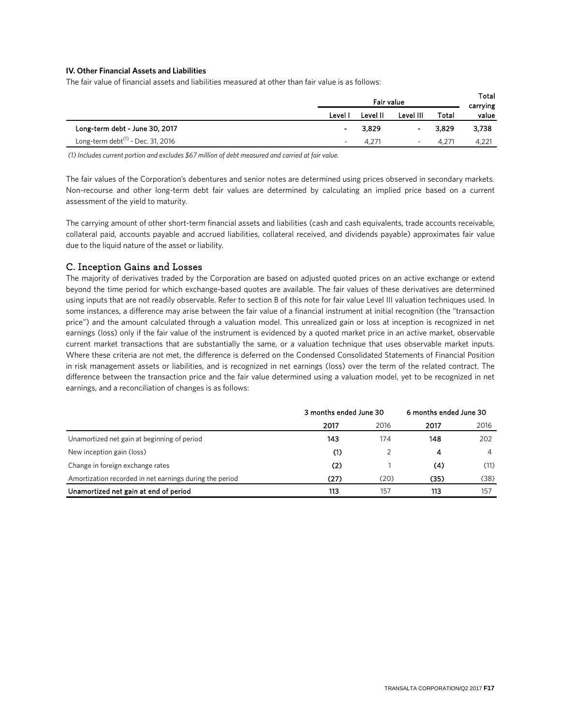### **IV. Other Financial Assets and Liabilities**

The fair value of financial assets and liabilities measured at other than fair value is as follows:

|                                               | Fair value |                |           |       | Total<br>carrying |
|-----------------------------------------------|------------|----------------|-----------|-------|-------------------|
|                                               | Level I    | Level II       | Level III | Total | value             |
| Long-term debt - June 30, 2017                | ٠          | 3,829          | $\sim$    | 3.829 | 3,738             |
| Long-term debt <sup>(1)</sup> - Dec. 31, 2016 |            | $4.27^{\circ}$ | ۰         | 4.271 | 4,221             |

*(1) Includes current portion and excludes \$67 million of debt measured and carried at fair value.*

The fair values of the Corporation's debentures and senior notes are determined using prices observed in secondary markets. Non-recourse and other long-term debt fair values are determined by calculating an implied price based on a current assessment of the yield to maturity.

The carrying amount of other short-term financial assets and liabilities (cash and cash equivalents, trade accounts receivable, collateral paid, accounts payable and accrued liabilities, collateral received, and dividends payable) approximates fair value due to the liquid nature of the asset or liability.

### C. Inception Gains and Losses

The majority of derivatives traded by the Corporation are based on adjusted quoted prices on an active exchange or extend beyond the time period for which exchange-based quotes are available. The fair values of these derivatives are determined using inputs that are not readily observable. Refer to section B of this note for fair value Level III valuation techniques used. In some instances, a difference may arise between the fair value of a financial instrument at initial recognition (the "transaction price") and the amount calculated through a valuation model. This unrealized gain or loss at inception is recognized in net earnings (loss) only if the fair value of the instrument is evidenced by a quoted market price in an active market, observable current market transactions that are substantially the same, or a valuation technique that uses observable market inputs. Where these criteria are not met, the difference is deferred on the Condensed Consolidated Statements of Financial Position in risk management assets or liabilities, and is recognized in net earnings (loss) over the term of the related contract. The difference between the transaction price and the fair value determined using a valuation model, yet to be recognized in net earnings, and a reconciliation of changes is as follows:

|                                                         |      | 3 months ended June 30 |      |      |
|---------------------------------------------------------|------|------------------------|------|------|
|                                                         | 2017 | 2016                   | 2017 | 2016 |
| Unamortized net gain at beginning of period             | 143  | 174                    | 148  | 202  |
| New inception gain (loss)                               | (1)  |                        | 4    | 4    |
| Change in foreign exchange rates                        | (2)  |                        | (4)  | (11) |
| Amortization recorded in net earnings during the period | (27) | (20)                   | (35) | (38) |
| Unamortized net gain at end of period                   | 113  | 157                    | 113  | 157  |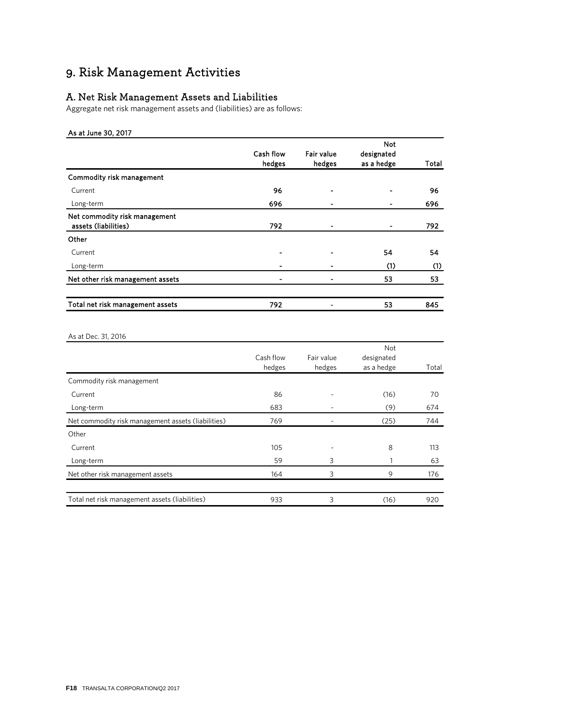## 9. Risk Management Activities

## A. Net Risk Management Assets and Liabilities

Aggregate net risk management assets and (liabilities) are as follows:

### As at June 30, 2017

|           |            | Not        |       |
|-----------|------------|------------|-------|
| Cash flow | Fair value | designated |       |
| hedges    | hedges     | as a hedge | Total |
|           |            |            |       |
| 96        |            |            | 96    |
| 696       |            |            | 696   |
| 792       | ٠          |            | 792   |
|           |            |            |       |
|           |            | 54         | 54    |
|           |            | (1)        | (1)   |
|           |            | 53         | 53    |
| 792       |            | 53         | 845   |
|           |            |            |       |

### As at Dec. 31, 2016

|                                                    |           |            | Not        |       |
|----------------------------------------------------|-----------|------------|------------|-------|
|                                                    | Cash flow | Fair value | designated |       |
|                                                    | hedges    | hedges     | as a hedge | Total |
| Commodity risk management                          |           |            |            |       |
| Current                                            | 86        |            | (16)       | 70    |
| Long-term                                          | 683       |            | (9)        | 674   |
| Net commodity risk management assets (liabilities) | 769       |            | (25)       | 744   |
| Other                                              |           |            |            |       |
| Current                                            | 105       |            | 8          | 113   |
| Long-term                                          | 59        | 3          |            | 63    |
| Net other risk management assets                   | 164       | 3          | 9          | 176   |
|                                                    |           |            |            |       |
| Total net risk management assets (liabilities)     | 933       | 3          | (16)       | 920   |
|                                                    |           |            |            |       |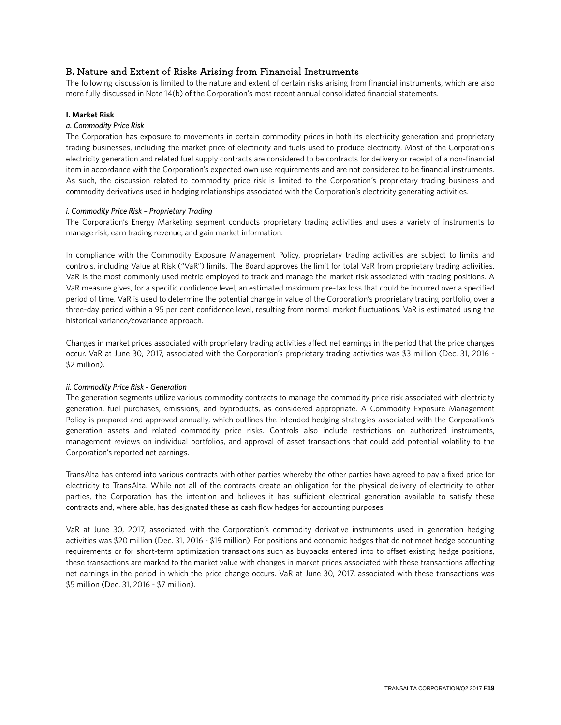## B. Nature and Extent of Risks Arising from Financial Instruments

The following discussion is limited to the nature and extent of certain risks arising from financial instruments, which are also more fully discussed in Note 14(b) of the Corporation's most recent annual consolidated financial statements.

#### **I. Market Risk**

#### *a. Commodity Price Risk*

The Corporation has exposure to movements in certain commodity prices in both its electricity generation and proprietary trading businesses, including the market price of electricity and fuels used to produce electricity. Most of the Corporation's electricity generation and related fuel supply contracts are considered to be contracts for delivery or receipt of a non-financial item in accordance with the Corporation's expected own use requirements and are not considered to be financial instruments. As such, the discussion related to commodity price risk is limited to the Corporation's proprietary trading business and commodity derivatives used in hedging relationships associated with the Corporation's electricity generating activities.

#### *i. Commodity Price Risk – Proprietary Trading*

The Corporation's Energy Marketing segment conducts proprietary trading activities and uses a variety of instruments to manage risk, earn trading revenue, and gain market information.

In compliance with the Commodity Exposure Management Policy, proprietary trading activities are subject to limits and controls, including Value at Risk ("VaR") limits. The Board approves the limit for total VaR from proprietary trading activities. VaR is the most commonly used metric employed to track and manage the market risk associated with trading positions. A VaR measure gives, for a specific confidence level, an estimated maximum pre-tax loss that could be incurred over a specified period of time. VaR is used to determine the potential change in value of the Corporation's proprietary trading portfolio, over a three-day period within a 95 per cent confidence level, resulting from normal market fluctuations. VaR is estimated using the historical variance/covariance approach.

Changes in market prices associated with proprietary trading activities affect net earnings in the period that the price changes occur. VaR at June 30, 2017, associated with the Corporation's proprietary trading activities was \$3 million (Dec. 31, 2016 - \$2 million).

#### *ii. Commodity Price Risk - Generation*

The generation segments utilize various commodity contracts to manage the commodity price risk associated with electricity generation, fuel purchases, emissions, and byproducts, as considered appropriate. A Commodity Exposure Management Policy is prepared and approved annually, which outlines the intended hedging strategies associated with the Corporation's generation assets and related commodity price risks. Controls also include restrictions on authorized instruments, management reviews on individual portfolios, and approval of asset transactions that could add potential volatility to the Corporation's reported net earnings.

TransAlta has entered into various contracts with other parties whereby the other parties have agreed to pay a fixed price for electricity to TransAlta. While not all of the contracts create an obligation for the physical delivery of electricity to other parties, the Corporation has the intention and believes it has sufficient electrical generation available to satisfy these contracts and, where able, has designated these as cash flow hedges for accounting purposes.

VaR at June 30, 2017, associated with the Corporation's commodity derivative instruments used in generation hedging activities was \$20 million (Dec. 31, 2016 - \$19 million). For positions and economic hedges that do not meet hedge accounting requirements or for short-term optimization transactions such as buybacks entered into to offset existing hedge positions, these transactions are marked to the market value with changes in market prices associated with these transactions affecting net earnings in the period in which the price change occurs. VaR at June 30, 2017, associated with these transactions was \$5 million (Dec. 31, 2016 - \$7 million).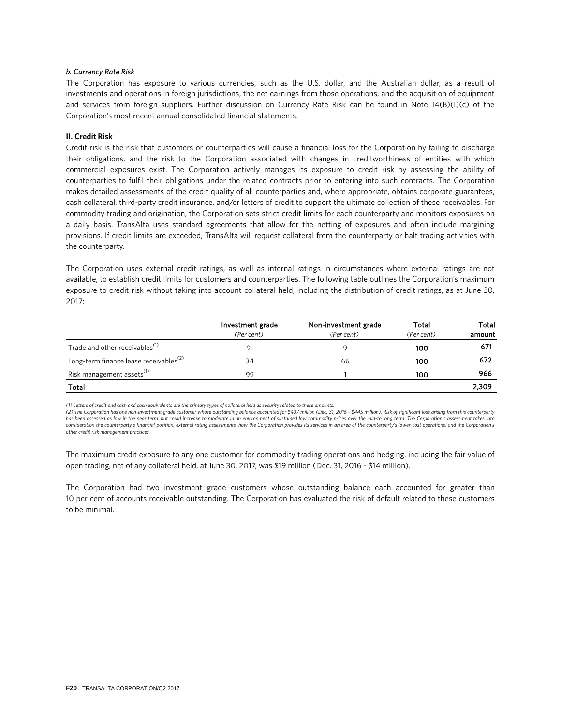#### *b. Currency Rate Risk*

The Corporation has exposure to various currencies, such as the U.S. dollar, and the Australian dollar, as a result of investments and operations in foreign jurisdictions, the net earnings from those operations, and the acquisition of equipment and services from foreign suppliers. Further discussion on Currency Rate Risk can be found in Note 14(B)(I)(c) of the Corporation's most recent annual consolidated financial statements.

#### **II. Credit Risk**

Credit risk is the risk that customers or counterparties will cause a financial loss for the Corporation by failing to discharge their obligations, and the risk to the Corporation associated with changes in creditworthiness of entities with which commercial exposures exist. The Corporation actively manages its exposure to credit risk by assessing the ability of counterparties to fulfil their obligations under the related contracts prior to entering into such contracts. The Corporation makes detailed assessments of the credit quality of all counterparties and, where appropriate, obtains corporate guarantees, cash collateral, third-party credit insurance, and/or letters of credit to support the ultimate collection of these receivables. For commodity trading and origination, the Corporation sets strict credit limits for each counterparty and monitors exposures on a daily basis. TransAlta uses standard agreements that allow for the netting of exposures and often include margining provisions. If credit limits are exceeded, TransAlta will request collateral from the counterparty or halt trading activities with the counterparty.

The Corporation uses external credit ratings, as well as internal ratings in circumstances where external ratings are not available, to establish credit limits for customers and counterparties. The following table outlines the Corporation's maximum exposure to credit risk without taking into account collateral held, including the distribution of credit ratings, as at June 30, 2017:

|                                                    | Investment grade | Non-investment grade | Total      | Total  |
|----------------------------------------------------|------------------|----------------------|------------|--------|
|                                                    | (Per cent)       | (Per cent)           | (Per cent) | amount |
| Trade and other receivables <sup>(1)</sup>         | 91               |                      | 100        | 671    |
| Long-term finance lease receivables <sup>(2)</sup> | 34               | 66                   | 100        | 672    |
| Risk management assets <sup>(1)</sup>              | 99               |                      | 100        | 966    |
| Total                                              |                  |                      |            | 2,309  |

*(1) Letters of credit and cash and cash equivalents are the primary types of collateral held as security related to these amounts.* 

*(2) The Corporation has one non-investment grade customer whose outstanding balance accounted for \$437 million (Dec. 31, 2016 - \$445 million). Risk of significant loss arising from this counterparty has been assessed as low in the near term, but could increase to moderate in an environment of sustained low commodity prices over the mid-to long term. The Corporation's assessment takes into*  consideration the counterparty's financial position, external rating assessments, how the Corporation provides its services in an area of the counterparty's lower-cost operations, and the Corporation's *other credit risk management practices.*

The maximum credit exposure to any one customer for commodity trading operations and hedging, including the fair value of open trading, net of any collateral held, at June 30, 2017, was \$19 million (Dec. 31, 2016 - \$14 million).

The Corporation had two investment grade customers whose outstanding balance each accounted for greater than 10 per cent of accounts receivable outstanding. The Corporation has evaluated the risk of default related to these customers to be minimal.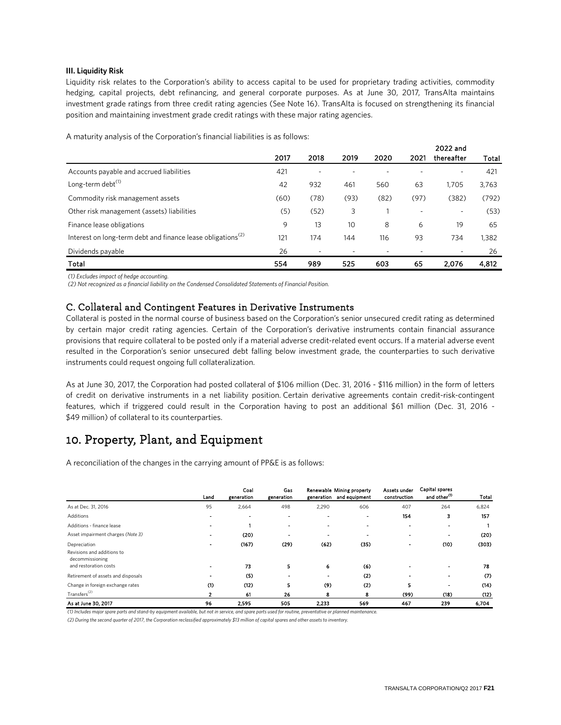#### **III. Liquidity Risk**

Liquidity risk relates to the Corporation's ability to access capital to be used for proprietary trading activities, commodity hedging, capital projects, debt refinancing, and general corporate purposes. As at June 30, 2017, TransAlta maintains investment grade ratings from three credit rating agencies (See Note 16). TransAlta is focused on strengthening its financial position and maintaining investment grade credit ratings with these major rating agencies.

A maturity analysis of the Corporation's financial liabilities is as follows:

|      |      |      |      |      | <b>LVLL</b> UIIU |       |
|------|------|------|------|------|------------------|-------|
| 2017 | 2018 | 2019 | 2020 | 2021 | thereafter       | Total |
| 421  |      |      |      |      | ٠                | 421   |
| 42   | 932  | 461  | 560  | 63   | 1.705            | 3,763 |
| (60) | (78) | (93) | (82) | (97) | (382)            | (792) |
| (5)  | (52) | 3    |      |      | ۰                | (53)  |
| 9    | 13   | 10   | 8    | 6    | 19               | 65    |
| 121  | 174  | 144  | 116  | 93   | 734              | 1,382 |
| 26   |      | ٠    |      |      | Ξ.               | 26    |
| 554  | 989  | 525  | 603  | 65   | 2.076            | 4,812 |
|      |      |      |      |      |                  |       |

*(1) Excludes impact of hedge accounting.*

*(2) Not recognized as a financial liability on the Condensed Consolidated Statements of Financial Position.*

### C. Collateral and Contingent Features in Derivative Instruments

Collateral is posted in the normal course of business based on the Corporation's senior unsecured credit rating as determined by certain major credit rating agencies. Certain of the Corporation's derivative instruments contain financial assurance provisions that require collateral to be posted only if a material adverse credit-related event occurs. If a material adverse event resulted in the Corporation's senior unsecured debt falling below investment grade, the counterparties to such derivative instruments could request ongoing full collateralization.

As at June 30, 2017, the Corporation had posted collateral of \$106 million (Dec. 31, 2016 - \$116 million) in the form of letters of credit on derivative instruments in a net liability position. Certain derivative agreements contain credit-risk-contingent features, which if triggered could result in the Corporation having to post an additional \$61 million (Dec. 31, 2016 - \$49 million) of collateral to its counterparties.

## 10. Property, Plant, and Equipment

A reconciliation of the changes in the carrying amount of PP&E is as follows:

|                                                                        | Land                     | Coal<br>generation | Gas<br>generation |       | Renewable Mining property<br>generation and equipment | Assets under<br>construction | Capital spares<br>and other <sup>(1)</sup> | Total |
|------------------------------------------------------------------------|--------------------------|--------------------|-------------------|-------|-------------------------------------------------------|------------------------------|--------------------------------------------|-------|
| As at Dec. 31, 2016                                                    | 95                       | 2,664              | 498               | 2,290 | 606                                                   | 407                          | 264                                        | 6,824 |
| Additions                                                              |                          | ٠                  |                   |       |                                                       | 154                          | з                                          | 157   |
| Additions - finance lease                                              | $\overline{\phantom{0}}$ |                    |                   |       | $\overline{\phantom{0}}$                              | $\blacksquare$               | $\blacksquare$                             |       |
| Asset impairment charges (Note 3)                                      | $\blacksquare$           | (20)               |                   |       |                                                       |                              | $\overline{\phantom{0}}$                   | (20)  |
| Depreciation                                                           | $\overline{\phantom{0}}$ | (167)              | (29)              | (62)  | (35)                                                  | $\overline{\phantom{a}}$     | (10)                                       | (303) |
| Revisions and additions to<br>decommissioning<br>and restoration costs |                          | 73                 | 5                 | 6     | (6)                                                   |                              |                                            | 78    |
| Retirement of assets and disposals                                     |                          | (5)                |                   |       | (2)                                                   |                              |                                            | (7)   |
| Change in foreign exchange rates                                       | $\circ$                  | (12)               | 5                 | (9)   | (2)                                                   | 5                            | $\overline{\phantom{0}}$                   | (14)  |
| Transfers <sup>(2)</sup>                                               |                          | 61                 | 26                | 8     | 8                                                     | (99)                         | (18)                                       | (12)  |
| As at June 30, 2017                                                    | 96                       | 2,595              | 505               | 2,233 | 569                                                   | 467                          | 239                                        | 6.704 |

*(1) Includes major spare parts and stand-by equipment available, but not in service, and spare parts used for routine, preventative or planned maintenance. (2) During the second quarter of 2017, the Corporation reclassified approximately \$13 million of capital spares and other assets to inventory.*

2022 and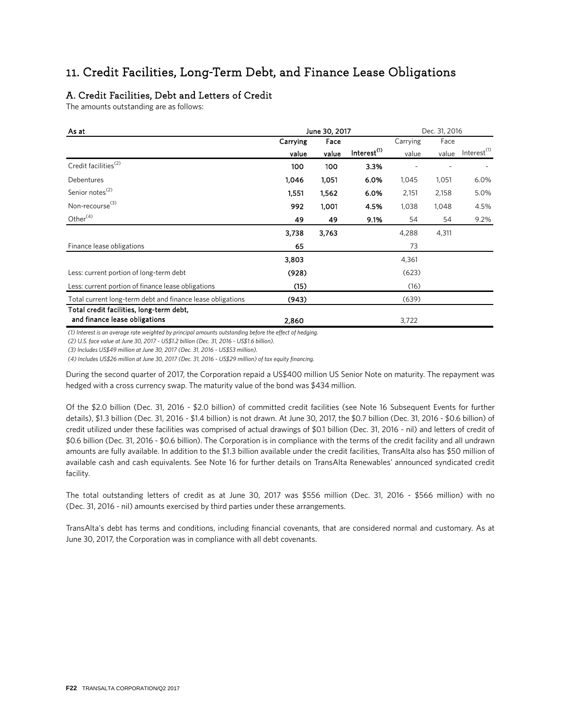## 11. Credit Facilities, Long-Term Debt, and Finance Lease Obligations

## A. Credit Facilities, Debt and Letters of Credit

The amounts outstanding are as follows:

| As at                                                                     |          | June 30, 2017 | Dec. 31, 2016           |          |       |                         |
|---------------------------------------------------------------------------|----------|---------------|-------------------------|----------|-------|-------------------------|
|                                                                           | Carrying | Face          |                         | Carrying | Face  |                         |
|                                                                           | value    | value         | Interest <sup>(1)</sup> | value    | value | Interest <sup>(1)</sup> |
| Credit facilities <sup>(2)</sup>                                          | 100      | 100           | 3.3%                    |          |       |                         |
| Debentures                                                                | 1,046    | 1,051         | 6.0%                    | 1,045    | 1,051 | 6.0%                    |
| Senior notes <sup>(2)</sup>                                               | 1,551    | 1,562         | 6.0%                    | 2,151    | 2,158 | 5.0%                    |
| Non-recourse <sup>(3)</sup>                                               | 992      | 1,001         | 4.5%                    | 1,038    | 1,048 | 4.5%                    |
| Other $(4)$                                                               | 49       | 49            | 9.1%                    | 54       | 54    | 9.2%                    |
|                                                                           | 3,738    | 3,763         |                         | 4,288    | 4,311 |                         |
| Finance lease obligations                                                 | 65       |               |                         | 73       |       |                         |
|                                                                           | 3,803    |               |                         | 4,361    |       |                         |
| Less: current portion of long-term debt                                   | (928)    |               |                         | (623)    |       |                         |
| Less: current portion of finance lease obligations                        | (15)     |               |                         | (16)     |       |                         |
| Total current long-term debt and finance lease obligations                | (943)    |               |                         | (639)    |       |                         |
| Total credit facilities, long-term debt,<br>and finance lease obligations | 2.860    |               |                         | 3,722    |       |                         |

*(1) Interest is an average rate weighted by principal amounts outstanding before the effect of hedging.* 

*(2) U.S. face value at June 30, 2017 - US\$1.2 billion (Dec. 31, 2016 - US\$1.6 billion).*

*(3) Includes US\$49 million at June 30, 2017 (Dec. 31, 2016 - US\$53 million).* 

*(4) Includes US\$26 million at June 30, 2017 (Dec. 31, 2016 - US\$29 million) of tax equity financing.*

During the second quarter of 2017, the Corporation repaid a US\$400 million US Senior Note on maturity. The repayment was hedged with a cross currency swap. The maturity value of the bond was \$434 million.

Of the \$2.0 billion (Dec. 31, 2016 - \$2.0 billion) of committed credit facilities (see Note 16 Subsequent Events for further details), \$1.3 billion (Dec. 31, 2016 - \$1.4 billion) is not drawn. At June 30, 2017, the \$0.7 billion (Dec. 31, 2016 - \$0.6 billion) of credit utilized under these facilities was comprised of actual drawings of \$0.1 billion (Dec. 31, 2016 - nil) and letters of credit of \$0.6 billion (Dec. 31, 2016 - \$0.6 billion). The Corporation is in compliance with the terms of the credit facility and all undrawn amounts are fully available. In addition to the \$1.3 billion available under the credit facilities, TransAlta also has \$50 million of available cash and cash equivalents. See Note 16 for further details on TransAlta Renewables' announced syndicated credit facility.

The total outstanding letters of credit as at June 30, 2017 was \$556 million (Dec. 31, 2016 - \$566 million) with no (Dec. 31, 2016 - nil) amounts exercised by third parties under these arrangements.

TransAlta's debt has terms and conditions, including financial covenants, that are considered normal and customary. As at June 30, 2017, the Corporation was in compliance with all debt covenants.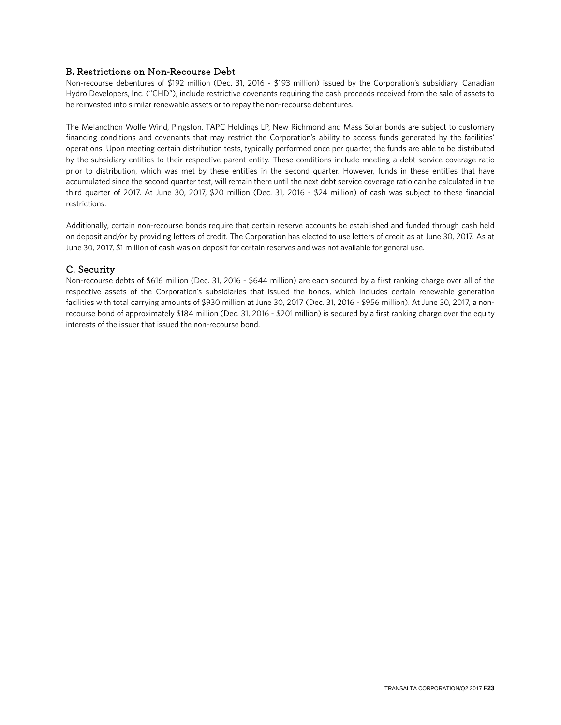### B. Restrictions on Non-Recourse Debt

Non-recourse debentures of \$192 million (Dec. 31, 2016 - \$193 million) issued by the Corporation's subsidiary, Canadian Hydro Developers, Inc. ("CHD"), include restrictive covenants requiring the cash proceeds received from the sale of assets to be reinvested into similar renewable assets or to repay the non-recourse debentures.

The Melancthon Wolfe Wind, Pingston, TAPC Holdings LP, New Richmond and Mass Solar bonds are subject to customary financing conditions and covenants that may restrict the Corporation's ability to access funds generated by the facilities' operations. Upon meeting certain distribution tests, typically performed once per quarter, the funds are able to be distributed by the subsidiary entities to their respective parent entity. These conditions include meeting a debt service coverage ratio prior to distribution, which was met by these entities in the second quarter. However, funds in these entities that have accumulated since the second quarter test, will remain there until the next debt service coverage ratio can be calculated in the third quarter of 2017. At June 30, 2017, \$20 million (Dec. 31, 2016 - \$24 million) of cash was subject to these financial restrictions.

Additionally, certain non-recourse bonds require that certain reserve accounts be established and funded through cash held on deposit and/or by providing letters of credit. The Corporation has elected to use letters of credit as at June 30, 2017. As at June 30, 2017, \$1 million of cash was on deposit for certain reserves and was not available for general use.

### C. Security

Non-recourse debts of \$616 million (Dec. 31, 2016 - \$644 million) are each secured by a first ranking charge over all of the respective assets of the Corporation's subsidiaries that issued the bonds, which includes certain renewable generation facilities with total carrying amounts of \$930 million at June 30, 2017 (Dec. 31, 2016 - \$956 million). At June 30, 2017, a nonrecourse bond of approximately \$184 million (Dec. 31, 2016 - \$201 million) is secured by a first ranking charge over the equity interests of the issuer that issued the non-recourse bond.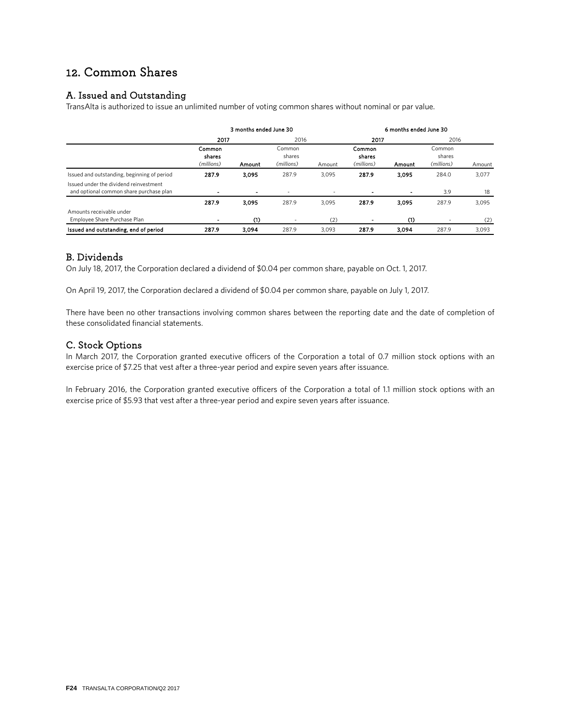## 12. Common Shares

## A. Issued and Outstanding

TransAlta is authorized to issue an unlimited number of voting common shares without nominal or par value.

|                                                                                   | 3 months ended June 30         |                |                                |                          | 6 months ended June 30         |        |                                |        |
|-----------------------------------------------------------------------------------|--------------------------------|----------------|--------------------------------|--------------------------|--------------------------------|--------|--------------------------------|--------|
|                                                                                   | 2017                           |                | 2016                           |                          | 2017                           |        | 2016                           |        |
|                                                                                   | Common<br>shares<br>(millions) | Amount         | Common<br>shares<br>(millions) | Amount                   | Common<br>shares<br>(millions) | Amount | Common<br>shares<br>(millions) | Amount |
| Issued and outstanding, beginning of period                                       | 287.9                          | 3.095          | 287.9                          | 3.095                    | 287.9                          | 3.095  | 284.0                          | 3,077  |
| Issued under the dividend reinvestment<br>and optional common share purchase plan | ۰                              | $\blacksquare$ |                                | $\overline{\phantom{a}}$ | $\blacksquare$                 |        | 3.9                            | 18     |
|                                                                                   | 287.9                          | 3.095          | 287.9                          | 3,095                    | 287.9                          | 3.095  | 287.9                          | 3,095  |
| Amounts receivable under<br>Employee Share Purchase Plan                          | -                              | (1)            |                                | (2)                      | ۰                              | (1)    |                                | (2)    |
| Issued and outstanding, end of period                                             | 287.9                          | 3.094          | 287.9                          | 3.093                    | 287.9                          | 3,094  | 287.9                          | 3,093  |

### B. Dividends

On July 18, 2017, the Corporation declared a dividend of \$0.04 per common share, payable on Oct. 1, 2017.

On April 19, 2017, the Corporation declared a dividend of \$0.04 per common share, payable on July 1, 2017.

There have been no other transactions involving common shares between the reporting date and the date of completion of these consolidated financial statements.

### C. Stock Options

In March 2017, the Corporation granted executive officers of the Corporation a total of 0.7 million stock options with an exercise price of \$7.25 that vest after a three-year period and expire seven years after issuance.

In February 2016, the Corporation granted executive officers of the Corporation a total of 1.1 million stock options with an exercise price of \$5.93 that vest after a three-year period and expire seven years after issuance.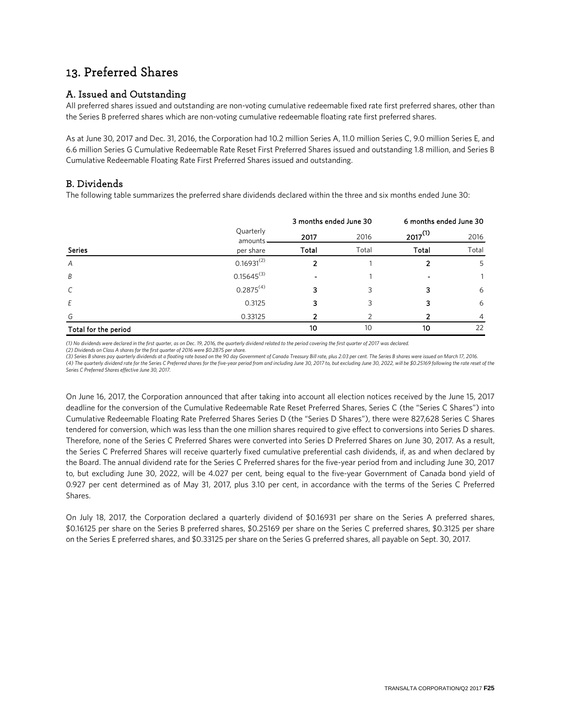## 13. Preferred Shares

## A. Issued and Outstanding

All preferred shares issued and outstanding are non-voting cumulative redeemable fixed rate first preferred shares, other than the Series B preferred shares which are non-voting cumulative redeemable floating rate first preferred shares.

As at June 30, 2017 and Dec. 31, 2016, the Corporation had 10.2 million Series A, 11.0 million Series C, 9.0 million Series E, and 6.6 million Series G Cumulative Redeemable Rate Reset First Preferred Shares issued and outstanding 1.8 million, and Series B Cumulative Redeemable Floating Rate First Preferred Shares issued and outstanding.

## B. Dividends

The following table summarizes the preferred share dividends declared within the three and six months ended June 30:

|                      |                      | 3 months ended June 30 |       | 6 months ended June 30 |       |  |  |
|----------------------|----------------------|------------------------|-------|------------------------|-------|--|--|
|                      | Quarterly<br>amounts | 2017                   | 2016  | $2017^{(1)}$           | 2016  |  |  |
| <b>Series</b>        | per share            | Total                  | Total | Total                  | Total |  |  |
| A                    | $0.16931^{(2)}$      |                        |       |                        | 5     |  |  |
| B                    | $0.15645^{(3)}$      |                        |       |                        |       |  |  |
| $\mathcal{C}$        | 0.2875(4)            |                        |       |                        | 6     |  |  |
| Ε                    | 0.3125               |                        |       |                        | 6     |  |  |
| G                    | 0.33125              |                        |       |                        | 4     |  |  |
| Total for the period |                      | 10                     | 10    | 10                     | 22    |  |  |

*(1) No dividends were declared in the first quarter, as on Dec. 19, 2016, the quarterly dividend related to the period covering the first quarter of 2017 was declared.*

*(2) Dividends on Class A shares for the first quarter of 2016 were \$0.2875 per share.*

*(3) Series B shares pay quarterly dividends at a floating rate based on the 90 day Government of Canada Treasury Bill rate, plus 2.03 per cent. The Series B shares were issued on March 17, 2016.* (4) The quarterly dividend rate for the Series C Preferred shares for the five-year period from and including June 30, 2017 to, but excluding June 30, 2022, will be \$0.25169 following the rate reset of the *Series C Preferred Shares effective June 30, 2017.* 

On June 16, 2017, the Corporation announced that after taking into account all election notices received by the June 15, 2017 deadline for the conversion of the Cumulative Redeemable Rate Reset Preferred Shares, Series C (the "Series C Shares") into Cumulative Redeemable Floating Rate Preferred Shares Series D (the "Series D Shares"), there were 827,628 Series C Shares tendered for conversion, which was less than the one million shares required to give effect to conversions into Series D shares. Therefore, none of the Series C Preferred Shares were converted into Series D Preferred Shares on June 30, 2017. As a result, the Series C Preferred Shares will receive quarterly fixed cumulative preferential cash dividends, if, as and when declared by the Board. The annual dividend rate for the Series C Preferred shares for the five-year period from and including June 30, 2017 to, but excluding June 30, 2022, will be 4.027 per cent, being equal to the five-year Government of Canada bond yield of 0.927 per cent determined as of May 31, 2017, plus 3.10 per cent, in accordance with the terms of the Series C Preferred Shares.

On July 18, 2017, the Corporation declared a quarterly dividend of \$0.16931 per share on the Series A preferred shares, \$0.16125 per share on the Series B preferred shares, \$0.25169 per share on the Series C preferred shares, \$0.3125 per share on the Series E preferred shares, and \$0.33125 per share on the Series G preferred shares, all payable on Sept. 30, 2017.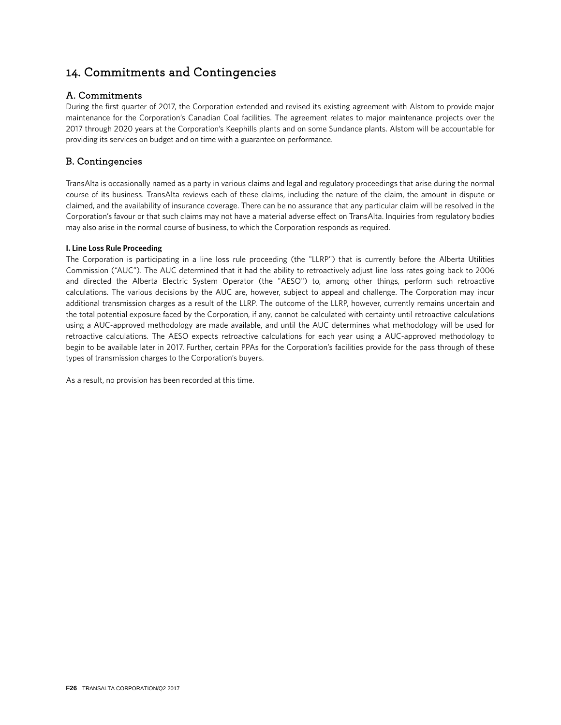## 14. Commitments and Contingencies

## A. Commitments

During the first quarter of 2017, the Corporation extended and revised its existing agreement with Alstom to provide major maintenance for the Corporation's Canadian Coal facilities. The agreement relates to major maintenance projects over the 2017 through 2020 years at the Corporation's Keephills plants and on some Sundance plants. Alstom will be accountable for providing its services on budget and on time with a guarantee on performance.

## B. Contingencies

TransAlta is occasionally named as a party in various claims and legal and regulatory proceedings that arise during the normal course of its business. TransAlta reviews each of these claims, including the nature of the claim, the amount in dispute or claimed, and the availability of insurance coverage. There can be no assurance that any particular claim will be resolved in the Corporation's favour or that such claims may not have a material adverse effect on TransAlta. Inquiries from regulatory bodies may also arise in the normal course of business, to which the Corporation responds as required.

### **I. Line Loss Rule Proceeding**

The Corporation is participating in a line loss rule proceeding (the "LLRP") that is currently before the Alberta Utilities Commission ("AUC"). The AUC determined that it had the ability to retroactively adjust line loss rates going back to 2006 and directed the Alberta Electric System Operator (the "AESO") to, among other things, perform such retroactive calculations. The various decisions by the AUC are, however, subject to appeal and challenge. The Corporation may incur additional transmission charges as a result of the LLRP. The outcome of the LLRP, however, currently remains uncertain and the total potential exposure faced by the Corporation, if any, cannot be calculated with certainty until retroactive calculations using a AUC-approved methodology are made available, and until the AUC determines what methodology will be used for retroactive calculations. The AESO expects retroactive calculations for each year using a AUC-approved methodology to begin to be available later in 2017. Further, certain PPAs for the Corporation's facilities provide for the pass through of these types of transmission charges to the Corporation's buyers.

As a result, no provision has been recorded at this time.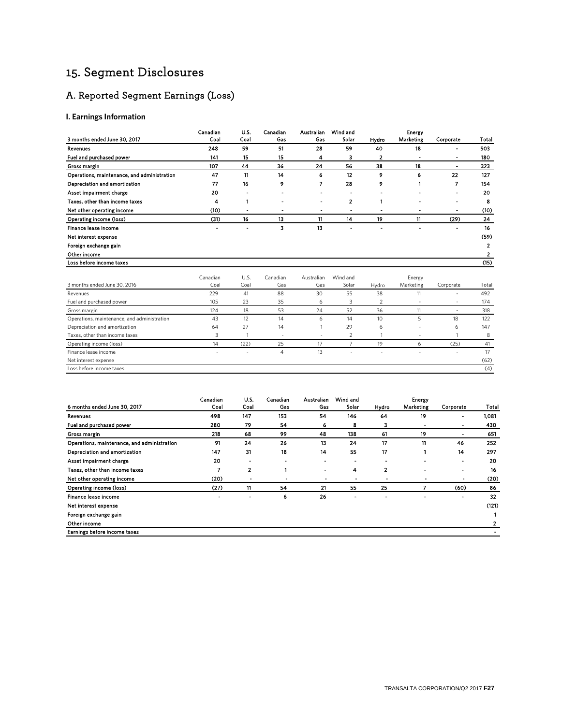## 15. Segment Disclosures

## A. Reported Segment Earnings (Loss)

### **I. Earnings Information**

|                                             | Canadian         | U.S.         | Canadian        | Australian        | Wind and          |                | <b>Energy</b>       |                |                         |
|---------------------------------------------|------------------|--------------|-----------------|-------------------|-------------------|----------------|---------------------|----------------|-------------------------|
| 3 months ended June 30, 2017                | Coal             | Coal         | Gas             | Gas               | Solar             | Hydro          | Marketing           | Corporate      | Total                   |
| Revenues                                    | 248              | 59           | 51              | 28                | 59                | 40             | 18                  |                | 503                     |
| Fuel and purchased power                    | 141              | 15           | 15              | 4                 | 3                 | 2              |                     |                | 180                     |
| Gross margin                                | 107              | 44           | 36              | 24                | 56                | 38             | 18                  | $\blacksquare$ | 323                     |
| Operations, maintenance, and administration | 47               | 11           | 14              | 6                 | 12                | 9              | 6                   | 22             | 127                     |
| Depreciation and amortization               | 77               | 16           | 9               | 7                 | 28                | 9              | 1                   | 7              | 154                     |
| Asset impairment charge                     | 20               |              |                 |                   |                   |                |                     |                | 20                      |
| Taxes, other than income taxes              | 4                |              |                 |                   | 2                 |                |                     |                | 8                       |
| Net other operating income                  | (10)             |              |                 | ٠                 |                   |                |                     |                | (10)                    |
| Operating income (loss)                     | (31)             | 16           | 13              | 11                | 14                | 19             | 11                  | (29)           | 24                      |
| Finance lease income                        |                  |              | 3               | 13                |                   |                |                     |                | 16                      |
| Net interest expense                        |                  |              |                 |                   |                   |                |                     |                | (59)                    |
| Foreign exchange gain                       |                  |              |                 |                   |                   |                |                     |                | $\overline{\mathbf{2}}$ |
| Other income                                |                  |              |                 |                   |                   |                |                     |                | 2                       |
| Loss before income taxes                    |                  |              |                 |                   |                   |                |                     |                | (15)                    |
|                                             |                  |              |                 |                   |                   |                |                     |                |                         |
| 3 months ended June 30, 2016                | Canadian<br>Coal | U.S.<br>Coal | Canadian<br>Gas | Australian<br>Gas | Wind and<br>Solar | Hydro          | Energy<br>Marketing | Corporate      | Total                   |
| Revenues                                    | 229              | 41           | 88              | 30                | 55                | 38             | 11                  | $\sim$         | 492                     |
| Fuel and purchased power                    | 105              | 23           | 35              | 6                 | 3                 | $\overline{2}$ |                     |                | 174                     |
| Gross margin                                | 124              | 18           | 53              | 24                | 52                | 36             | 11                  | $\sim$         | 318                     |
| Operations, maintenance, and administration | 43               | 12           | 14              | 6                 | 14                | 10             | 5                   | 18             | 122                     |
| Depreciation and amortization               | 64               | 27           | 14              |                   | 29                | 6              |                     | 6              | 147                     |
| Taxes, other than income taxes              | 3                |              | ٠               | ٠                 | 2                 |                |                     | $\mathbf{1}$   | 8                       |
| Operating income (loss)                     | 14               | (22)         | 25              | 17                | $\overline{7}$    | 19             | 6                   | (25)           | 41                      |
| Finance lease income                        |                  |              | $\overline{4}$  | 13                |                   |                |                     |                | 17                      |
| Net interest expense                        |                  |              |                 |                   |                   |                |                     |                | (62)                    |
| Loss before income taxes                    |                  |              |                 |                   |                   |                |                     |                | (4)                     |

|                                             | Canadian | U.S. | Canadian | Australian               | Wind and                 |       | Energy         |           |       |
|---------------------------------------------|----------|------|----------|--------------------------|--------------------------|-------|----------------|-----------|-------|
| 6 months ended June 30, 2017                | Coal     | Coal | Gas      | Gas                      | Solar                    | Hydro | Marketing      | Corporate | Total |
| Revenues                                    | 498      | 147  | 153      | 54                       | 146                      | 64    | 19             |           | 1,081 |
| Fuel and purchased power                    | 280      | 79   | 54       | 6                        | 8                        | з     | $\blacksquare$ |           | 430   |
| Gross margin                                | 218      | 68   | 99       | 48                       | 138                      | 61    | 19             |           | 651   |
| Operations, maintenance, and administration | 91       | 24   | 26       | 13                       | 24                       | 17    | 11             | 46        | 252   |
| Depreciation and amortization               | 147      | 31   | 18       | 14                       | 55                       | 17    |                | 14        | 297   |
| Asset impairment charge                     | 20       | ۰    | ۰        |                          | $\overline{\phantom{a}}$ |       |                |           | 20    |
| Taxes, other than income taxes              | 7        | 2    |          | -                        | 4                        | 2     | -              |           | 16    |
| Net other operating income                  | (20)     |      |          | $\overline{\phantom{a}}$ |                          |       |                |           | (20)  |
| Operating income (loss)                     | (27)     | 11   | 54       | 21                       | 55                       | 25    |                | (60)      | 86    |
| Finance lease income                        |          |      | 6        | 26                       |                          |       |                |           | 32    |
| Net interest expense                        |          |      |          |                          |                          |       |                |           | (121) |
| Foreign exchange gain                       |          |      |          |                          |                          |       |                |           |       |
| Other income                                |          |      |          |                          |                          |       |                |           |       |
| Earnings before income taxes                |          |      |          |                          |                          |       |                |           |       |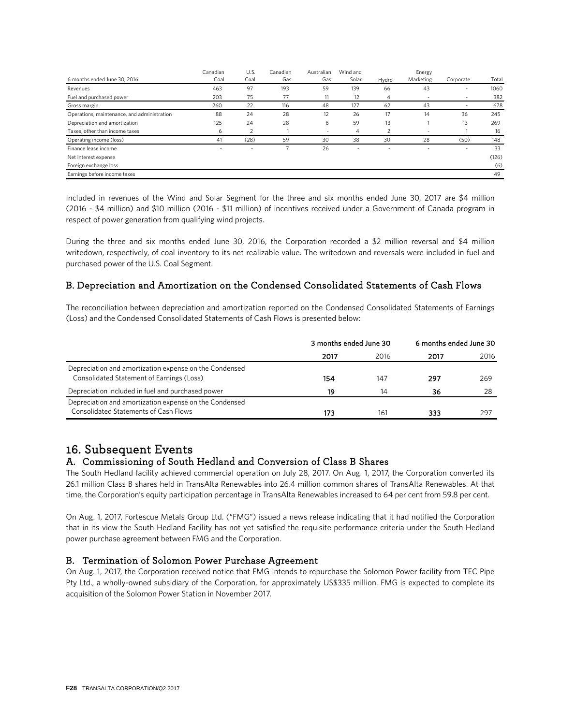|                                             | Canadian | U.S. | Canadian | Australian     | Wind and |       | Energy                   |                          |       |
|---------------------------------------------|----------|------|----------|----------------|----------|-------|--------------------------|--------------------------|-------|
| 6 months ended June 30, 2016                | Coal     | Coal | Gas      | Gas            | Solar    | Hydro | Marketing                | Corporate                | Total |
| Revenues                                    | 463      | 97   | 193      | 59             | 139      | 66    | 43                       | $\overline{\phantom{0}}$ | 1060  |
| Fuel and purchased power                    | 203      | 75   | 77       | 11             | 12       | 4     | $\overline{\phantom{a}}$ | $\overline{\phantom{a}}$ | 382   |
| Gross margin                                | 260      | 22   | 116      | 48             | 127      | 62    | 43                       |                          | 678   |
| Operations, maintenance, and administration | 88       | 24   | 28       | 12             | 26       | 17    | 14                       | 36                       | 245   |
| Depreciation and amortization               | 125      | 24   | 28       | 6              | 59       | 13    |                          | 13                       | 269   |
| Taxes, other than income taxes              | 6        |      |          | $\overline{a}$ | 4        |       | $\overline{\phantom{a}}$ |                          | 16    |
| Operating income (loss)                     | 41       | (28) | 59       | 30             | 38       | 30    | 28                       | (50)                     | 148   |
| Finance lease income                        | ۰        | ٠    |          | 26             |          | ۰     |                          | $\overline{\phantom{a}}$ | 33    |
| Net interest expense                        |          |      |          |                |          |       |                          |                          | (126) |
| Foreign exchange loss                       |          |      |          |                |          |       |                          |                          | (6)   |
| Earnings before income taxes                |          |      |          |                |          |       |                          |                          | 49    |

Included in revenues of the Wind and Solar Segment for the three and six months ended June 30, 2017 are \$4 million (2016 - \$4 million) and \$10 million (2016 - \$11 million) of incentives received under a Government of Canada program in respect of power generation from qualifying wind projects.

During the three and six months ended June 30, 2016, the Corporation recorded a \$2 million reversal and \$4 million writedown, respectively, of coal inventory to its net realizable value. The writedown and reversals were included in fuel and purchased power of the U.S. Coal Segment.

## B. Depreciation and Amortization on the Condensed Consolidated Statements of Cash Flows

The reconciliation between depreciation and amortization reported on the Condensed Consolidated Statements of Earnings (Loss) and the Condensed Consolidated Statements of Cash Flows is presented below:

|                                                                                                        | 3 months ended June 30 |              | 6 months ended June 30 |      |  |
|--------------------------------------------------------------------------------------------------------|------------------------|--------------|------------------------|------|--|
|                                                                                                        | 2017                   | 2016         | 2017                   | 2016 |  |
| Depreciation and amortization expense on the Condensed<br>Consolidated Statement of Earnings (Loss)    | 154                    | 147          | 297                    | 269  |  |
| Depreciation included in fuel and purchased power                                                      | 19                     | 14           | 36                     | 28   |  |
| Depreciation and amortization expense on the Condensed<br><b>Consolidated Statements of Cash Flows</b> | 173                    | $16^{\circ}$ | 333                    | 297  |  |

# 16. Subsequent Events<br>A. Commissioning of South Hedland and Conversion of Class B Shares

The South Hedland facility achieved commercial operation on July 28, 2017. On Aug. 1, 2017, the Corporation converted its 26.1 million Class B shares held in TransAlta Renewables into 26.4 million common shares of TransAlta Renewables. At that time, the Corporation's equity participation percentage in TransAlta Renewables increased to 64 per cent from 59.8 per cent.

On Aug. 1, 2017, Fortescue Metals Group Ltd. ("FMG") issued a news release indicating that it had notified the Corporation that in its view the South Hedland Facility has not yet satisfied the requisite performance criteria under the South Hedland power purchase agreement between FMG and the Corporation.

### B. Termination of Solomon Power Purchase Agreement

On Aug. 1, 2017, the Corporation received notice that FMG intends to repurchase the Solomon Power facility from TEC Pipe Pty Ltd., a wholly-owned subsidiary of the Corporation, for approximately US\$335 million. FMG is expected to complete its acquisition of the Solomon Power Station in November 2017.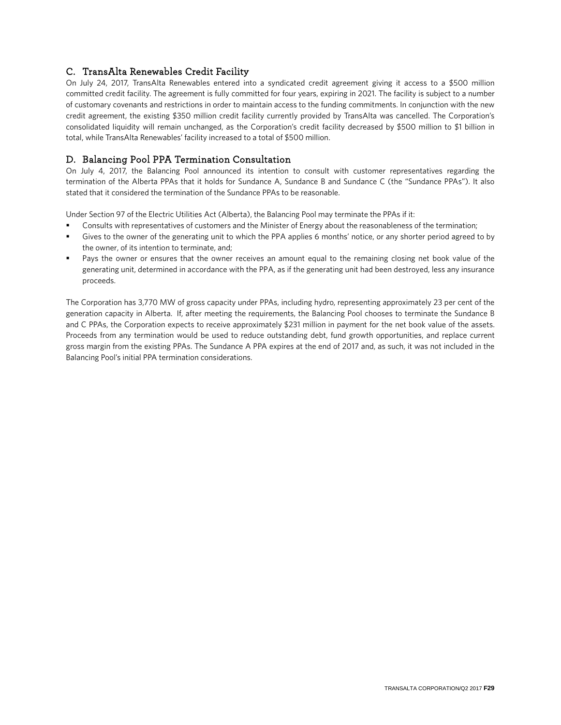## C. TransAlta Renewables Credit Facility

On July 24, 2017, TransAlta Renewables entered into a syndicated credit agreement giving it access to a \$500 million committed credit facility. The agreement is fully committed for four years, expiring in 2021. The facility is subject to a number of customary covenants and restrictions in order to maintain access to the funding commitments. In conjunction with the new credit agreement, the existing \$350 million credit facility currently provided by TransAlta was cancelled. The Corporation's consolidated liquidity will remain unchanged, as the Corporation's credit facility decreased by \$500 million to \$1 billion in total, while TransAlta Renewables' facility increased to a total of \$500 million.

## D. Balancing Pool PPA Termination Consultation

On July 4, 2017, the Balancing Pool announced its intention to consult with customer representatives regarding the termination of the Alberta PPAs that it holds for Sundance A, Sundance B and Sundance C (the "Sundance PPAs"). It also stated that it considered the termination of the Sundance PPAs to be reasonable.

Under Section 97 of the Electric Utilities Act (Alberta), the Balancing Pool may terminate the PPAs if it:

- Consults with representatives of customers and the Minister of Energy about the reasonableness of the termination;
- Gives to the owner of the generating unit to which the PPA applies 6 months' notice, or any shorter period agreed to by the owner, of its intention to terminate, and;
- Pays the owner or ensures that the owner receives an amount equal to the remaining closing net book value of the generating unit, determined in accordance with the PPA, as if the generating unit had been destroyed, less any insurance proceeds.

The Corporation has 3,770 MW of gross capacity under PPAs, including hydro, representing approximately 23 per cent of the generation capacity in Alberta. If, after meeting the requirements, the Balancing Pool chooses to terminate the Sundance B and C PPAs, the Corporation expects to receive approximately \$231 million in payment for the net book value of the assets. Proceeds from any termination would be used to reduce outstanding debt, fund growth opportunities, and replace current gross margin from the existing PPAs. The Sundance A PPA expires at the end of 2017 and, as such, it was not included in the Balancing Pool's initial PPA termination considerations.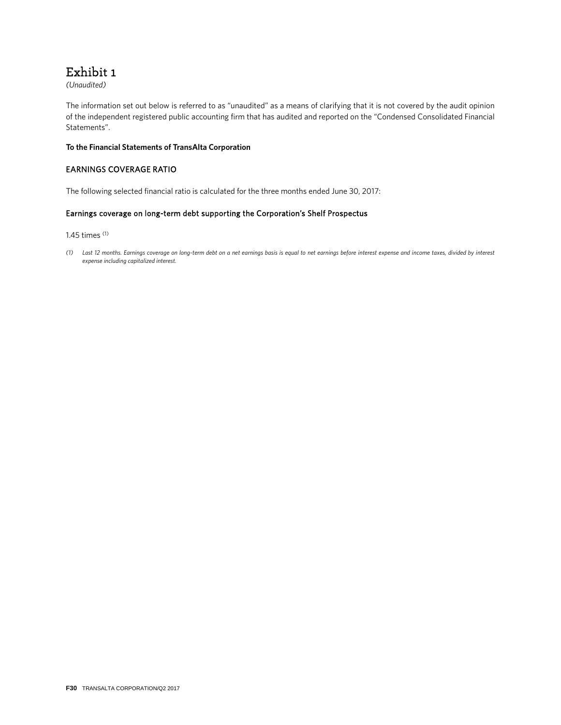## Exhibit 1

*(Unaudited)*

The information set out below is referred to as "unaudited" as a means of clarifying that it is not covered by the audit opinion of the independent registered public accounting firm that has audited and reported on the "Condensed Consolidated Financial Statements".

#### **To the Financial Statements of TransAlta Corporation**

### EARNINGS COVERAGE RATIO

The following selected financial ratio is calculated for the three months ended June 30, 2017:

### Earnings coverage on long-term debt supporting the Corporation's Shelf Prospectus

1.45 times (1)

*(1) Last 12 months. Earnings coverage on long-term debt on a net earnings basis is equal to net earnings before interest expense and income taxes, divided by interest expense including capitalized interest.*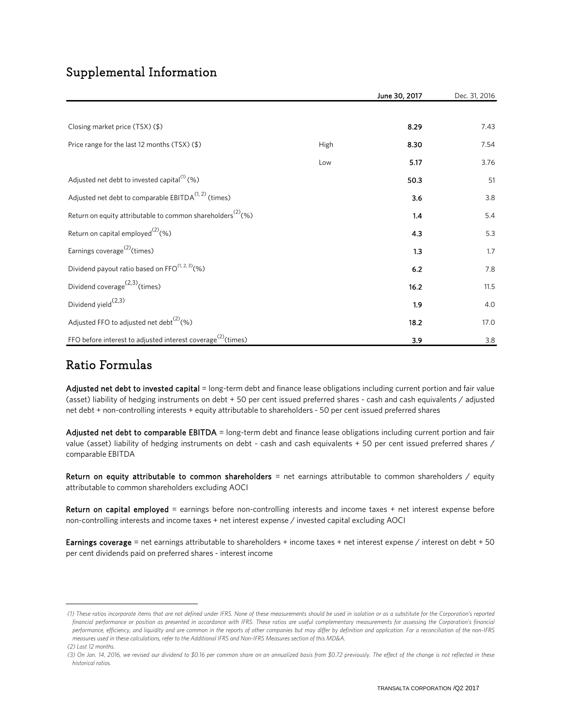## Supplemental Information

|                                                                          |      | June 30, 2017 | Dec. 31, 2016 |
|--------------------------------------------------------------------------|------|---------------|---------------|
|                                                                          |      |               |               |
| Closing market price $(TSX)(\$)$                                         |      | 8.29          | 7.43          |
| Price range for the last 12 months (TSX) (\$)                            | High | 8.30          | 7.54          |
|                                                                          | Low  | 5.17          | 3.76          |
| Adjusted net debt to invested capital $^{(1)}$ (%)                       |      | 50.3          | 51            |
| Adjusted net debt to comparable EBITDA $(1, 2)$ (times)                  |      | 3.6           | 3.8           |
| Return on equity attributable to common shareholders <sup>(2)</sup> (%)  |      | 1.4           | 5.4           |
| Return on capital employed <sup>(2)</sup> (%)                            |      | 4.3           | 5.3           |
| Earnings coverage <sup>(2)</sup> (times)                                 |      | 1.3           | 1.7           |
| Dividend payout ratio based on FFO(1, 2, 3)(%)                           |      | 6.2           | 7.8           |
| Dividend coverage $(2,3)$ (times)                                        |      | 16.2          | 11.5          |
| Dividend yield $(2,3)$                                                   |      | 1.9           | 4.0           |
| Adjusted FFO to adjusted net debt <sup>(2)</sup> (%)                     |      | 18.2          | 17.0          |
| FFO before interest to adjusted interest coverage <sup>(2)</sup> (times) |      | 3.9           | 3.8           |

## Ratio Formulas

Adjusted net debt to invested capital = long-term debt and finance lease obligations including current portion and fair value (asset) liability of hedging instruments on debt + 50 per cent issued preferred shares - cash and cash equivalents / adjusted net debt + non-controlling interests + equity attributable to shareholders - 50 per cent issued preferred shares

Adjusted net debt to comparable EBITDA = long-term debt and finance lease obligations including current portion and fair value (asset) liability of hedging instruments on debt - cash and cash equivalents + 50 per cent issued preferred shares / comparable EBITDA

Return on equity attributable to common shareholders = net earnings attributable to common shareholders / equity attributable to common shareholders excluding AOCI

Return on capital employed = earnings before non-controlling interests and income taxes + net interest expense before non-controlling interests and income taxes + net interest expense / invested capital excluding AOCI

Earnings coverage = net earnings attributable to shareholders + income taxes + net interest expense / interest on debt + 50 per cent dividends paid on preferred shares - interest income

<span id="page-66-0"></span> *<sup>(1)</sup> These ratios incorporate items that are not defined under IFRS. None of these measurements should be used in isolation or as a substitute for the Corporation's reported*  financial performance or position as presented in accordance with IFRS. These ratios are useful complementary measurements for assessing the Corporation's financial *performance, efficiency, and liquidity and are common in the reports of other companies but may differ by definition and application. For a reconciliation of the non-IFRS measures used in these calculations, refer to the Additional IFRS and Non-IFRS Measures section of this MD&A.*

 *<sup>(2)</sup> Last 12 months.*

<span id="page-66-1"></span> *<sup>(3)</sup> On Jan. 14, 2016, we revised our dividend to \$0.16 per common share on an annualized basis from \$0.72 previously. The effect of the change is not reflected in these historical ratios.*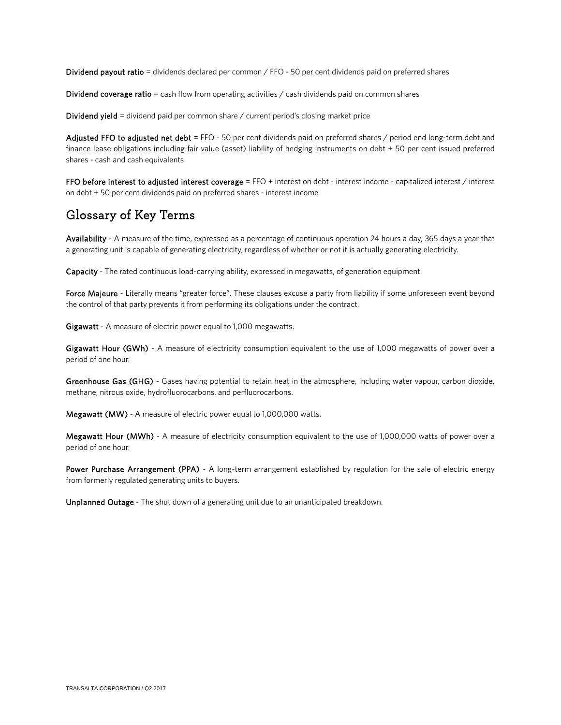Dividend payout ratio = dividends declared per common / FFO - 50 per cent dividends paid on preferred shares

Dividend coverage ratio = cash flow from operating activities  $\ell$  cash dividends paid on common shares

Dividend yield = dividend paid per common share / current period's closing market price

Adjusted FFO to adjusted net debt = FFO - 50 per cent dividends paid on preferred shares / period end long-term debt and finance lease obligations including fair value (asset) liability of hedging instruments on debt + 50 per cent issued preferred shares - cash and cash equivalents

FFO before interest to adjusted interest coverage = FFO + interest on debt - interest income - capitalized interest / interest on debt + 50 per cent dividends paid on preferred shares - interest income

## Glossary of Key Terms

Availability - A measure of the time, expressed as a percentage of continuous operation 24 hours a day, 365 days a year that a generating unit is capable of generating electricity, regardless of whether or not it is actually generating electricity.

Capacity - The rated continuous load-carrying ability, expressed in megawatts, of generation equipment.

Force Majeure - Literally means "greater force". These clauses excuse a party from liability if some unforeseen event beyond the control of that party prevents it from performing its obligations under the contract.

Gigawatt - A measure of electric power equal to 1,000 megawatts.

Gigawatt Hour (GWh) - A measure of electricity consumption equivalent to the use of 1,000 megawatts of power over a period of one hour.

Greenhouse Gas (GHG) - Gases having potential to retain heat in the atmosphere, including water vapour, carbon dioxide, methane, nitrous oxide, hydrofluorocarbons, and perfluorocarbons.

Megawatt (MW) - A measure of electric power equal to 1,000,000 watts.

Megawatt Hour (MWh) - A measure of electricity consumption equivalent to the use of 1,000,000 watts of power over a period of one hour.

Power Purchase Arrangement (PPA) - A long-term arrangement established by regulation for the sale of electric energy from formerly regulated generating units to buyers.

Unplanned Outage - The shut down of a generating unit due to an unanticipated breakdown.